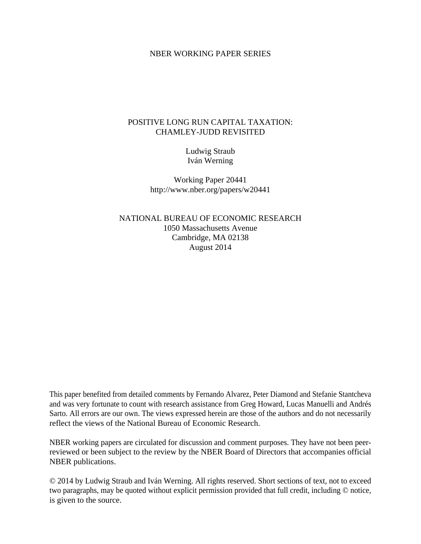#### NBER WORKING PAPER SERIES

### POSITIVE LONG RUN CAPITAL TAXATION: CHAMLEY-JUDD REVISITED

Ludwig Straub Iván Werning

Working Paper 20441 http://www.nber.org/papers/w20441

NATIONAL BUREAU OF ECONOMIC RESEARCH 1050 Massachusetts Avenue Cambridge, MA 02138 August 2014

This paper benefited from detailed comments by Fernando Alvarez, Peter Diamond and Stefanie Stantcheva and was very fortunate to count with research assistance from Greg Howard, Lucas Manuelli and Andrés Sarto. All errors are our own. The views expressed herein are those of the authors and do not necessarily reflect the views of the National Bureau of Economic Research.

NBER working papers are circulated for discussion and comment purposes. They have not been peerreviewed or been subject to the review by the NBER Board of Directors that accompanies official NBER publications.

© 2014 by Ludwig Straub and Iván Werning. All rights reserved. Short sections of text, not to exceed two paragraphs, may be quoted without explicit permission provided that full credit, including © notice, is given to the source.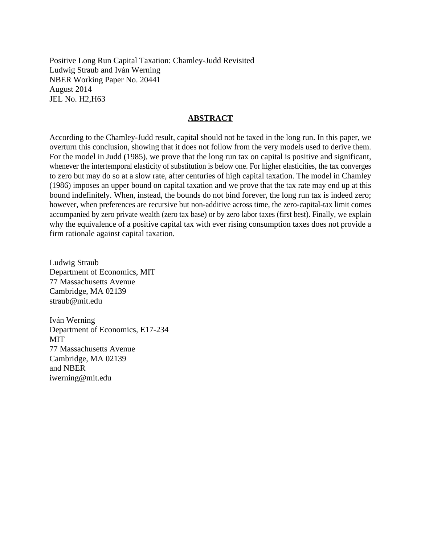Positive Long Run Capital Taxation: Chamley-Judd Revisited Ludwig Straub and Iván Werning NBER Working Paper No. 20441 August 2014 JEL No. H2,H63

#### **ABSTRACT**

According to the Chamley-Judd result, capital should not be taxed in the long run. In this paper, we overturn this conclusion, showing that it does not follow from the very models used to derive them. For the model in Judd (1985), we prove that the long run tax on capital is positive and significant, whenever the intertemporal elasticity of substitution is below one. For higher elasticities, the tax converges to zero but may do so at a slow rate, after centuries of high capital taxation. The model in Chamley (1986) imposes an upper bound on capital taxation and we prove that the tax rate may end up at this bound indefinitely. When, instead, the bounds do not bind forever, the long run tax is indeed zero; however, when preferences are recursive but non-additive across time, the zero-capital-tax limit comes accompanied by zero private wealth (zero tax base) or by zero labor taxes (first best). Finally, we explain why the equivalence of a positive capital tax with ever rising consumption taxes does not provide a firm rationale against capital taxation.

Ludwig Straub Department of Economics, MIT 77 Massachusetts Avenue Cambridge, MA 02139 straub@mit.edu

Iván Werning Department of Economics, E17-234 MIT 77 Massachusetts Avenue Cambridge, MA 02139 and NBER iwerning@mit.edu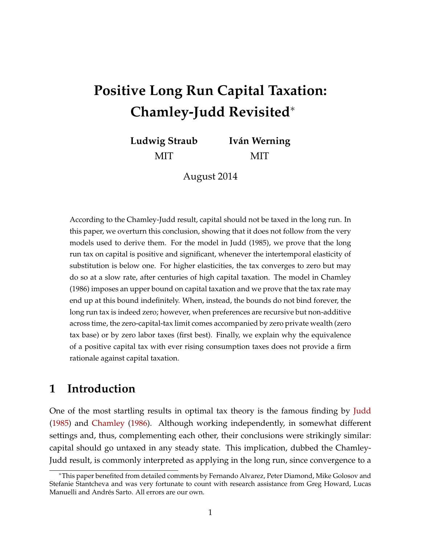# **Positive Long Run Capital Taxation: Chamley-Judd Revisited**∗

**Ludwig Straub** MIT **Iván Werning** MIT

August 2014

According to the Chamley-Judd result, capital should not be taxed in the long run. In this paper, we overturn this conclusion, showing that it does not follow from the very models used to derive them. For the model in Judd (1985), we prove that the long run tax on capital is positive and significant, whenever the intertemporal elasticity of substitution is below one. For higher elasticities, the tax converges to zero but may do so at a slow rate, after centuries of high capital taxation. The model in Chamley (1986) imposes an upper bound on capital taxation and we prove that the tax rate may end up at this bound indefinitely. When, instead, the bounds do not bind forever, the long run tax is indeed zero; however, when preferences are recursive but non-additive across time, the zero-capital-tax limit comes accompanied by zero private wealth (zero tax base) or by zero labor taxes (first best). Finally, we explain why the equivalence of a positive capital tax with ever rising consumption taxes does not provide a firm rationale against capital taxation.

## **1 Introduction**

One of the most startling results in optimal tax theory is the famous finding by [Judd](#page-34-0) [\(1985\)](#page-34-0) and [Chamley](#page-34-1) [\(1986\)](#page-34-1). Although working independently, in somewhat different settings and, thus, complementing each other, their conclusions were strikingly similar: capital should go untaxed in any steady state. This implication, dubbed the Chamley-Judd result, is commonly interpreted as applying in the long run, since convergence to a

<sup>∗</sup>This paper benefited from detailed comments by Fernando Alvarez, Peter Diamond, Mike Golosov and Stefanie Stantcheva and was very fortunate to count with research assistance from Greg Howard, Lucas Manuelli and Andrés Sarto. All errors are our own.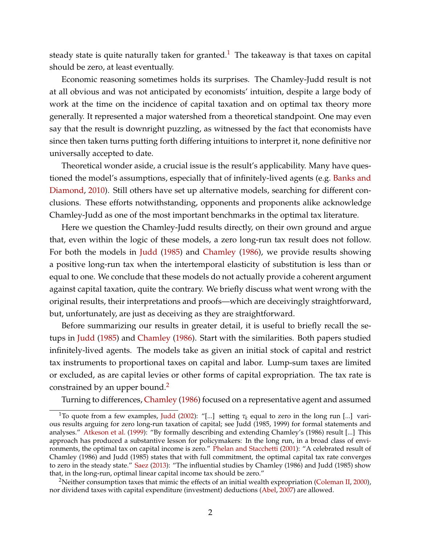steady state is quite naturally taken for granted.<sup>[1](#page-3-0)</sup> The takeaway is that taxes on capital should be zero, at least eventually.

Economic reasoning sometimes holds its surprises. The Chamley-Judd result is not at all obvious and was not anticipated by economists' intuition, despite a large body of work at the time on the incidence of capital taxation and on optimal tax theory more generally. It represented a major watershed from a theoretical standpoint. One may even say that the result is downright puzzling, as witnessed by the fact that economists have since then taken turns putting forth differing intuitions to interpret it, none definitive nor universally accepted to date.

Theoretical wonder aside, a crucial issue is the result's applicability. Many have questioned the model's assumptions, especially that of infinitely-lived agents (e.g. [Banks and](#page-34-2) [Diamond,](#page-34-2) [2010\)](#page-34-2). Still others have set up alternative models, searching for different conclusions. These efforts notwithstanding, opponents and proponents alike acknowledge Chamley-Judd as one of the most important benchmarks in the optimal tax literature.

Here we question the Chamley-Judd results directly, on their own ground and argue that, even within the logic of these models, a zero long-run tax result does not follow. For both the models in [Judd](#page-34-0) [\(1985\)](#page-34-0) and [Chamley](#page-34-1) [\(1986\)](#page-34-1), we provide results showing a positive long-run tax when the intertemporal elasticity of substitution is less than or equal to one. We conclude that these models do not actually provide a coherent argument against capital taxation, quite the contrary. We briefly discuss what went wrong with the original results, their interpretations and proofs—which are deceivingly straightforward, but, unfortunately, are just as deceiving as they are straightforward.

Before summarizing our results in greater detail, it is useful to briefly recall the setups in [Judd](#page-34-0) [\(1985\)](#page-34-0) and [Chamley](#page-34-1) [\(1986\)](#page-34-1). Start with the similarities. Both papers studied infinitely-lived agents. The models take as given an initial stock of capital and restrict tax instruments to proportional taxes on capital and labor. Lump-sum taxes are limited or excluded, as are capital levies or other forms of capital expropriation. The tax rate is constrained by an upper bound.<sup>2</sup>

Turning to differences, [Chamley](#page-34-1) [\(1986\)](#page-34-1) focused on a representative agent and assumed

<span id="page-3-0"></span><sup>&</sup>lt;sup>1</sup>To quote from a few examples, [Judd](#page-34-3) [\(2002\)](#page-34-3): "[...] setting  $\tau_k$  equal to zero in the long run [...] various results arguing for zero long-run taxation of capital; see Judd (1985, 1999) for formal statements and analyses." [Atkeson et al.](#page-34-4) [\(1999\)](#page-34-4): "By formally describing and extending Chamley's (1986) result [...] This approach has produced a substantive lesson for policymakers: In the long run, in a broad class of environments, the optimal tax on capital income is zero." [Phelan and Stacchetti](#page-35-0) [\(2001\)](#page-35-0): "A celebrated result of Chamley (1986) and Judd (1985) states that with full commitment, the optimal capital tax rate converges to zero in the steady state." [Saez](#page-35-1) [\(2013\)](#page-35-1): "The influential studies by Chamley (1986) and Judd (1985) show that, in the long-run, optimal linear capital income tax should be zero."

<span id="page-3-1"></span><sup>&</sup>lt;sup>2</sup>Neither consumption taxes that mimic the effects of an initial wealth expropriation [\(Coleman II,](#page-34-5) [2000\)](#page-34-5), nor dividend taxes with capital expenditure (investment) deductions [\(Abel,](#page-33-0) [2007\)](#page-33-0) are allowed.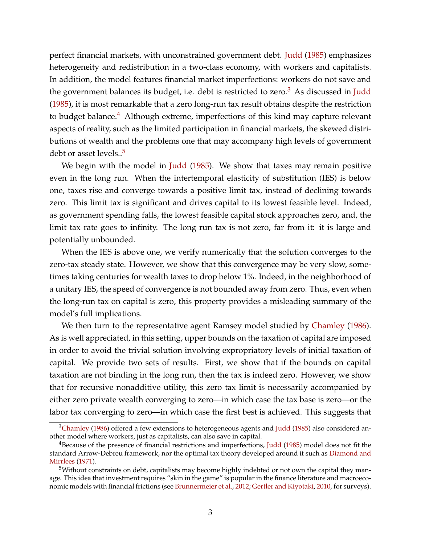perfect financial markets, with unconstrained government debt. [Judd](#page-34-0) [\(1985\)](#page-34-0) emphasizes heterogeneity and redistribution in a two-class economy, with workers and capitalists. In addition, the model features financial market imperfections: workers do not save and the government balances its budget, i.e. debt is restricted to zero.<sup>3</sup> As discussed in [Judd](#page-34-0) [\(1985\)](#page-34-0), it is most remarkable that a zero long-run tax result obtains despite the restriction to budget balance.<sup>[4](#page-4-1)</sup> Although extreme, imperfections of this kind may capture relevant aspects of reality, such as the limited participation in financial markets, the skewed distributions of wealth and the problems one that may accompany high levels of government debt or asset levels..<sup>5</sup>

We begin with the model in [Judd](#page-34-0) [\(1985\)](#page-34-0). We show that taxes may remain positive even in the long run. When the intertemporal elasticity of substitution (IES) is below one, taxes rise and converge towards a positive limit tax, instead of declining towards zero. This limit tax is significant and drives capital to its lowest feasible level. Indeed, as government spending falls, the lowest feasible capital stock approaches zero, and, the limit tax rate goes to infinity. The long run tax is not zero, far from it: it is large and potentially unbounded.

When the IES is above one, we verify numerically that the solution converges to the zero-tax steady state. However, we show that this convergence may be very slow, sometimes taking centuries for wealth taxes to drop below 1%. Indeed, in the neighborhood of a unitary IES, the speed of convergence is not bounded away from zero. Thus, even when the long-run tax on capital is zero, this property provides a misleading summary of the model's full implications.

We then turn to the representative agent Ramsey model studied by [Chamley](#page-34-1) [\(1986\)](#page-34-1). As is well appreciated, in this setting, upper bounds on the taxation of capital are imposed in order to avoid the trivial solution involving expropriatory levels of initial taxation of capital. We provide two sets of results. First, we show that if the bounds on capital taxation are not binding in the long run, then the tax is indeed zero. However, we show that for recursive nonadditive utility, this zero tax limit is necessarily accompanied by either zero private wealth converging to zero—in which case the tax base is zero—or the labor tax converging to zero—in which case the first best is achieved. This suggests that

<span id="page-4-0"></span> $3$ Chamley [\(1986\)](#page-34-1) offered a few extensions to heterogeneous agents and [Judd](#page-34-0) [\(1985\)](#page-34-0) also considered another model where workers, just as capitalists, can also save in capital.

<span id="page-4-1"></span><sup>&</sup>lt;sup>4</sup>Because of the presence of financial restrictions and imperfections, [Judd](#page-34-0) [\(1985\)](#page-34-0) model does not fit the standard Arrow-Debreu framework, nor the optimal tax theory developed around it such as [Diamond and](#page-34-6) [Mirrlees](#page-34-6) [\(1971\)](#page-34-6).

<span id="page-4-2"></span> $5$ Without constraints on debt, capitalists may become highly indebted or not own the capital they manage. This idea that investment requires "skin in the game" is popular in the finance literature and macroeconomic models with financial frictions (see [Brunnermeier et al.,](#page-34-7) [2012;](#page-34-7) [Gertler and Kiyotaki,](#page-34-8) [2010,](#page-34-8) for surveys).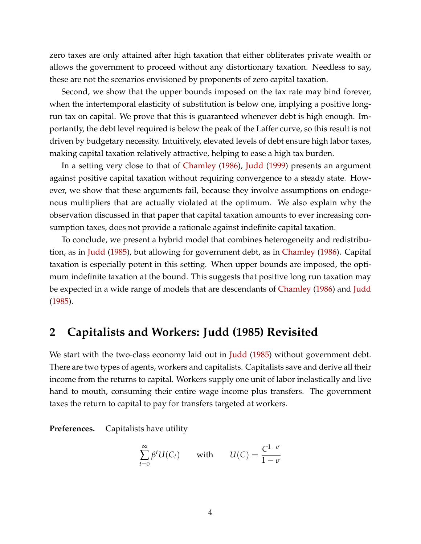zero taxes are only attained after high taxation that either obliterates private wealth or allows the government to proceed without any distortionary taxation. Needless to say, these are not the scenarios envisioned by proponents of zero capital taxation.

Second, we show that the upper bounds imposed on the tax rate may bind forever, when the intertemporal elasticity of substitution is below one, implying a positive longrun tax on capital. We prove that this is guaranteed whenever debt is high enough. Importantly, the debt level required is below the peak of the Laffer curve, so this result is not driven by budgetary necessity. Intuitively, elevated levels of debt ensure high labor taxes, making capital taxation relatively attractive, helping to ease a high tax burden.

In a setting very close to that of [Chamley](#page-34-1) [\(1986\)](#page-34-1), [Judd](#page-34-9) [\(1999\)](#page-34-9) presents an argument against positive capital taxation without requiring convergence to a steady state. However, we show that these arguments fail, because they involve assumptions on endogenous multipliers that are actually violated at the optimum. We also explain why the observation discussed in that paper that capital taxation amounts to ever increasing consumption taxes, does not provide a rationale against indefinite capital taxation.

To conclude, we present a hybrid model that combines heterogeneity and redistribution, as in [Judd](#page-34-0) [\(1985\)](#page-34-0), but allowing for government debt, as in [Chamley](#page-34-1) [\(1986\)](#page-34-1). Capital taxation is especially potent in this setting. When upper bounds are imposed, the optimum indefinite taxation at the bound. This suggests that positive long run taxation may be expected in a wide range of models that are descendants of [Chamley](#page-34-1) [\(1986\)](#page-34-1) and [Judd](#page-34-0) [\(1985\)](#page-34-0).

# **2 Capitalists and Workers: Judd (1985) Revisited**

We start with the two-class economy laid out in [Judd](#page-34-0) [\(1985\)](#page-34-0) without government debt. There are two types of agents, workers and capitalists. Capitalists save and derive all their income from the returns to capital. Workers supply one unit of labor inelastically and live hand to mouth, consuming their entire wage income plus transfers. The government taxes the return to capital to pay for transfers targeted at workers.

**Preferences.** Capitalists have utility

$$
\sum_{t=0}^{\infty} \beta^t U(C_t) \qquad \text{with} \qquad U(C) = \frac{C^{1-\sigma}}{1-\sigma}
$$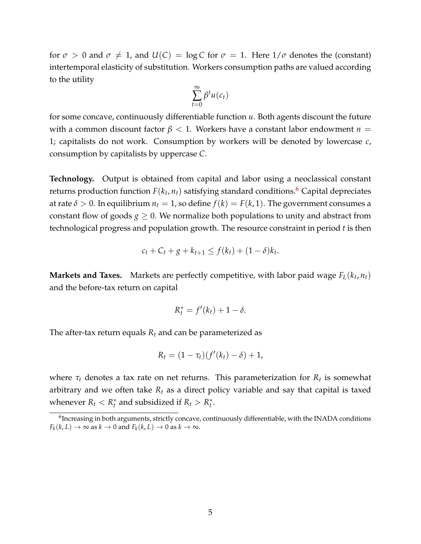for  $\sigma > 0$  and  $\sigma \neq 1$ , and  $U(C) = \log C$  for  $\sigma = 1$ . Here  $1/\sigma$  denotes the (constant) intertemporal elasticity of substitution. Workers consumption paths are valued according to the utility

$$
\sum_{t=0}^{\infty} \beta^t u(c_t)
$$

for some concave, continuously differentiable function *u*. Both agents discount the future with a common discount factor *β* < 1. Workers have a constant labor endowment *n* = 1; capitalists do not work. Consumption by workers will be denoted by lowercase *c*, consumption by capitalists by uppercase *C*.

**Technology.** Output is obtained from capital and labor using a neoclassical constant returns production function  $F(k_t, n_t)$  satisfying standard conditions.<sup>6</sup> Capital depreciates at rate  $\delta > 0$ . In equilibrium  $n_t = 1$ , so define  $f(k) = F(k, 1)$ . The government consumes a constant flow of goods  $g \geq 0$ . We normalize both populations to unity and abstract from technological progress and population growth. The resource constraint in period *t* is then

$$
c_t + C_t + g + k_{t+1} \le f(k_t) + (1 - \delta)k_t.
$$

**Markets and Taxes.** Markets are perfectly competitive, with labor paid wage  $F_L(k_t, n_t)$ and the before-tax return on capital

$$
R_t^* = f'(k_t) + 1 - \delta.
$$

The after-tax return equals  $R_t$  and can be parameterized as

$$
R_t = (1 - \tau_t)(f'(k_t) - \delta) + 1,
$$

where  $\tau_t$  denotes a tax rate on net returns. This parameterization for  $R_t$  is somewhat arbitrary and we often take  $R_t$  as a direct policy variable and say that capital is taxed whenever  $R_t < R_t^*$  and subsidized if  $R_t > R_t^*$ .

<span id="page-6-0"></span><sup>&</sup>lt;sup>6</sup>Increasing in both arguments, strictly concave, continuously differentiable, with the INADA conditions  $F_k(k, L) \to \infty$  as  $k \to 0$  and  $F_k(k, L) \to 0$  as  $k \to \infty$ .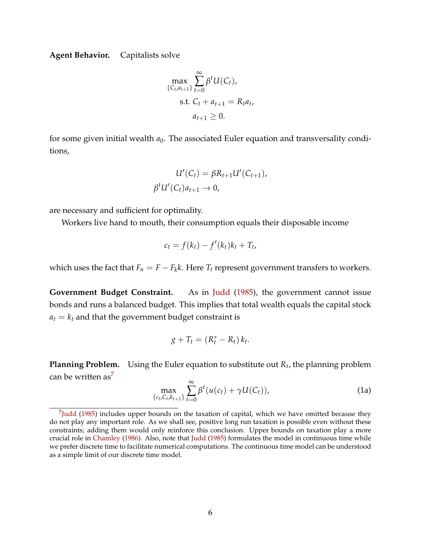**Agent Behavior.** Capitalists solve

$$
\max_{\{C_t, a_{t+1}\}} \sum_{t=0}^{\infty} \beta^t U(C_t),
$$
  
s.t.  $C_t + a_{t+1} = R_t a_t,$   
 $a_{t+1} \ge 0.$ 

for some given initial wealth  $a_0$ . The associated Euler equation and transversality conditions,

$$
U'(C_t) = \beta R_{t+1} U'(C_{t+1}),
$$
  

$$
\beta^t U'(C_t) a_{t+1} \to 0,
$$

are necessary and sufficient for optimality.

Workers live hand to mouth, their consumption equals their disposable income

$$
c_t = f(k_t) - f'(k_t)k_t + T_t,
$$

which uses the fact that  $F_n = F - F_k k$ . Here  $T_t$  represent government transfers to workers.

**Government Budget Constraint.** As in [Judd](#page-34-0) [\(1985\)](#page-34-0), the government cannot issue bonds and runs a balanced budget. This implies that total wealth equals the capital stock  $a_t = k_t$  and that the government budget constraint is

$$
g+T_t=(R_t^*-R_t)k_t.
$$

<span id="page-7-2"></span>**Planning Problem.** Using the Euler equation to substitute out *Rt*, the planning problem can be written as<sup>7</sup>

<span id="page-7-3"></span><span id="page-7-1"></span>
$$
\max_{\{c_t, C_t, k_{t+1}\}} \sum_{t=0}^{\infty} \beta^t (u(c_t) + \gamma U(C_t)),
$$
\n(1a)

<span id="page-7-0"></span> $<sup>7</sup>$ Judd [\(1985\)](#page-34-0) includes upper bounds on the taxation of capital, which we have omitted because they</sup> do not play any important role. As we shall see, positive long run taxation is possible even without these constraints; adding them would only reinforce this conclusion. Upper bounds on taxation play a more crucial role in [Chamley](#page-34-1) [\(1986\)](#page-34-1). Also, note that [Judd](#page-34-0) [\(1985\)](#page-34-0) formulates the model in continuous time while we prefer discrete time to facilitate numerical computations. The continuous time model can be understood as a simple limit of our discrete time model.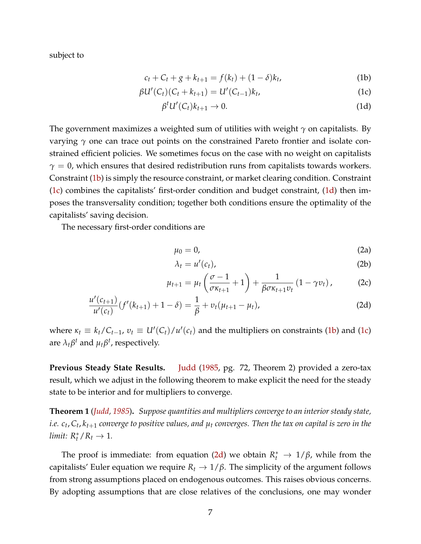subject to

$$
c_t + C_t + g + k_{t+1} = f(k_t) + (1 - \delta)k_t,
$$
 (1b)

$$
\beta U'(C_t)(C_t + k_{t+1}) = U'(C_{t-1})k_t, \tag{1c}
$$

<span id="page-8-2"></span><span id="page-8-1"></span><span id="page-8-0"></span>
$$
\beta^t U'(C_t) k_{t+1} \to 0. \tag{1d}
$$

The government maximizes a weighted sum of utilities with weight *γ* on capitalists. By varying *γ* one can trace out points on the constrained Pareto frontier and isolate constrained efficient policies. We sometimes focus on the case with no weight on capitalists  $\gamma = 0$ , which ensures that desired redistribution runs from capitalists towards workers. Constraint [\(1b\)](#page-8-0) is simply the resource constraint, or market clearing condition. Constraint [\(1c\)](#page-8-1) combines the capitalists' first-order condition and budget constraint, [\(1d\)](#page-8-2) then imposes the transversality condition; together both conditions ensure the optimality of the capitalists' saving decision.

The necessary first-order conditions are

<span id="page-8-7"></span><span id="page-8-6"></span>
$$
\mu_0 = 0,\tag{2a}
$$

<span id="page-8-5"></span><span id="page-8-3"></span>
$$
\lambda_t = u'(c_t), \tag{2b}
$$

$$
\mu_{t+1} = \mu_t \left( \frac{\sigma - 1}{\sigma \kappa_{t+1}} + 1 \right) + \frac{1}{\beta \sigma \kappa_{t+1} v_t} \left( 1 - \gamma v_t \right), \tag{2c}
$$

$$
\frac{u'(c_{t+1})}{u'(c_t)}(f'(k_{t+1})+1-\delta)=\frac{1}{\beta}+v_t(\mu_{t+1}-\mu_t),
$$
\n(2d)

where  $\kappa_t \equiv k_t/C_{t-1}$ ,  $v_t \equiv U'(C_t)/u'(c_t)$  and the multipliers on constraints [\(1b\)](#page-8-0) and [\(1c\)](#page-8-1) are  $\lambda_t \beta^t$  and  $\mu_t \beta^t$ , respectively.

**Previous Steady State Results.** [Judd](#page-34-0) [\(1985,](#page-34-0) pg. 72, Theorem 2) provided a zero-tax result, which we adjust in the following theorem to make explicit the need for the steady state to be interior and for multipliers to converge.

<span id="page-8-4"></span>**Theorem 1** (*[Judd,](#page-34-0) [1985](#page-34-0)*)**.** *Suppose quantities and multipliers converge to an interior steady state, i.e.*  $c_t$ ,  $C_t$ ,  $k_{t+1}$  converge to positive values, and  $\mu_t$  converges. Then the tax on capital is zero in the  $limit: R_t^* / R_t \to 1.$ 

The proof is immediate: from equation [\(2d\)](#page-8-3) we obtain  $R_t^* \to 1/\beta$ , while from the capitalists' Euler equation we require  $R_t \to 1/\beta$ . The simplicity of the argument follows from strong assumptions placed on endogenous outcomes. This raises obvious concerns. By adopting assumptions that are close relatives of the conclusions, one may wonder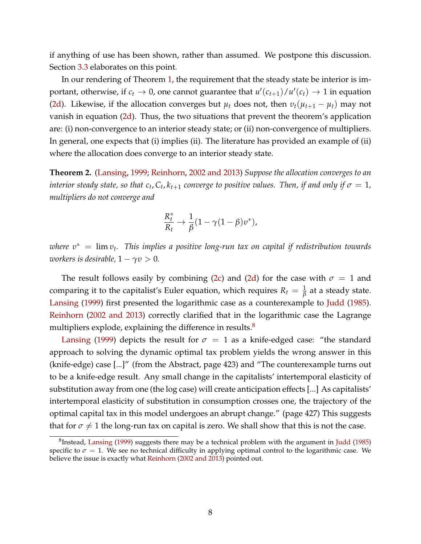if anything of use has been shown, rather than assumed. We postpone this discussion. Section [3.3](#page-27-0) elaborates on this point.

In our rendering of Theorem [1,](#page-8-4) the requirement that the steady state be interior is important, otherwise, if  $c_t \to 0$ , one cannot guarantee that  $u'(c_{t+1})/u'(c_t) \to 1$  in equation [\(2d\)](#page-8-3). Likewise, if the allocation converges but  $\mu_t$  does not, then  $v_t(\mu_{t+1} - \mu_t)$  may not vanish in equation  $(2d)$ . Thus, the two situations that prevent the theorem's application are: (i) non-convergence to an interior steady state; or (ii) non-convergence of multipliers. In general, one expects that (i) implies (ii). The literature has provided an example of (ii) where the allocation does converge to an interior steady state.

<span id="page-9-1"></span>**Theorem 2.** [\(Lansing,](#page-35-2) [1999;](#page-35-2) [Reinhorn,](#page-35-3) [2002 and 2013\)](#page-35-3) *Suppose the allocation converges to an interior steady state, so that c<sub>t</sub>,*  $C_t$ *,*  $k_{t+1}$  *converge to positive values. Then, if and only if*  $\sigma = 1$ , *multipliers do not converge and*

$$
\frac{R_t^*}{R_t} \to \frac{1}{\beta} (1 - \gamma (1 - \beta) v^*),
$$

*where υ*∗ = lim *υt. This implies a positive long-run tax on capital if redistribution towards workers is desirable,*  $1 - \gamma v > 0$ *.* 

The result follows easily by combining [\(2c\)](#page-8-5) and [\(2d\)](#page-8-3) for the case with  $\sigma = 1$  and comparing it to the capitalist's Euler equation, which requires  $R_t = \frac{1}{\beta}$  at a steady state. [Lansing](#page-35-2) [\(1999\)](#page-35-2) first presented the logarithmic case as a counterexample to [Judd](#page-34-0) [\(1985\)](#page-34-0). [Reinhorn](#page-35-3) [\(2002 and 2013\)](#page-35-3) correctly clarified that in the logarithmic case the Lagrange multipliers explode, explaining the difference in results.<sup>8</sup>

[Lansing](#page-35-2) [\(1999\)](#page-35-2) depicts the result for  $\sigma = 1$  as a knife-edged case: "the standard approach to solving the dynamic optimal tax problem yields the wrong answer in this (knife-edge) case [...]" (from the Abstract, page 423) and "The counterexample turns out to be a knife-edge result. Any small change in the capitalists' intertemporal elasticity of substitution away from one (the log case) will create anticipation effects [...] As capitalists' intertemporal elasticity of substitution in consumption crosses one, the trajectory of the optimal capital tax in this model undergoes an abrupt change." (page 427) This suggests that for  $\sigma \neq 1$  the long-run tax on capital is zero. We shall show that this is not the case.

<span id="page-9-0"></span><sup>8</sup>Instead, [Lansing](#page-35-2) [\(1999\)](#page-35-2) suggests there may be a technical problem with the argument in [Judd](#page-34-0) [\(1985\)](#page-34-0) specific to  $\sigma = 1$ . We see no technical difficulty in applying optimal control to the logarithmic case. We believe the issue is exactly what [Reinhorn](#page-35-3) [\(2002 and 2013\)](#page-35-3) pointed out.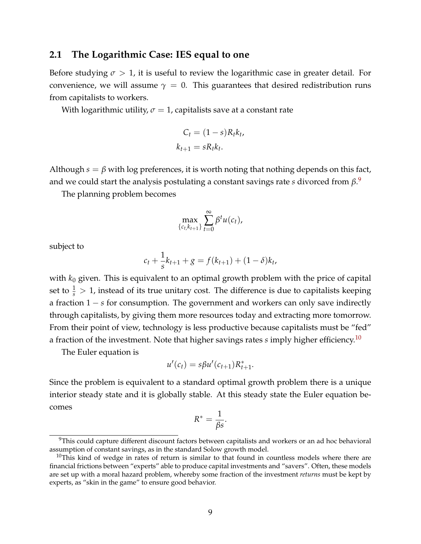### **2.1 The Logarithmic Case: IES equal to one**

Before studying  $\sigma > 1$ , it is useful to review the logarithmic case in greater detail. For convenience, we will assume  $\gamma = 0$ . This guarantees that desired redistribution runs from capitalists to workers.

With logarithmic utility,  $\sigma = 1$ , capitalists save at a constant rate

$$
C_t = (1 - s)R_t k_t,
$$
  

$$
k_{t+1} = sR_t k_t.
$$

Although  $s = \beta$  with log preferences, it is worth noting that nothing depends on this fact, and we could start the analysis postulating a constant savings rate *s* divorced from *β*. [9](#page-10-0)

The planning problem becomes

$$
\max_{\{c_t, k_{t+1}\}} \sum_{t=0}^{\infty} \beta^t u(c_t),
$$

subject to

$$
c_t + \frac{1}{s}k_{t+1} + g = f(k_{t+1}) + (1 - \delta)k_t,
$$

with  $k_0$  given. This is equivalent to an optimal growth problem with the price of capital set to  $\frac{1}{s} > 1$ , instead of its true unitary cost. The difference is due to capitalists keeping a fraction 1 − *s* for consumption. The government and workers can only save indirectly through capitalists, by giving them more resources today and extracting more tomorrow. From their point of view, technology is less productive because capitalists must be "fed" a fraction of the investment. Note that higher savings rates *s* imply higher efficiency[.10](#page-10-1)

The Euler equation is

$$
u'(c_t) = s\beta u'(c_{t+1})R_{t+1}^*.
$$

Since the problem is equivalent to a standard optimal growth problem there is a unique interior steady state and it is globally stable. At this steady state the Euler equation becomes

$$
R^* = \frac{1}{\beta s}.
$$

<span id="page-10-0"></span><sup>&</sup>lt;sup>9</sup>This could capture different discount factors between capitalists and workers or an ad hoc behavioral assumption of constant savings, as in the standard Solow growth model.

<span id="page-10-1"></span> $10$ This kind of wedge in rates of return is similar to that found in countless models where there are financial frictions between "experts" able to produce capital investments and "savers". Often, these models are set up with a moral hazard problem, whereby some fraction of the investment *returns* must be kept by experts, as "skin in the game" to ensure good behavior.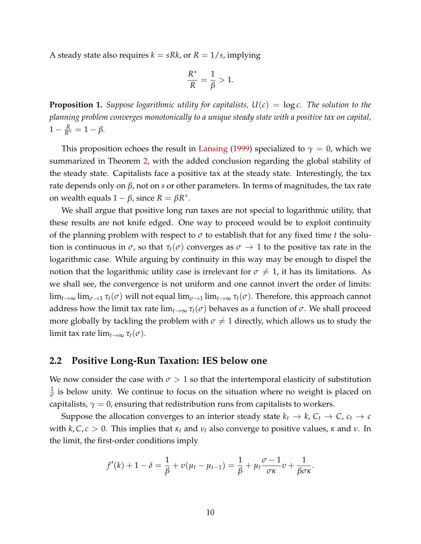A steady state also requires  $k = sRk$ , or  $R = 1/s$ , implying

$$
\frac{R^*}{R} = \frac{1}{\beta} > 1.
$$

<span id="page-11-0"></span>**Proposition 1.** *Suppose logarithmic utility for capitalists,*  $U(c) = \log c$ . *The solution to the planning problem converges monotonically to a unique steady state with a positive tax on capital,*  $1 - \frac{R}{R^*} = 1 - \beta.$ 

This proposition echoes the result in [Lansing](#page-35-2) [\(1999\)](#page-35-2) specialized to  $\gamma = 0$ , which we summarized in Theorem [2,](#page-9-1) with the added conclusion regarding the global stability of the steady state. Capitalists face a positive tax at the steady state. Interestingly, the tax rate depends only on *β*, not on *s* or other parameters. In terms of magnitudes, the tax rate on wealth equals  $1 - \beta$ , since  $R = \beta R^*$ .

We shall argue that positive long run taxes are not special to logarithmic utility, that these results are not knife edged. One way to proceed would be to exploit continuity of the planning problem with respect to  $\sigma$  to establish that for any fixed time *t* the solution is continuous in  $\sigma$ , so that  $\tau_t(\sigma)$  converges as  $\sigma \to 1$  to the positive tax rate in the logarithmic case. While arguing by continuity in this way may be enough to dispel the notion that the logarithmic utility case is irrelevant for  $\sigma \neq 1$ , it has its limitations. As we shall see, the convergence is not uniform and one cannot invert the order of limits:  $\lim_{t\to\infty}$  lim<sub> $\sigma\to 1$ </sub>  $\tau_t(\sigma)$  will not equal  $\lim_{\sigma\to 1}$  lim $_{t\to\infty}$   $\tau_t(\sigma)$ . Therefore, this approach cannot address how the limit tax rate  $\lim_{t\to\infty} \tau_t(\sigma)$  behaves as a function of  $\sigma$ . We shall proceed more globally by tackling the problem with  $\sigma \neq 1$  directly, which allows us to study the limit tax rate  $\lim_{t\to\infty} \tau_t(\sigma)$ .

### **2.2 Positive Long-Run Taxation: IES below one**

We now consider the case with  $\sigma > 1$  so that the intertemporal elasticity of substitution  $\frac{1}{\sigma}$  is below unity. We continue to focus on the situation where no weight is placed on capitalists,  $\gamma = 0$ , ensuring that redistribution runs from capitalists to workers.

Suppose the allocation converges to an interior steady state  $k_t \rightarrow k$ ,  $C_t \rightarrow C$ ,  $c_t \rightarrow c$ with  $k, C, c > 0$ . This implies that  $\kappa_t$  and  $\nu_t$  also converge to positive values,  $\kappa$  and  $\nu$ . In the limit, the first-order conditions imply

$$
f'(k)+1-\delta=\frac{1}{\beta}+v(\mu_t-\mu_{t-1})=\frac{1}{\beta}+\mu_t\frac{\sigma-1}{\sigma\kappa}v+\frac{1}{\beta\sigma\kappa}.
$$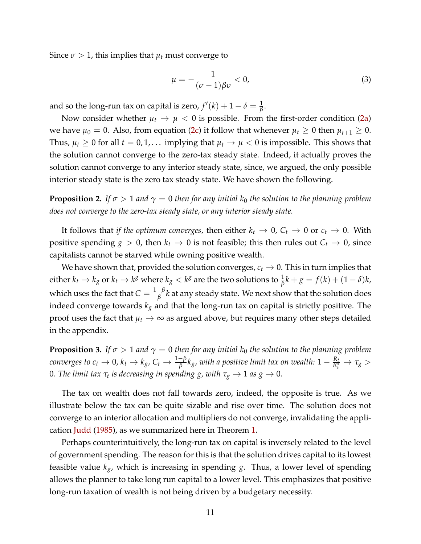Since  $\sigma > 1$ , this implies that  $\mu_t$  must converge to

$$
\mu = -\frac{1}{(\sigma - 1)\beta v} < 0,\tag{3}
$$

and so the long-run tax on capital is zero,  $f'(k) + 1 - \delta = \frac{1}{\beta}$ .

Now consider whether  $\mu_t \to \mu < 0$  is possible. From the first-order condition [\(2a\)](#page-8-6) we have  $\mu_0 = 0$ . Also, from equation [\(2c\)](#page-8-5) it follow that whenever  $\mu_t \geq 0$  then  $\mu_{t+1} \geq 0$ . Thus,  $\mu_t \geq 0$  for all  $t = 0, 1, \ldots$  implying that  $\mu_t \to \mu < 0$  is impossible. This shows that the solution cannot converge to the zero-tax steady state. Indeed, it actually proves the solution cannot converge to any interior steady state, since, we argued, the only possible interior steady state is the zero tax steady state. We have shown the following.

<span id="page-12-1"></span>**Proposition 2.** *If*  $\sigma > 1$  *and*  $\gamma = 0$  *then for any initial*  $k_0$  *the solution to the planning problem does not converge to the zero-tax steady state, or any interior steady state.*

It follows that *if the optimum converges,* then either  $k_t \to 0$ ,  $C_t \to 0$  or  $c_t \to 0$ . With positive spending  $g > 0$ , then  $k_t \to 0$  is not feasible; this then rules out  $C_t \to 0$ , since capitalists cannot be starved while owning positive wealth.

We have shown that, provided the solution converges,  $c_t\to 0.$  This in turn implies that  $\epsilon$  either  $k_t\to k_g$  or  $k_t\to k^g$  where  $k_g < k^g$  are the two solutions to  $\frac{1}{\beta}k+g=f(k)+(1-\delta)k,$ which uses the fact that  $C = \frac{1-\beta}{\beta}k$  at any steady state. We next show that the solution does indeed converge towards *kg* and that the long-run tax on capital is strictly positive. The proof uses the fact that  $\mu_t \to \infty$  as argued above, but requires many other steps detailed in the appendix.

<span id="page-12-0"></span>**Proposition 3.** *If*  $\sigma > 1$  *and*  $\gamma = 0$  *then for any initial*  $k_0$  *the solution to the planning problem converges to c<sub>t</sub>*  $\to$  0,  $k_t$   $\to$   $k_g$ ,  $C_t$   $\to$   $\frac{1-\beta}{\beta}k_g$ , with a positive limit tax on wealth:  $1-\frac{R_t}{R_t^*}$   $\to$   $\tau_g$   $>$ 0*. The limit tax*  $\tau_t$  *is decreasing in spending g, with*  $\tau_g \rightarrow 1$  *as*  $g \rightarrow 0$ *.* 

The tax on wealth does not fall towards zero, indeed, the opposite is true. As we illustrate below the tax can be quite sizable and rise over time. The solution does not converge to an interior allocation and multipliers do not converge, invalidating the application [Judd](#page-34-0) [\(1985\)](#page-34-0), as we summarized here in Theorem [1.](#page-8-4)

Perhaps counterintuitively, the long-run tax on capital is inversely related to the level of government spending. The reason for this is that the solution drives capital to its lowest feasible value *kg*, which is increasing in spending *g*. Thus, a lower level of spending allows the planner to take long run capital to a lower level. This emphasizes that positive long-run taxation of wealth is not being driven by a budgetary necessity.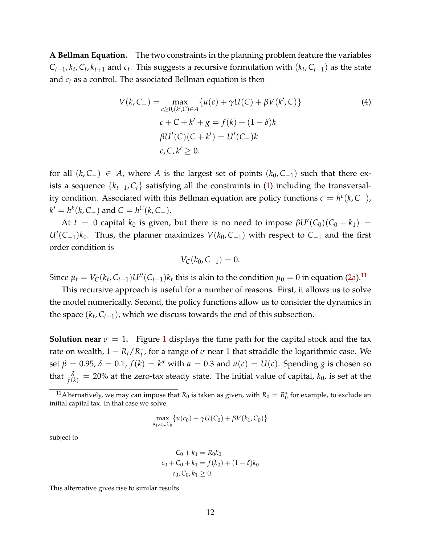**A Bellman Equation.** The two constraints in the planning problem feature the variables  $C_{t-1}$ ,  $k_t$ ,  $C_t$ ,  $k_{t+1}$  and  $c_t$ . This suggests a recursive formulation with  $(k_t, C_{t-1})$  as the state and  $c_t$  as a control. The associated Bellman equation is then

<span id="page-13-1"></span>
$$
V(k, C_{-}) = \max_{c \ge 0, (k', C) \in A} \{ u(c) + \gamma U(C) + \beta V(k', C) \}
$$
  
\n
$$
c + C + k' + g = f(k) + (1 - \delta)k
$$
  
\n
$$
\beta U'(C)(C + k') = U'(C_{-})k
$$
  
\n
$$
c, C, k' \ge 0.
$$
  
\n(4)

for all  $(k, C_+)$  ∈ *A*, where *A* is the largest set of points  $(k_0, C_{-1})$  such that there exists a sequence  $\{k_{t+1}, C_t\}$  satisfying all the constraints in [\(1\)](#page-7-1) including the transversality condition. Associated with this Bellman equation are policy functions  $c = h^c(k, C_+)$ ,  $k' = h^k(k, C_-)$  and  $C = h^C(k, C_-)$ .

 $At t = 0$  capital  $k_0$  is given, but there is no need to impose  $βU'(C_0)(C_0 + k_1) =$  $U'(C_{-1})k_0$ . Thus, the planner maximizes  $V(k_0, C_{-1})$  with respect to  $C_{-1}$  and the first order condition is

$$
V_C(k_0, C_{-1}) = 0.
$$

Since  $\mu_t = V_C(k_t, C_{t-1})U''(C_{t-1})k_t$  this is akin to the condition  $\mu_0 = 0$  in equation [\(2a\)](#page-8-6).<sup>11</sup>

This recursive approach is useful for a number of reasons. First, it allows us to solve the model numerically. Second, the policy functions allow us to consider the dynamics in the space  $(k_t, C_{t-1})$ , which we discuss towards the end of this subsection.

**Solution near**  $\sigma = 1$  $\sigma = 1$ . Figure 1 displays the time path for the capital stock and the tax rate on wealth,  $1 - R_t/R_t^*$ , for a range of  $\sigma$  near 1 that straddle the logarithmic case. We set  $\beta = 0.95$ ,  $\delta = 0.1$ ,  $f(k) = k^{\alpha}$  with  $\alpha = 0.3$  and  $u(c) = U(c)$ . Spending *g* is chosen so that  $\frac{g}{f(k)} = 20\%$  at the zero-tax steady state. The initial value of capital,  $k_0$ , is set at the

$$
\max_{k_1,c_0,c_0} \{ u(c_0) + \gamma U(C_0) + \beta V(k_1,C_0) \}
$$

subject to

$$
C_0 + k_1 = R_0 k_0
$$
  

$$
c_0 + C_0 + k_1 = f(k_0) + (1 - \delta)k_0
$$
  

$$
c_0, C_0, k_1 \ge 0.
$$

This alternative gives rise to similar results.

<span id="page-13-0"></span><sup>&</sup>lt;sup>11</sup>Alternatively, we may can impose that  $R_0$  is taken as given, with  $R_0 = R_0^*$  for example, to exclude an initial capital tax. In that case we solve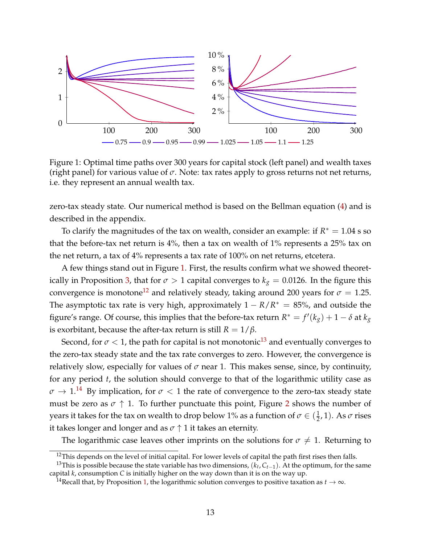

<span id="page-14-0"></span>Figure 1: Optimal time paths over 300 years for capital stock (left panel) and wealth taxes (right panel) for various value of *σ*. Note: tax rates apply to gross returns not net returns, i.e. they represent an annual wealth tax.

zero-tax steady state. Our numerical method is based on the Bellman equation [\(4\)](#page-13-1) and is described in the appendix.

To clarify the magnitudes of the tax on wealth, consider an example: if  $R^* = 1.04$  s so that the before-tax net return is 4%, then a tax on wealth of 1% represents a 25% tax on the net return, a tax of 4% represents a tax rate of 100% on net returns, etcetera.

A few things stand out in Figure [1.](#page-14-0) First, the results confirm what we showed theoret-ically in Proposition [3,](#page-12-0) that for  $\sigma > 1$  capital converges to  $k_g = 0.0126$ . In the figure this convergence is monotone<sup>12</sup> and relatively steady, taking around 200 years for  $\sigma = 1.25$ . The asymptotic tax rate is very high, approximately  $1 - R/R^* = 85\%$ , and outside the figure's range. Of course, this implies that the before-tax return  $R^* = f'(k_g) + 1 - \delta$  at  $k_g$ is exorbitant, because the after-tax return is still  $R = 1/\beta$ .

Second, for  $\sigma$  < 1, the path for capital is not monotonic<sup>13</sup> and eventually converges to the zero-tax steady state and the tax rate converges to zero. However, the convergence is relatively slow, especially for values of  $\sigma$  near 1. This makes sense, since, by continuity, for any period *t*, the solution should converge to that of the logarithmic utility case as  $\sigma \to 1.^{14}$  By implication, for  $\sigma < 1$  the rate of convergence to the zero-tax steady state must be zero as  $\sigma \uparrow 1$ . To further punctuate this point, Figure [2](#page-15-0) shows the number of years it takes for the tax on wealth to drop below 1% as a function of  $\sigma \in (\frac{1}{2}, 1)$ . As  $\sigma$  rises it takes longer and longer and as  $\sigma \uparrow 1$  it takes an eternity.

The logarithmic case leaves other imprints on the solutions for  $\sigma \neq 1$ . Returning to

<span id="page-14-2"></span><span id="page-14-1"></span> $12$ This depends on the level of initial capital. For lower levels of capital the path first rises then falls.

<sup>&</sup>lt;sup>13</sup>This is possible because the state variable has two dimensions,  $(k_t, C_{t-1})$ . At the optimum, for the same capital *k*, consumption *C* is initially higher on the way down than it is on the way up.

<span id="page-14-3"></span><sup>&</sup>lt;sup>14</sup>Recall that, by Proposition [1,](#page-11-0) the logarithmic solution converges to positive taxation as  $t \to \infty$ .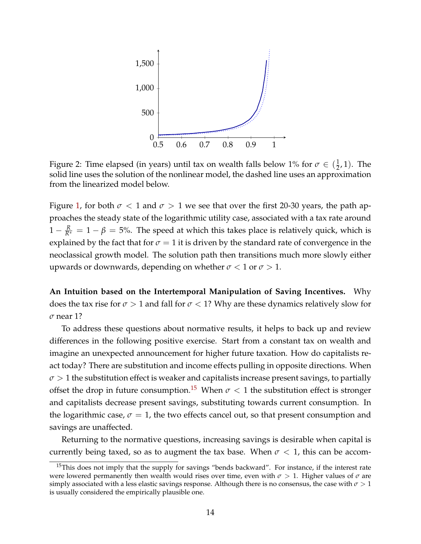

<span id="page-15-0"></span>Figure 2: Time elapsed (in years) until tax on wealth falls below 1% for  $\sigma \in (\frac{1}{2}, 1)$ . The solid line uses the solution of the nonlinear model, the dashed line uses an approximation from the linearized model below.

Figure [1,](#page-14-0) for both  $\sigma$  < 1 and  $\sigma$  > 1 we see that over the first 20-30 years, the path approaches the steady state of the logarithmic utility case, associated with a tax rate around  $1 - \frac{R}{R^*} = 1 - \beta = 5$ %. The speed at which this takes place is relatively quick, which is explained by the fact that for  $\sigma = 1$  it is driven by the standard rate of convergence in the neoclassical growth model. The solution path then transitions much more slowly either upwards or downwards, depending on whether  $\sigma < 1$  or  $\sigma > 1$ .

**An Intuition based on the Intertemporal Manipulation of Saving Incentives.** Why does the tax rise for  $\sigma > 1$  and fall for  $\sigma < 1$ ? Why are these dynamics relatively slow for *σ* near 1?

To address these questions about normative results, it helps to back up and review differences in the following positive exercise. Start from a constant tax on wealth and imagine an unexpected announcement for higher future taxation. How do capitalists react today? There are substitution and income effects pulling in opposite directions. When  $\sigma > 1$  the substitution effect is weaker and capitalists increase present savings, to partially offset the drop in future consumption.<sup>15</sup> When  $\sigma$  < 1 the substitution effect is stronger and capitalists decrease present savings, substituting towards current consumption. In the logarithmic case,  $\sigma = 1$ , the two effects cancel out, so that present consumption and savings are unaffected.

Returning to the normative questions, increasing savings is desirable when capital is currently being taxed, so as to augment the tax base. When  $\sigma < 1$ , this can be accom-

<span id="page-15-1"></span><sup>&</sup>lt;sup>15</sup>This does not imply that the supply for savings "bends backward". For instance, if the interest rate were lowered permanently then wealth would rises over time, even with *σ* > 1. Higher values of *σ* are simply associated with a less elastic savings response. Although there is no consensus, the case with *σ* > 1 is usually considered the empirically plausible one.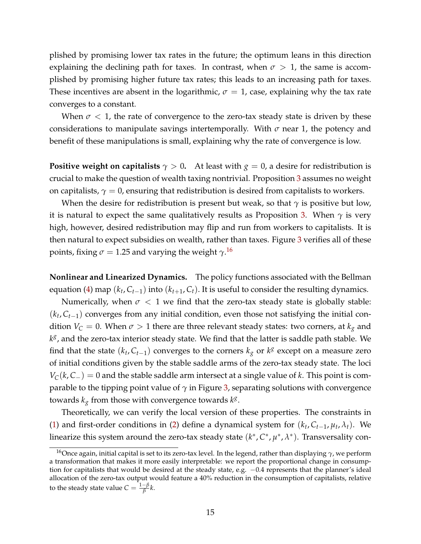plished by promising lower tax rates in the future; the optimum leans in this direction explaining the declining path for taxes. In contrast, when  $\sigma > 1$ , the same is accomplished by promising higher future tax rates; this leads to an increasing path for taxes. These incentives are absent in the logarithmic,  $\sigma = 1$ , case, explaining why the tax rate converges to a constant.

When  $\sigma$  < 1, the rate of convergence to the zero-tax steady state is driven by these considerations to manipulate savings intertemporally. With  $\sigma$  near 1, the potency and benefit of these manipulations is small, explaining why the rate of convergence is low.

**Positive weight on capitalists**  $\gamma > 0$ . At least with  $g = 0$ , a desire for redistribution is crucial to make the question of wealth taxing nontrivial. Proposition [3](#page-12-0) assumes no weight on capitalists,  $\gamma = 0$ , ensuring that redistribution is desired from capitalists to workers.

When the desire for redistribution is present but weak, so that *γ* is positive but low, it is natural to expect the same qualitatively results as Proposition [3.](#page-12-0) When  $\gamma$  is very high, however, desired redistribution may flip and run from workers to capitalists. It is then natural to expect subsidies on wealth, rather than taxes. Figure [3](#page-17-0) verifies all of these points*,* fixing  $\sigma = 1.25$  and varying the weight  $\gamma^{16}$  $\gamma^{16}$  $\gamma^{16}$ 

**Nonlinear and Linearized Dynamics.** The policy functions associated with the Bellman equation [\(4\)](#page-13-1) map  $(k_t, C_{t-1})$  into  $(k_{t+1}, C_t)$ . It is useful to consider the resulting dynamics.

Numerically, when  $\sigma < 1$  we find that the zero-tax steady state is globally stable:  $(k_t, C_{t-1})$  converges from any initial condition, even those not satisfying the initial condition  $V_C = 0$ . When  $\sigma > 1$  there are three relevant steady states: two corners, at  $k_g$  and *kg*, and the zero-tax interior steady state. We find that the latter is saddle path stable. We find that the state  $(k_t, C_{t-1})$  converges to the corners  $k_g$  or  $k^g$  except on a measure zero of initial conditions given by the stable saddle arms of the zero-tax steady state. The loci  $V_C(k, C_+) = 0$  and the stable saddle arm intersect at a single value of *k*. This point is comparable to the tipping point value of  $\gamma$  in Figure [3,](#page-17-0) separating solutions with convergence towards  $k_g$  from those with convergence towards  $k^g$ .

Theoretically, we can verify the local version of these properties. The constraints in [\(1\)](#page-7-1) and first-order conditions in [\(2\)](#page-8-7) define a dynamical system for  $(k_t, C_{t-1}, \mu_t, \lambda_t)$ . We linearize this system around the zero-tax steady state (*k*∗, *C*∗, *µ*∗, *λ*∗). Transversality con-

<span id="page-16-0"></span><sup>16</sup>Once again, initial capital is set to its zero-tax level. In the legend, rather than displaying *γ*, we perform a transformation that makes it more easily interpretable: we report the proportional change in consumption for capitalists that would be desired at the steady state, e.g. −0.4 represents that the planner's ideal allocation of the zero-tax output would feature a 40% reduction in the consumption of capitalists, relative to the steady state value  $C = \frac{1-\beta}{\beta}k$ .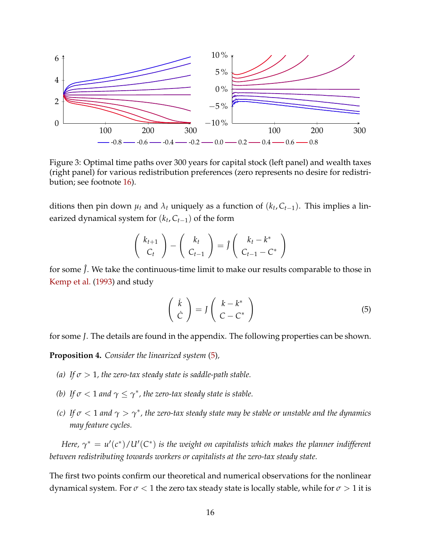

<span id="page-17-1"></span><span id="page-17-0"></span>Figure 3: Optimal time paths over 300 years for capital stock (left panel) and wealth taxes (right panel) for various redistribution preferences (zero represents no desire for redistribution; see footnote [16\)](#page-16-0).

ditions then pin down  $\mu_t$  and  $\lambda_t$  uniquely as a function of  $(k_t, C_{t-1})$ . This implies a linearized dynamical system for  $(k_t, C_{t-1})$  of the form

$$
\left(\begin{array}{c}k_{t+1}\\C_t\end{array}\right)-\left(\begin{array}{c}k_t\\C_{t-1}\end{array}\right)=\hat{J}\left(\begin{array}{c}k_t-k^*\\C_{t-1}-C^*\end{array}\right)
$$

for some  $\hat{J}$ . We take the continuous-time limit to make our results comparable to those in [Kemp et al.](#page-35-4) [\(1993\)](#page-35-4) and study

<span id="page-17-2"></span>
$$
\begin{pmatrix}\n\dot{k} \\
\dot{C}\n\end{pmatrix} = J \begin{pmatrix}\nk - k^* \\
C - C^*\n\end{pmatrix}
$$
\n(5)

for some *J*. The details are found in the appendix. The following properties can be shown.

<span id="page-17-3"></span>**Proposition 4.** *Consider the linearized system* [\(5\)](#page-17-2)*,*

- *(a)* If  $\sigma > 1$ , the zero-tax steady state is saddle-path stable.
- *(b) If*  $\sigma$  < 1 *and*  $\gamma \leq \gamma^*$ *, the zero-tax steady state is stable.*
- *(c) If*  $\sigma$  < 1 *and*  $\gamma$  >  $\gamma^*$ *, the zero-tax steady state may be stable or unstable and the dynamics may feature cycles.*

*Here,*  $\gamma^* = u'(c^*)/U'(C^*)$  is the weight on capitalists which makes the planner indifferent *between redistributing towards workers or capitalists at the zero-tax steady state.*

The first two points confirm our theoretical and numerical observations for the nonlinear dynamical system. For  $\sigma$  < 1 the zero tax steady state is locally stable, while for  $\sigma$  > 1 it is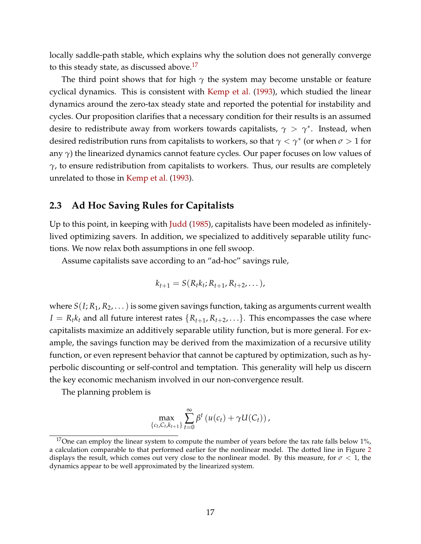locally saddle-path stable, which explains why the solution does not generally converge to this steady state, as discussed above.<sup>17</sup>

The third point shows that for high  $\gamma$  the system may become unstable or feature cyclical dynamics. This is consistent with [Kemp et al.](#page-35-4) [\(1993\)](#page-35-4), which studied the linear dynamics around the zero-tax steady state and reported the potential for instability and cycles. Our proposition clarifies that a necessary condition for their results is an assumed desire to redistribute away from workers towards capitalists,  $\gamma > \gamma^*$ . Instead, when desired redistribution runs from capitalists to workers, so that *γ* < *γ*∗ (or when *σ* > 1 for any *γ*) the linearized dynamics cannot feature cycles. Our paper focuses on low values of *γ*, to ensure redistribution from capitalists to workers. Thus, our results are completely unrelated to those in [Kemp et al.](#page-35-4) [\(1993\)](#page-35-4).

### **2.3 Ad Hoc Saving Rules for Capitalists**

Up to this point, in keeping with [Judd](#page-34-0) [\(1985\)](#page-34-0), capitalists have been modeled as infinitelylived optimizing savers. In addition, we specialized to additively separable utility functions. We now relax both assumptions in one fell swoop.

Assume capitalists save according to an "ad-hoc" savings rule,

$$
k_{t+1}=S(R_t k_t; R_{t+1}, R_{t+2}, \dots),
$$

where  $S(I; R_1, R_2, ...)$  is some given savings function, taking as arguments current wealth  $I = R_t k_t$  and all future interest rates  $\{R_{t+1}, R_{t+2}, \ldots\}$ . This encompasses the case where capitalists maximize an additively separable utility function, but is more general. For example, the savings function may be derived from the maximization of a recursive utility function, or even represent behavior that cannot be captured by optimization, such as hyperbolic discounting or self-control and temptation. This generality will help us discern the key economic mechanism involved in our non-convergence result.

The planning problem is

$$
\max_{\{c_t, C_t, k_{t+1}\}} \sum_{t=0}^{\infty} \beta^t \left( u(c_t) + \gamma U(C_t) \right),
$$

<span id="page-18-0"></span><sup>&</sup>lt;sup>17</sup>One can employ the linear system to compute the number of years before the tax rate falls below 1%, a calculation comparable to that performed earlier for the nonlinear model. The dotted line in Figure [2](#page-15-0) displays the result, which comes out very close to the nonlinear model. By this measure, for  $\sigma < 1$ , the dynamics appear to be well approximated by the linearized system.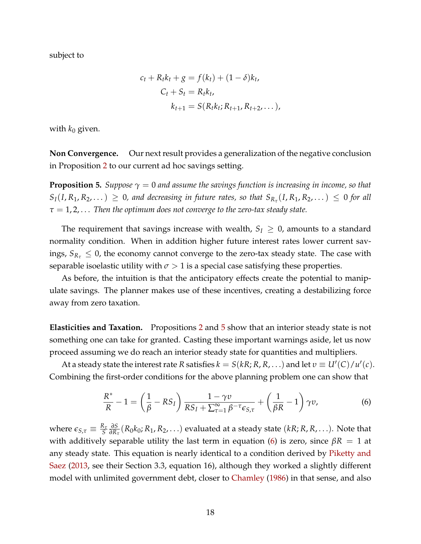subject to

$$
c_{t} + R_{t}k_{t} + g = f(k_{t}) + (1 - \delta)k_{t},
$$
  
\n
$$
C_{t} + S_{t} = R_{t}k_{t},
$$
  
\n
$$
k_{t+1} = S(R_{t}k_{t}; R_{t+1}, R_{t+2}, ...),
$$

with  $k_0$  given.

**Non Convergence.** Our next result provides a generalization of the negative conclusion in Proposition [2](#page-12-1) to our current ad hoc savings setting.

<span id="page-19-0"></span>**Proposition 5.** *Suppose*  $\gamma = 0$  *and assume the savings function is increasing in income, so that*  $S_I(I, R_1, R_2,...) \geq 0$ , and decreasing in future rates, so that  $S_{R_{\tau}}(I, R_1, R_2,...) \leq 0$  for all *τ* = 1, 2, . . . *Then the optimum does not converge to the zero-tax steady state.*

The requirement that savings increase with wealth,  $S_I \geq 0$ , amounts to a standard normality condition. When in addition higher future interest rates lower current savings,  $S_{R_{\tau}} \leq 0$ , the economy cannot converge to the zero-tax steady state. The case with separable isoelastic utility with  $\sigma > 1$  is a special case satisfying these properties.

As before, the intuition is that the anticipatory effects create the potential to manipulate savings. The planner makes use of these incentives, creating a destabilizing force away from zero taxation.

**Elasticities and Taxation.** Propositions [2](#page-12-1) and [5](#page-19-0) show that an interior steady state is not something one can take for granted. Casting these important warnings aside, let us now proceed assuming we do reach an interior steady state for quantities and multipliers.

 $A$ t a steady state the interest rate  $R$  satisfies  $k = S(kR; R, R, ...)$  and let  $v \equiv U'(C)/u'(c)$ . Combining the first-order conditions for the above planning problem one can show that

<span id="page-19-1"></span>
$$
\frac{R^*}{R} - 1 = \left(\frac{1}{\beta} - RS_I\right) \frac{1 - \gamma v}{RS_I + \sum_{\tau=1}^{\infty} \beta^{-\tau} \epsilon_{S,\tau}} + \left(\frac{1}{\beta R} - 1\right) \gamma v,
$$
\n(6)

where  $\epsilon_{S,\tau} \equiv \frac{R_{\tau}}{S}$ *∂S <sup>∂</sup>R<sup>τ</sup>* (*R*0*k*0; *R*1, *R*2,...) evaluated at a steady state (*kR*; *R*, *R*,...). Note that with additively separable utility the last term in equation [\(6\)](#page-19-1) is zero, since  $\beta R = 1$  at any steady state. This equation is nearly identical to a condition derived by [Piketty and](#page-35-5) [Saez](#page-35-5) [\(2013,](#page-35-5) see their Section 3.3, equation 16), although they worked a slightly different model with unlimited government debt, closer to [Chamley](#page-34-1) [\(1986\)](#page-34-1) in that sense, and also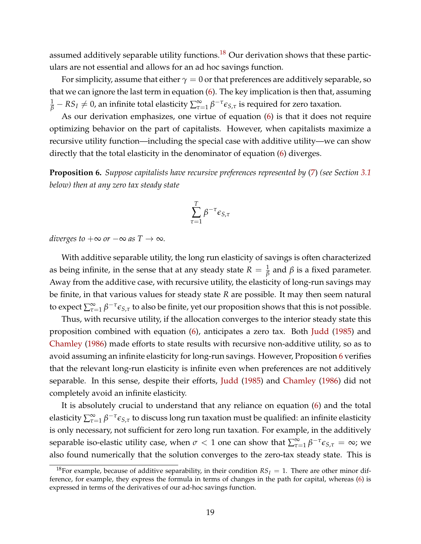assumed additively separable utility functions.<sup>[18](#page-20-0)</sup> Our derivation shows that these particulars are not essential and allows for an ad hoc savings function.

For simplicity, assume that either  $\gamma = 0$  or that preferences are additively separable, so that we can ignore the last term in equation [\(6\)](#page-19-1). The key implication is then that, assuming  $\frac{1}{\beta}-RS_I\neq 0$ , an infinite total elasticity  $\sum_{\tau=1}^{\infty}\beta^{-\tau}\epsilon_{S,\tau}$  is required for zero taxation.

As our derivation emphasizes, one virtue of equation [\(6\)](#page-19-1) is that it does not require optimizing behavior on the part of capitalists. However, when capitalists maximize a recursive utility function—including the special case with additive utility—we can show directly that the total elasticity in the denominator of equation [\(6\)](#page-19-1) diverges.

<span id="page-20-1"></span>**Proposition 6.** *Suppose capitalists have recursive preferences represented by* [\(7\)](#page-22-0) *(see Section [3.1](#page-21-0) below) then at any zero tax steady state*

$$
\sum_{\tau=1}^T \beta^{-\tau} \epsilon_{S,\tau}
$$

*diverges to*  $+\infty$  *or*  $-\infty$  *as*  $T \to \infty$ *.* 

With additive separable utility, the long run elasticity of savings is often characterized as being infinite, in the sense that at any steady state  $R = \frac{1}{\beta}$  and  $\beta$  is a fixed parameter. Away from the additive case, with recursive utility, the elasticity of long-run savings may be finite, in that various values for steady state *R* are possible. It may then seem natural to expect  $\sum_{\tau=1}^{\infty}\beta^{-\tau}\epsilon_{S,\tau}$  to also be finite, yet our proposition shows that this is not possible.

Thus, with recursive utility, if the allocation converges to the interior steady state this proposition combined with equation [\(6\)](#page-19-1), anticipates a zero tax. Both [Judd](#page-34-0) [\(1985\)](#page-34-0) and [Chamley](#page-34-1) [\(1986\)](#page-34-1) made efforts to state results with recursive non-additive utility, so as to avoid assuming an infinite elasticity for long-run savings. However, Proposition [6](#page-20-1) verifies that the relevant long-run elasticity is infinite even when preferences are not additively separable. In this sense, despite their efforts, [Judd](#page-34-0) [\(1985\)](#page-34-0) and [Chamley](#page-34-1) [\(1986\)](#page-34-1) did not completely avoid an infinite elasticity.

It is absolutely crucial to understand that any reliance on equation [\(6\)](#page-19-1) and the total elasticity  $\sum_{\tau=1}^\infty \beta^{-\tau}\epsilon_{S,\tau}$  to discuss long run taxation must be qualified: an infinite elasticity is only necessary, not sufficient for zero long run taxation. For example, in the additively separable iso-elastic utility case, when  $\sigma < 1$  one can show that  $\sum_{\tau=1}^{\infty} \beta^{-\tau} \epsilon_{S,\tau} = \infty$ ; we also found numerically that the solution converges to the zero-tax steady state. This is

<span id="page-20-0"></span><sup>&</sup>lt;sup>18</sup>For example, because of additive separability, in their condition  $RS_I = 1$ . There are other minor difference, for example, they express the formula in terms of changes in the path for capital, whereas [\(6\)](#page-19-1) is expressed in terms of the derivatives of our ad-hoc savings function.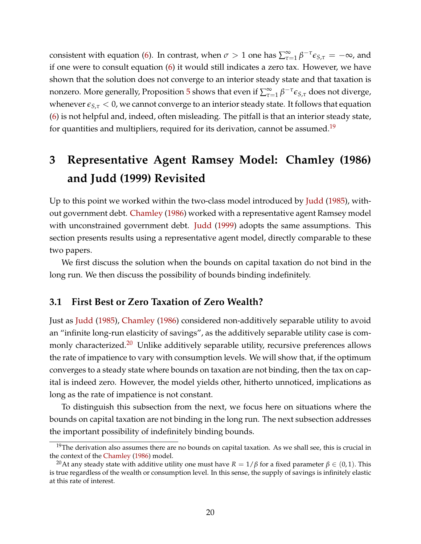consistent with equation [\(6\)](#page-19-1). In contrast, when  $\sigma > 1$  one has  $\sum_{\tau=1}^{\infty} \beta^{-\tau} \epsilon_{S,\tau} = -\infty$ , and if one were to consult equation [\(6\)](#page-19-1) it would still indicates a zero tax. However, we have shown that the solution does not converge to an interior steady state and that taxation is nonzero. More generally, Proposition [5](#page-19-0) shows that even if  $\sum_{\tau=1}^{\infty}\beta^{-\tau}\epsilon_{S,\tau}$  does not diverge, whenever  $\epsilon_{S,\tau}$  < 0, we cannot converge to an interior steady state. It follows that equation [\(6\)](#page-19-1) is not helpful and, indeed, often misleading. The pitfall is that an interior steady state, for quantities and multipliers, required for its derivation, cannot be assumed.<sup>19</sup>

# **3 Representative Agent Ramsey Model: Chamley (1986) and Judd (1999) Revisited**

Up to this point we worked within the two-class model introduced by [Judd](#page-34-0) [\(1985\)](#page-34-0), without government debt. [Chamley](#page-34-1) [\(1986\)](#page-34-1) worked with a representative agent Ramsey model with unconstrained government debt. [Judd](#page-34-9) [\(1999\)](#page-34-9) adopts the same assumptions. This section presents results using a representative agent model, directly comparable to these two papers.

We first discuss the solution when the bounds on capital taxation do not bind in the long run. We then discuss the possibility of bounds binding indefinitely.

### <span id="page-21-0"></span>**3.1 First Best or Zero Taxation of Zero Wealth?**

Just as [Judd](#page-34-0) [\(1985\)](#page-34-0), [Chamley](#page-34-1) [\(1986\)](#page-34-1) considered non-additively separable utility to avoid an "infinite long-run elasticity of savings", as the additively separable utility case is com-monly characterized.<sup>[20](#page-21-2)</sup> Unlike additively separable utility, recursive preferences allows the rate of impatience to vary with consumption levels. We will show that, if the optimum converges to a steady state where bounds on taxation are not binding, then the tax on capital is indeed zero. However, the model yields other, hitherto unnoticed, implications as long as the rate of impatience is not constant.

To distinguish this subsection from the next, we focus here on situations where the bounds on capital taxation are not binding in the long run. The next subsection addresses the important possibility of indefinitely binding bounds.

<span id="page-21-1"></span> $19$ The derivation also assumes there are no bounds on capital taxation. As we shall see, this is crucial in the context of the [Chamley](#page-34-1) [\(1986\)](#page-34-1) model.

<span id="page-21-2"></span><sup>&</sup>lt;sup>20</sup>At any steady state with additive utility one must have  $R = 1/\beta$  for a fixed parameter  $\beta \in (0,1)$ . This is true regardless of the wealth or consumption level. In this sense, the supply of savings is infinitely elastic at this rate of interest.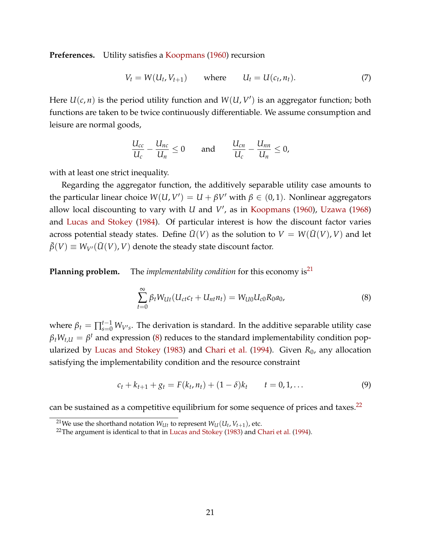**Preferences.** Utility satisfies a [Koopmans](#page-35-6) [\(1960\)](#page-35-6) recursion

<span id="page-22-0"></span>
$$
V_t = W(U_t, V_{t+1}) \qquad \text{where} \qquad U_t = U(c_t, n_t). \tag{7}
$$

Here  $U(c, n)$  is the period utility function and  $W(U, V')$  is an aggregator function; both functions are taken to be twice continuously differentiable. We assume consumption and leisure are normal goods,

$$
\frac{U_{cc}}{U_c} - \frac{U_{nc}}{U_n} \le 0 \quad \text{and} \quad \frac{U_{cn}}{U_c} - \frac{U_{nn}}{U_n} \le 0,
$$

with at least one strict inequality.

Regarding the aggregator function, the additively separable utility case amounts to the particular linear choice  $W(U, V') = U + \beta V'$  with  $\beta \in (0, 1)$ . Nonlinear aggregators allow local discounting to vary with *U* and *V'*, as in [Koopmans](#page-35-6) [\(1960\)](#page-35-6), [Uzawa](#page-35-7) [\(1968\)](#page-35-7) and [Lucas and Stokey](#page-35-8) [\(1984\)](#page-35-8). Of particular interest is how the discount factor varies across potential steady states. Define  $\overline{U}(V)$  as the solution to  $V = W(\overline{U}(V), V)$  and let  $\bar{\beta}(V) \equiv W_{V'}(\bar{U}(V), V)$  denote the steady state discount factor.

**Planning problem.** The *implementability condition* for this economy is<sup>21</sup>

<span id="page-22-2"></span>
$$
\sum_{t=0}^{\infty} \beta_t W_{Ut} (U_{ct}c_t + U_{nt}n_t) = W_{U0} U_{c0} R_0 a_0,
$$
\n(8)

where  $\beta_t = \prod_{s=0}^{t-1} W_{V's}$ . The derivation is standard. In the additive separable utility case  $\beta_t W_{t,U} = \beta^t$  and expression [\(8\)](#page-22-2) reduces to the standard implementability condition popularized by [Lucas and Stokey](#page-35-9) [\(1983\)](#page-35-9) and [Chari et al.](#page-34-10) [\(1994\)](#page-34-10). Given *R*0, any allocation satisfying the implementability condition and the resource constraint

<span id="page-22-4"></span>
$$
c_t + k_{t+1} + g_t = F(k_t, n_t) + (1 - \delta)k_t \qquad t = 0, 1, ... \qquad (9)
$$

can be sustained as a competitive equilibrium for some sequence of prices and taxes. $^{22}$ 

<span id="page-22-1"></span><sup>&</sup>lt;sup>21</sup>We use the shorthand notation  $W_{U_t}$  to represent  $W_U(U_t, V_{t+1})$ , etc.

<span id="page-22-3"></span> $22$ The argument is identical to that in [Lucas and Stokey](#page-35-9) [\(1983\)](#page-35-9) and [Chari et al.](#page-34-10) [\(1994\)](#page-34-10).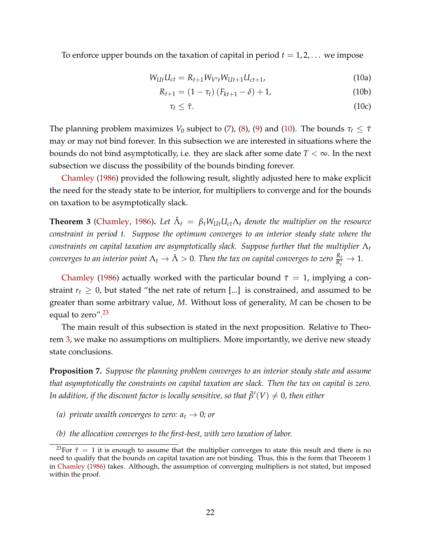To enforce upper bounds on the taxation of capital in period  $t = 1, 2, \ldots$  we impose

$$
W_{Ut}U_{ct} = R_{t+1}W_{V't}W_{Ut+1}U_{ct+1},
$$
\n(10a)

$$
R_{t+1} = (1 - \tau_t) (F_{kt+1} - \delta) + 1,
$$
 (10b)

<span id="page-23-0"></span>
$$
\tau_t \leq \bar{\tau}.\tag{10c}
$$

The planning problem maximizes *V*<sub>0</sub> subject to [\(7\)](#page-22-0), [\(8\)](#page-22-2), [\(9\)](#page-22-4) and [\(10\)](#page-23-0). The bounds  $\tau_t \leq \bar{\tau}$ may or may not bind forever. In this subsection we are interested in situations where the bounds do not bind asymptotically, i.e. they are slack after some date  $T < \infty$ . In the next subsection we discuss the possibility of the bounds binding forever.

[Chamley](#page-34-1) [\(1986\)](#page-34-1) provided the following result, slightly adjusted here to make explicit the need for the steady state to be interior, for multipliers to converge and for the bounds on taxation to be asymptotically slack.

<span id="page-23-2"></span>**Theorem 3** [\(Chamley,](#page-34-1) [1986\)](#page-34-1). Let  $\hat{\Lambda}_t = \beta_t W_{U_t} U_{c} \Lambda_t$  denote the multiplier on the resource *constraint in period t. Suppose the optimum converges to an interior steady state where the constraints on capital taxation are asymptotically slack. Suppose further that the multiplier* Λ*<sup>t</sup>*  $i$  *converges to an interior point*  $\Lambda_t\to\bar\Lambda>0.$  *Then the tax on capital converges to zero*  $\frac{R_t}{R^*_t}\to 1.$ 

[Chamley](#page-34-1) [\(1986\)](#page-34-1) actually worked with the particular bound  $\bar{\tau}=1$ , implying a constraint  $r_t \geq 0$ , but stated "the net rate of return [...] is constrained, and assumed to be greater than some arbitrary value, *M*. Without loss of generality, *M* can be chosen to be equal to zero".<sup>23</sup>

The main result of this subsection is stated in the next proposition. Relative to Theorem [3,](#page-23-2) we make no assumptions on multipliers. More importantly, we derive new steady state conclusions.

<span id="page-23-3"></span>**Proposition 7.** *Suppose the planning problem converges to an interior steady state and assume that asymptotically the constraints on capital taxation are slack. Then the tax on capital is zero.* In addition, if the discount factor is locally sensitive, so that  $\bar{\beta}'(V) \neq 0$ , then either

- *(a) private wealth converges to zero:*  $a_t \rightarrow 0$ *; or*
- *(b) the allocation converges to the first-best, with zero taxation of labor.*

<span id="page-23-1"></span><sup>&</sup>lt;sup>23</sup>For  $\bar{\tau}=1$  it is enough to assume that the multiplier converges to state this result and there is no need to qualify that the bounds on capital taxation are not binding. Thus, this is the form that Theorem 1 in [Chamley](#page-34-1) [\(1986\)](#page-34-1) takes. Although, the assumption of converging multipliers is not stated, but imposed within the proof.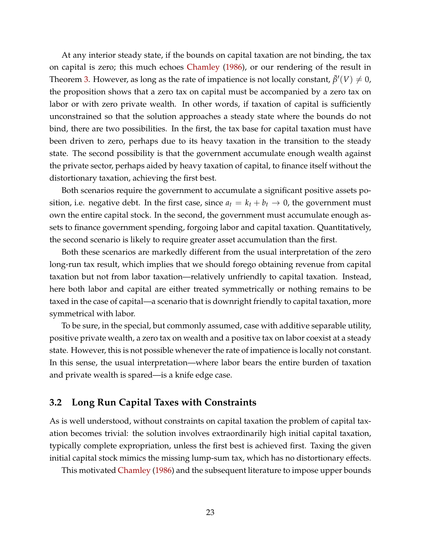At any interior steady state, if the bounds on capital taxation are not binding, the tax on capital is zero; this much echoes [Chamley](#page-34-1) [\(1986\)](#page-34-1), or our rendering of the result in Theorem [3.](#page-23-2) However, as long as the rate of impatience is not locally constant,  $\bar{\beta}'(V) \neq 0$ , the proposition shows that a zero tax on capital must be accompanied by a zero tax on labor or with zero private wealth. In other words, if taxation of capital is sufficiently unconstrained so that the solution approaches a steady state where the bounds do not bind, there are two possibilities. In the first, the tax base for capital taxation must have been driven to zero, perhaps due to its heavy taxation in the transition to the steady state. The second possibility is that the government accumulate enough wealth against the private sector, perhaps aided by heavy taxation of capital, to finance itself without the distortionary taxation, achieving the first best.

Both scenarios require the government to accumulate a significant positive assets position, i.e. negative debt. In the first case, since  $a_t = k_t + b_t \rightarrow 0$ , the government must own the entire capital stock. In the second, the government must accumulate enough assets to finance government spending, forgoing labor and capital taxation. Quantitatively, the second scenario is likely to require greater asset accumulation than the first.

Both these scenarios are markedly different from the usual interpretation of the zero long-run tax result, which implies that we should forego obtaining revenue from capital taxation but not from labor taxation—relatively unfriendly to capital taxation. Instead, here both labor and capital are either treated symmetrically or nothing remains to be taxed in the case of capital—a scenario that is downright friendly to capital taxation, more symmetrical with labor.

To be sure, in the special, but commonly assumed, case with additive separable utility, positive private wealth, a zero tax on wealth and a positive tax on labor coexist at a steady state. However, this is not possible whenever the rate of impatience is locally not constant. In this sense, the usual interpretation—where labor bears the entire burden of taxation and private wealth is spared—is a knife edge case.

### <span id="page-24-0"></span>**3.2 Long Run Capital Taxes with Constraints**

As is well understood, without constraints on capital taxation the problem of capital taxation becomes trivial: the solution involves extraordinarily high initial capital taxation, typically complete expropriation, unless the first best is achieved first. Taxing the given initial capital stock mimics the missing lump-sum tax, which has no distortionary effects.

This motivated [Chamley](#page-34-1) [\(1986\)](#page-34-1) and the subsequent literature to impose upper bounds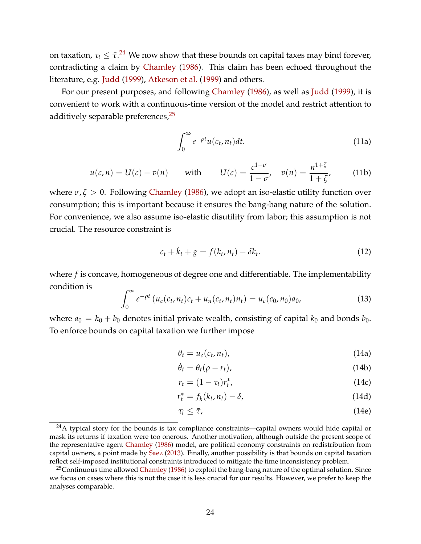on taxation,  $\tau_t \leq \bar{\tau}.^{24}$  $\tau_t \leq \bar{\tau}.^{24}$  $\tau_t \leq \bar{\tau}.^{24}$  We now show that these bounds on capital taxes may bind forever, contradicting a claim by [Chamley](#page-34-1) [\(1986\)](#page-34-1). This claim has been echoed throughout the literature, e.g. [Judd](#page-34-9) [\(1999\)](#page-34-9), [Atkeson et al.](#page-34-4) [\(1999\)](#page-34-4) and others.

For our present purposes, and following [Chamley](#page-34-1) [\(1986\)](#page-34-1), as well as [Judd](#page-34-9) [\(1999\)](#page-34-9), it is convenient to work with a continuous-time version of the model and restrict attention to additively separable preferences, $25$ 

<span id="page-25-6"></span><span id="page-25-2"></span>
$$
\int_0^\infty e^{-\rho t} u(c_t, n_t) dt.
$$
 (11a)

$$
u(c,n) = U(c) - v(n)
$$
 with  $U(c) = \frac{c^{1-\sigma}}{1-\sigma}$ ,  $v(n) = \frac{n^{1+\zeta}}{1+\zeta}$ , (11b)

where  $\sigma$ ,  $\zeta > 0$ . Following [Chamley](#page-34-1) [\(1986\)](#page-34-1), we adopt an iso-elastic utility function over consumption; this is important because it ensures the bang-bang nature of the solution. For convenience, we also assume iso-elastic disutility from labor; this assumption is not crucial. The resource constraint is

<span id="page-25-3"></span>
$$
c_t + \dot{k}_t + g = f(k_t, n_t) - \delta k_t.
$$
\n
$$
(12)
$$

where *f* is concave, homogeneous of degree one and differentiable. The implementability condition is

<span id="page-25-4"></span>
$$
\int_0^\infty e^{-\rho t} \left( u_c(c_t, n_t)c_t + u_n(c_t, n_t)n_t \right) = u_c(c_0, n_0)a_0, \tag{13}
$$

where  $a_0 = k_0 + b_0$  denotes initial private wealth, consisting of capital  $k_0$  and bonds  $b_0$ . To enforce bounds on capital taxation we further impose

<span id="page-25-8"></span><span id="page-25-7"></span><span id="page-25-5"></span>
$$
\theta_t = u_c(c_t, n_t), \tag{14a}
$$

$$
\dot{\theta}_t = \theta_t(\rho - r_t), \tag{14b}
$$

$$
r_t = (1 - \tau_t)r_t^*,\tag{14c}
$$

$$
r_t^* = f_k(k_t, n_t) - \delta,\tag{14d}
$$

<span id="page-25-9"></span>
$$
\tau_t \leq \bar{\tau},\tag{14e}
$$

<span id="page-25-0"></span> $24A$  typical story for the bounds is tax compliance constraints—capital owners would hide capital or mask its returns if taxation were too onerous. Another motivation, although outside the present scope of the representative agent [Chamley](#page-34-1) [\(1986\)](#page-34-1) model, are political economy constraints on redistribution from capital owners, a point made by [Saez](#page-35-1) [\(2013\)](#page-35-1). Finally, another possibility is that bounds on capital taxation reflect self-imposed institutional constraints introduced to mitigate the time inconsistency problem.

<span id="page-25-1"></span><sup>&</sup>lt;sup>25</sup>Continuous time allowed [Chamley](#page-34-1) [\(1986\)](#page-34-1) to exploit the bang-bang nature of the optimal solution. Since we focus on cases where this is not the case it is less crucial for our results. However, we prefer to keep the analyses comparable.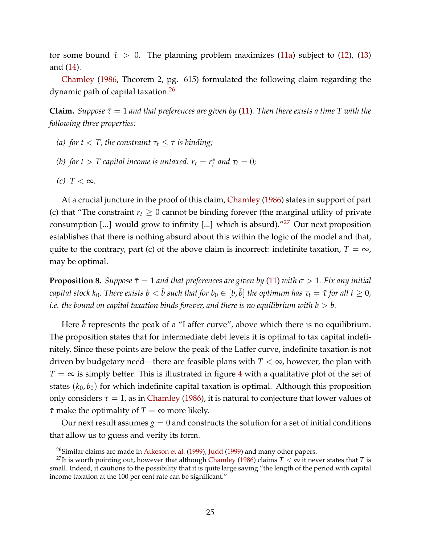for some bound  $\bar{\tau} > 0$ . The planning problem maximizes [\(11a\)](#page-25-2) subject to [\(12\)](#page-25-3), [\(13\)](#page-25-4) and [\(14\)](#page-25-5).

[Chamley](#page-34-1) [\(1986,](#page-34-1) Theorem 2, pg. 615) formulated the following claim regarding the dynamic path of capital taxation[.26](#page-26-0)

**Claim.** *Suppose*  $\bar{\tau} = 1$  *and that preferences are given by* [\(11\)](#page-25-6). *Then there exists a time T with the following three properties:*

- *(a) for*  $t < T$ *, the constraint*  $\tau_t \leq \overline{\tau}$  *is binding;*
- *(b) for t*  $>$  *T capital income is untaxed:*  $r_t = r_t^*$  *and*  $\tau_t = 0$ ;
- $(c)$  *T* < ∞*.*

At a crucial juncture in the proof of this claim, [Chamley](#page-34-1) [\(1986\)](#page-34-1) states in support of part (c) that "The constraint  $r_t \geq 0$  cannot be binding forever (the marginal utility of private consumption [...] would grow to infinity [...] which is absurd)."<sup>27</sup> Our next proposition establishes that there is nothing absurd about this within the logic of the model and that, quite to the contrary, part (c) of the above claim is incorrect: indefinite taxation,  $T = \infty$ , may be optimal.

<span id="page-26-2"></span>**Proposition 8.** *Suppose*  $\bar{\tau} = 1$  *and that preferences are given by* [\(11\)](#page-25-6) *with*  $\sigma > 1$ *. Fix any initial*  $a$  capital stock  $k_0$ . There exists  $\underline{b} < \bar{b}$  such that for  $b_0 \in [\underline{b},\bar{b}]$  the optimum has  $\tau_t = \bar{\tau}$  for all  $t \geq 0$ , *i.e. the bound on capital taxation binds forever, and there is no equilibrium with b*  $> \bar{b}.$ 

Here  $\bar{b}$  represents the peak of a "Laffer curve", above which there is no equilibrium. The proposition states that for intermediate debt levels it is optimal to tax capital indefinitely. Since these points are below the peak of the Laffer curve, indefinite taxation is not driven by budgetary need—there are feasible plans with  $T < \infty$ , however, the plan with  $T = \infty$  is simply better. This is illustrated in figure [4](#page-27-1) with a qualitative plot of the set of states  $(k_0, b_0)$  for which indefinite capital taxation is optimal. Although this proposition only considers  $\bar{\tau}=1$ , as in [Chamley](#page-34-1) [\(1986\)](#page-34-1), it is natural to conjecture that lower values of  $\bar{\tau}$  make the optimality of  $T = \infty$  more likely.

Our next result assumes  $g = 0$  and constructs the solution for a set of initial conditions that allow us to guess and verify its form.

<span id="page-26-1"></span><span id="page-26-0"></span><sup>&</sup>lt;sup>26</sup>Similar claims are made in [Atkeson et al.](#page-34-4) [\(1999\)](#page-34-9), [Judd](#page-34-9) (1999) and many other papers.

<sup>&</sup>lt;sup>27</sup>It is worth pointing out, however that although [Chamley](#page-34-1) [\(1986\)](#page-34-1) claims  $T < \infty$  it never states that *T* is small. Indeed, it cautions to the possibility that it is quite large saying "the length of the period with capital income taxation at the 100 per cent rate can be significant."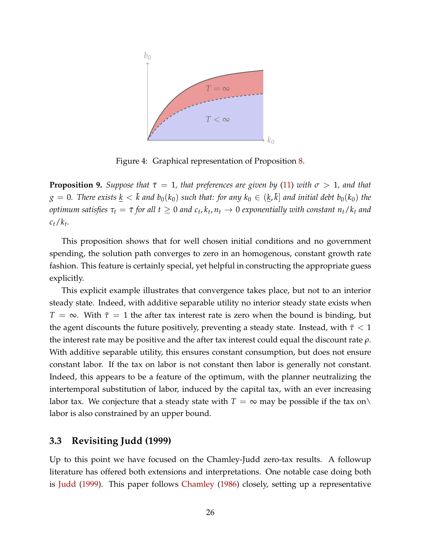

<span id="page-27-1"></span>Figure 4: Graphical representation of Proposition [8.](#page-26-2)

<span id="page-27-2"></span>**Proposition 9.** *Suppose that*  $\bar{\tau} = 1$ *, that preferences are given by* [\(11\)](#page-25-6) *with*  $\sigma > 1$ *, and that*  $g = 0$ . There exists  $\underline{k} < \bar{k}$  and  $b_0(k_0)$  such that: for any  $k_0 \in (\underline{k}, \bar{k}]$  and initial debt  $b_0(k_0)$  the *optimum satisfies*  $\tau_t = \bar{\tau}$  *for all t*  $\geq 0$  *and*  $c_t$ ,  $k_t$ ,  $n_t \to 0$  *exponentially with constant*  $n_t / k_t$  *and ct*/*kt.*

This proposition shows that for well chosen initial conditions and no government spending, the solution path converges to zero in an homogenous, constant growth rate fashion. This feature is certainly special, yet helpful in constructing the appropriate guess explicitly.

This explicit example illustrates that convergence takes place, but not to an interior steady state. Indeed, with additive separable utility no interior steady state exists when  $T = \infty$ . With  $\bar{\tau} = 1$  the after tax interest rate is zero when the bound is binding, but the agent discounts the future positively, preventing a steady state. Instead, with  $\bar{\tau}$  < 1 the interest rate may be positive and the after tax interest could equal the discount rate *ρ*. With additive separable utility, this ensures constant consumption, but does not ensure constant labor. If the tax on labor is not constant then labor is generally not constant. Indeed, this appears to be a feature of the optimum, with the planner neutralizing the intertemporal substitution of labor, induced by the capital tax, with an ever increasing labor tax. We conjecture that a steady state with  $T = \infty$  may be possible if the tax on \ labor is also constrained by an upper bound.

### <span id="page-27-0"></span>**3.3 Revisiting Judd (1999)**

Up to this point we have focused on the Chamley-Judd zero-tax results. A followup literature has offered both extensions and interpretations. One notable case doing both is [Judd](#page-34-9) [\(1999\)](#page-34-9). This paper follows [Chamley](#page-34-1) [\(1986\)](#page-34-1) closely, setting up a representative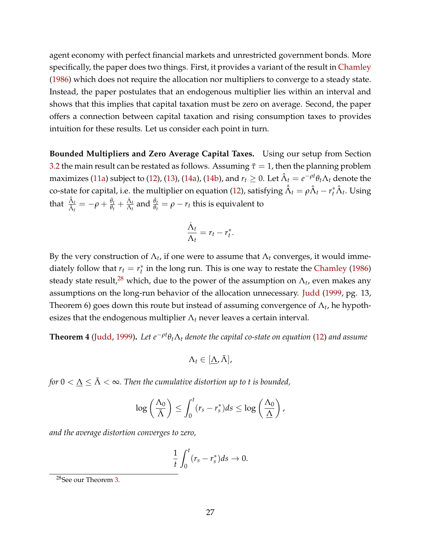agent economy with perfect financial markets and unrestricted government bonds. More specifically, the paper does two things. First, it provides a variant of the result in [Chamley](#page-34-1) [\(1986\)](#page-34-1) which does not require the allocation nor multipliers to converge to a steady state. Instead, the paper postulates that an endogenous multiplier lies within an interval and shows that this implies that capital taxation must be zero on average. Second, the paper offers a connection between capital taxation and rising consumption taxes to provides intuition for these results. Let us consider each point in turn.

**Bounded Multipliers and Zero Average Capital Taxes.** Using our setup from Section [3.2](#page-24-0) the main result can be restated as follows. Assuming  $\bar{\tau}=1$ , then the planning problem maximizes [\(11a\)](#page-25-2) subject to [\(12\)](#page-25-3), [\(13\)](#page-25-4), [\(14a\)](#page-25-7), [\(14b\)](#page-25-8), and  $r_t\geq 0.$  Let  $\hat{\Lambda}_t=e^{-\rho t}\theta_t\Lambda_t$  denote the co-state for capital, i.e. the multiplier on equation [\(12\)](#page-25-3), satisfying  $\hat{\Lambda}_t=\rho\hat{\Lambda}_t-r_t^*\hat{\Lambda}_t.$  Using that  $\frac{\hat{\Lambda}_t}{\hat{\lambda}}$  $\frac{\hat{\Delta}_t}{\hat{\Delta}_t} = -\rho + \frac{\dot{\theta}_t}{\theta_t}$  $\frac{\dot{\theta}_t}{\theta_t} + \frac{\dot{\Lambda}_t}{\Lambda_t}$  and  $\frac{\dot{\theta}_t}{\theta_t} = \rho - r_t$  this is equivalent to

$$
\frac{\dot{\Lambda}_t}{\Lambda_t}=r_t-r_t^*.
$$

By the very construction of  $\Lambda_t$ , if one were to assume that  $\Lambda_t$  converges, it would immediately follow that  $r_t = r_t^*$  in the long run. This is one way to restate the [Chamley](#page-34-1) [\(1986\)](#page-34-1) steady state result,<sup>[28](#page-28-0)</sup> which, due to the power of the assumption on  $\Lambda_t$ , even makes any assumptions on the long-run behavior of the allocation unnecessary. [Judd](#page-34-9) [\(1999,](#page-34-9) pg. 13, Theorem 6) goes down this route but instead of assuming convergence of Λ*t*, he hypothesizes that the endogenous multiplier  $\Lambda_t$  never leaves a certain interval.

<span id="page-28-1"></span>**Theorem 4** [\(Judd,](#page-34-9) [1999\)](#page-34-9)**.** *Let e*−*ρ<sup>t</sup> θt*Λ*<sup>t</sup> denote the capital co-state on equation* [\(12\)](#page-25-3) *and assume*

$$
\Lambda_t\in[\underline{\Lambda},\bar{\Lambda}],
$$

*for*  $0 < \underline{\Lambda} \leq \overline{\Lambda} < \infty$ *. Then the cumulative distortion up to t is bounded,* 

$$
\log\left(\frac{\Lambda_0}{\bar{\Lambda}}\right)\leq \int_0^t (r_s-r_s^*)ds\leq \log\left(\frac{\Lambda_0}{\underline{\Lambda}}\right),
$$

*and the average distortion converges to zero,*

$$
\frac{1}{t}\int_0^t (r_s - r_s^*) ds \to 0.
$$

<span id="page-28-0"></span><sup>28</sup>See our Theorem [3.](#page-23-2)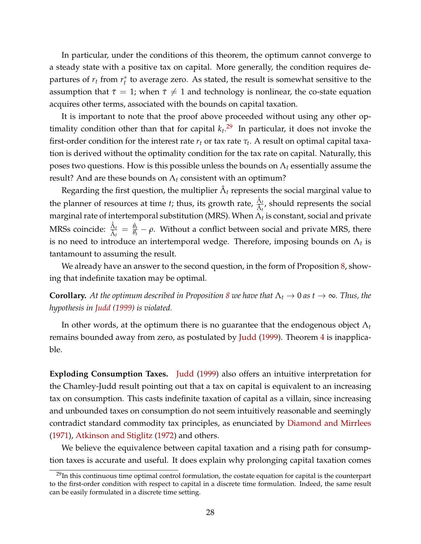In particular, under the conditions of this theorem, the optimum cannot converge to a steady state with a positive tax on capital. More generally, the condition requires departures of *rt* from *r*∗ *<sup>t</sup>* to average zero. As stated, the result is somewhat sensitive to the assumption that  $\bar{\tau}=1$ ; when  $\bar{\tau}\neq 1$  and technology is nonlinear, the co-state equation acquires other terms, associated with the bounds on capital taxation.

It is important to note that the proof above proceeded without using any other optimality condition other than that for capital  $k_t$ .<sup>[29](#page-29-0)</sup> In particular, it does not invoke the first-order condition for the interest rate  $r_t$  or tax rate  $\tau_t$ . A result on optimal capital taxation is derived without the optimality condition for the tax rate on capital. Naturally, this poses two questions. How is this possible unless the bounds on  $\Lambda_t$  essentially assume the result? And are these bounds on  $\Lambda_t$  consistent with an optimum?

Regarding the first question, the multiplier  $\hat{\Lambda}_t$  represents the social marginal value to the planner of resources at time *t*; thus, its growth rate,  $\frac{\hat{\Lambda}_t}{\hat{\lambda}}$  $\frac{\Delta_t}{\hat{\Lambda}_t}$ , should represents the social marginal rate of intertemporal substitution (MRS). When Λ*<sup>t</sup>* is constant, social and private MRSs coincide:  $\frac{\hat{\Lambda}_t}{\hat{\lambda}}$  $\frac{\hat{\Lambda}_t}{\hat{\Lambda}_t} = \frac{\dot{\theta}_t}{\theta_t} - \rho$ . Without a conflict between social and private MRS, there is no need to introduce an intertemporal wedge. Therefore, imposing bounds on  $\Lambda_t$  is tantamount to assuming the result.

We already have an answer to the second question, in the form of Proposition [8,](#page-26-2) showing that indefinite taxation may be optimal.

**Corollary.** At the optimum described in Proposition [8](#page-26-2) we have that  $\Lambda_t \to 0$  as  $t \to \infty$ . Thus, the *hypothesis in [Judd](#page-34-9) [\(1999\)](#page-34-9) is violated.*

In other words, at the optimum there is no guarantee that the endogenous object Λ*<sup>t</sup>* remains bounded away from zero, as postulated by [Judd](#page-34-9) [\(1999\)](#page-34-9). Theorem [4](#page-28-1) is inapplicable.

**Exploding Consumption Taxes.** [Judd](#page-34-9) [\(1999\)](#page-34-9) also offers an intuitive interpretation for the Chamley-Judd result pointing out that a tax on capital is equivalent to an increasing tax on consumption. This casts indefinite taxation of capital as a villain, since increasing and unbounded taxes on consumption do not seem intuitively reasonable and seemingly contradict standard commodity tax principles, as enunciated by [Diamond and Mirrlees](#page-34-6) [\(1971\)](#page-34-6), [Atkinson and Stiglitz](#page-34-11) [\(1972\)](#page-34-11) and others.

We believe the equivalence between capital taxation and a rising path for consumption taxes is accurate and useful. It does explain why prolonging capital taxation comes

<span id="page-29-0"></span> $29$ In this continuous time optimal control formulation, the costate equation for capital is the counterpart to the first-order condition with respect to capital in a discrete time formulation. Indeed, the same result can be easily formulated in a discrete time setting.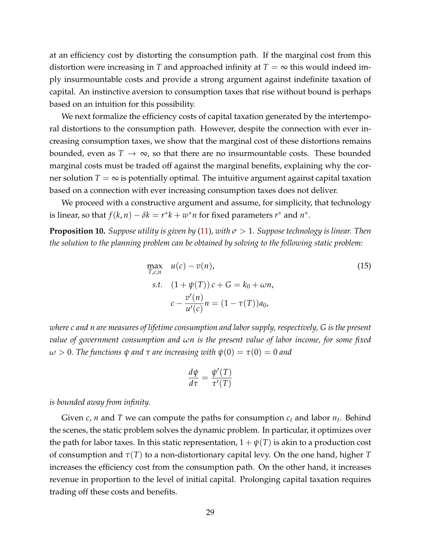at an efficiency cost by distorting the consumption path. If the marginal cost from this distortion were increasing in *T* and approached infinity at  $T = \infty$  this would indeed imply insurmountable costs and provide a strong argument against indefinite taxation of capital. An instinctive aversion to consumption taxes that rise without bound is perhaps based on an intuition for this possibility.

We next formalize the efficiency costs of capital taxation generated by the intertemporal distortions to the consumption path. However, despite the connection with ever increasing consumption taxes, we show that the marginal cost of these distortions remains bounded, even as  $T \to \infty$ , so that there are no insurmountable costs. These bounded marginal costs must be traded off against the marginal benefits, explaining why the corner solution  $T = \infty$  is potentially optimal. The intuitive argument against capital taxation based on a connection with ever increasing consumption taxes does not deliver.

We proceed with a constructive argument and assume, for simplicity, that technology is linear, so that  $f(k, n) - \delta k = r^*k + w^*n$  for fixed parameters  $r^*$  and  $n^*$ .

<span id="page-30-0"></span>**Proposition 10.** *Suppose utility is given by* [\(11\)](#page-25-6), with  $\sigma > 1$ . *Suppose technology is linear. Then the solution to the planning problem can be obtained by solving to the following static problem:*

$$
\max_{T,c,n} \quad u(c) - v(n),
$$
\n
$$
s.t. \quad (1 + \psi(T)) c + G = k_0 + \omega n,
$$
\n
$$
c - \frac{v'(n)}{u'(c)} n = (1 - \tau(T)) a_0,
$$
\n(15)

*where c and n are measures of lifetime consumption and labor supply, respectively, G is the present value of government consumption and ωn is the present value of labor income, for some fixed*  $ω > 0$ . The functions  $ψ$  *and*  $τ$  *are increasing with*  $ψ(0) = τ(0) = 0$  *and* 

<span id="page-30-1"></span>
$$
\frac{d\psi}{d\tau} = \frac{\psi'(T)}{\tau'(T)}
$$

*is bounded away from infinity.*

Given  $c$ ,  $n$  and  $T$  we can compute the paths for consumption  $c_t$  and labor  $n_t$ . Behind the scenes, the static problem solves the dynamic problem. In particular, it optimizes over the path for labor taxes. In this static representation,  $1 + \psi(T)$  is akin to a production cost of consumption and *τ*(*T*) to a non-distortionary capital levy. On the one hand, higher *T* increases the efficiency cost from the consumption path. On the other hand, it increases revenue in proportion to the level of initial capital. Prolonging capital taxation requires trading off these costs and benefits.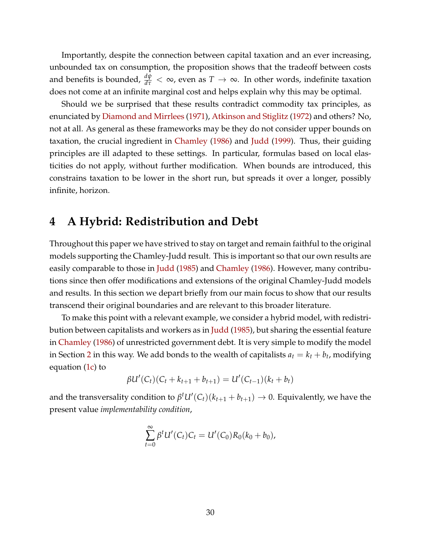Importantly, despite the connection between capital taxation and an ever increasing, unbounded tax on consumption, the proposition shows that the tradeoff between costs and benefits is bounded,  $\frac{d\psi}{d\tau}<\infty$ , even as  $T\to\infty.$  In other words, indefinite taxation does not come at an infinite marginal cost and helps explain why this may be optimal.

Should we be surprised that these results contradict commodity tax principles, as enunciated by [Diamond and Mirrlees](#page-34-6) [\(1971\)](#page-34-6), [Atkinson and Stiglitz](#page-34-11) [\(1972\)](#page-34-11) and others? No, not at all. As general as these frameworks may be they do not consider upper bounds on taxation, the crucial ingredient in [Chamley](#page-34-1) [\(1986\)](#page-34-1) and [Judd](#page-34-9) [\(1999\)](#page-34-9). Thus, their guiding principles are ill adapted to these settings. In particular, formulas based on local elasticities do not apply, without further modification. When bounds are introduced, this constrains taxation to be lower in the short run, but spreads it over a longer, possibly infinite, horizon.

## **4 A Hybrid: Redistribution and Debt**

Throughout this paper we have strived to stay on target and remain faithful to the original models supporting the Chamley-Judd result. This is important so that our own results are easily comparable to those in [Judd](#page-34-0) [\(1985\)](#page-34-0) and [Chamley](#page-34-1) [\(1986\)](#page-34-1). However, many contributions since then offer modifications and extensions of the original Chamley-Judd models and results. In this section we depart briefly from our main focus to show that our results transcend their original boundaries and are relevant to this broader literature.

To make this point with a relevant example, we consider a hybrid model, with redistribution between capitalists and workers as in [Judd](#page-34-0) [\(1985\)](#page-34-0), but sharing the essential feature in [Chamley](#page-34-1) [\(1986\)](#page-34-1) of unrestricted government debt. It is very simple to modify the model in Section [2](#page-7-2) in this way. We add bonds to the wealth of capitalists  $a_t = k_t + b_t$ , modifying equation [\(1c\)](#page-8-1) to

$$
\beta U'(C_t)(C_t + k_{t+1} + b_{t+1}) = U'(C_{t-1})(k_t + b_t)
$$

and the transversality condition to  $\beta^t U'(C_t)(k_{t+1} + b_{t+1}) \to 0$ . Equivalently, we have the present value *implementability condition*,

$$
\sum_{t=0}^{\infty} \beta^t U'(C_t) C_t = U'(C_0) R_0(k_0 + b_0),
$$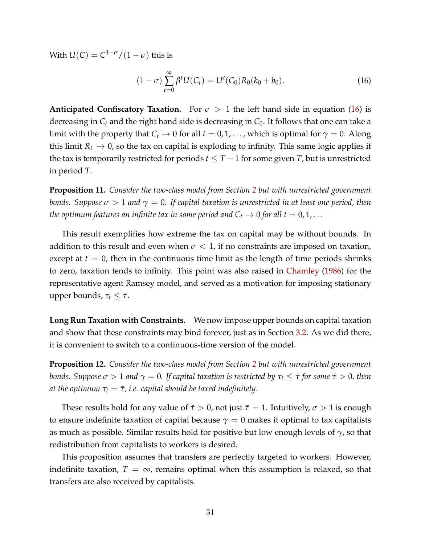With  $U(C) = C^{1-\sigma}/(1-\sigma)$  this is

<span id="page-32-0"></span>
$$
(1 - \sigma) \sum_{t=0}^{\infty} \beta^t U(C_t) = U'(C_0) R_0(k_0 + b_0).
$$
 (16)

**Anticipated Confiscatory Taxation.** For  $\sigma > 1$  the left hand side in equation [\(16\)](#page-32-0) is decreasing in  $C_t$  and the right hand side is decreasing in  $C_0$ . It follows that one can take a limit with the property that  $C_t \rightarrow 0$  for all  $t = 0, 1, \ldots$ , which is optimal for  $\gamma = 0$ . Along this limit  $R_1 \rightarrow 0$ , so the tax on capital is exploding to infinity. This same logic applies if the tax is temporarily restricted for periods  $t \leq T-1$  for some given *T*, but is unrestricted in period *T*.

**Proposition 11.** *Consider the two-class model from Section [2](#page-7-2) but with unrestricted government bonds. Suppose*  $\sigma > 1$  *and*  $\gamma = 0$ . If capital taxation is unrestricted in at least one period, then *the optimum features an infinite tax in some period and*  $C_t \rightarrow 0$  *for all*  $t = 0, 1, \ldots$ 

This result exemplifies how extreme the tax on capital may be without bounds. In addition to this result and even when  $\sigma < 1$ , if no constraints are imposed on taxation, except at  $t = 0$ , then in the continuous time limit as the length of time periods shrinks to zero, taxation tends to infinity. This point was also raised in [Chamley](#page-34-1) [\(1986\)](#page-34-1) for the representative agent Ramsey model, and served as a motivation for imposing stationary upper bounds,  $τ_t ≤ τ$ .

**Long Run Taxation with Constraints.** We now impose upper bounds on capital taxation and show that these constraints may bind forever, just as in Section [3.2.](#page-24-0) As we did there, it is convenient to switch to a continuous-time version of the model.

<span id="page-32-1"></span>**Proposition 12.** *Consider the two-class model from Section [2](#page-7-2) but with unrestricted government bonds. Suppose*  $\sigma > 1$  *and*  $\gamma = 0$ . If capital taxation is restricted by  $\tau_t \leq \tau$  *for some*  $\tau > 0$ *, then at the optimum*  $\tau_t = \bar{\tau}$ , *i.e. capital should be taxed indefinitely.* 

These results hold for any value of  $\bar{\tau} > 0$ , not just  $\bar{\tau} = 1$ . Intuitively,  $\sigma > 1$  is enough to ensure indefinite taxation of capital because  $\gamma = 0$  makes it optimal to tax capitalists as much as possible. Similar results hold for positive but low enough levels of *γ*, so that redistribution from capitalists to workers is desired.

This proposition assumes that transfers are perfectly targeted to workers. However, indefinite taxation,  $T = \infty$ , remains optimal when this assumption is relaxed, so that transfers are also received by capitalists.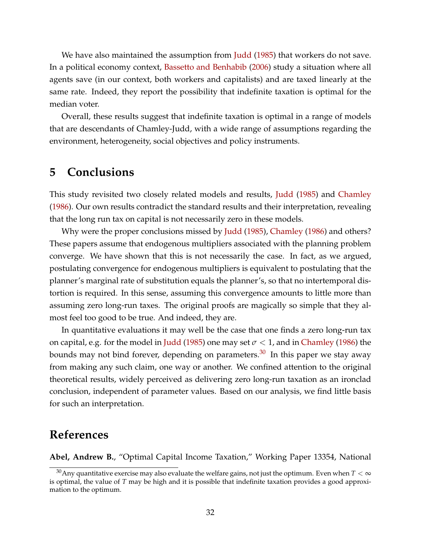We have also maintained the assumption from [Judd](#page-34-0) [\(1985\)](#page-34-0) that workers do not save. In a political economy context, [Bassetto and Benhabib](#page-34-12) [\(2006\)](#page-34-12) study a situation where all agents save (in our context, both workers and capitalists) and are taxed linearly at the same rate. Indeed, they report the possibility that indefinite taxation is optimal for the median voter.

Overall, these results suggest that indefinite taxation is optimal in a range of models that are descendants of Chamley-Judd, with a wide range of assumptions regarding the environment, heterogeneity, social objectives and policy instruments.

# **5 Conclusions**

This study revisited two closely related models and results, [Judd](#page-34-0) [\(1985\)](#page-34-0) and [Chamley](#page-34-1) [\(1986\)](#page-34-1). Our own results contradict the standard results and their interpretation, revealing that the long run tax on capital is not necessarily zero in these models.

Why were the proper conclusions missed by [Judd](#page-34-0) [\(1985\)](#page-34-0), [Chamley](#page-34-1) [\(1986\)](#page-34-1) and others? These papers assume that endogenous multipliers associated with the planning problem converge. We have shown that this is not necessarily the case. In fact, as we argued, postulating convergence for endogenous multipliers is equivalent to postulating that the planner's marginal rate of substitution equals the planner's, so that no intertemporal distortion is required. In this sense, assuming this convergence amounts to little more than assuming zero long-run taxes. The original proofs are magically so simple that they almost feel too good to be true. And indeed, they are.

In quantitative evaluations it may well be the case that one finds a zero long-run tax on capital, e.g. for the model in [Judd](#page-34-0) [\(1985\)](#page-34-0) one may set  $\sigma$  < 1, and in [Chamley](#page-34-1) [\(1986\)](#page-34-1) the bounds may not bind forever, depending on parameters. $30$  In this paper we stay away from making any such claim, one way or another. We confined attention to the original theoretical results, widely perceived as delivering zero long-run taxation as an ironclad conclusion, independent of parameter values. Based on our analysis, we find little basis for such an interpretation.

### **References**

<span id="page-33-0"></span>**Abel, Andrew B.**, "Optimal Capital Income Taxation," Working Paper 13354, National

<span id="page-33-1"></span><sup>&</sup>lt;sup>30</sup>Any quantitative exercise may also evaluate the welfare gains, not just the optimum. Even when  $T < \infty$ is optimal, the value of *T* may be high and it is possible that indefinite taxation provides a good approximation to the optimum.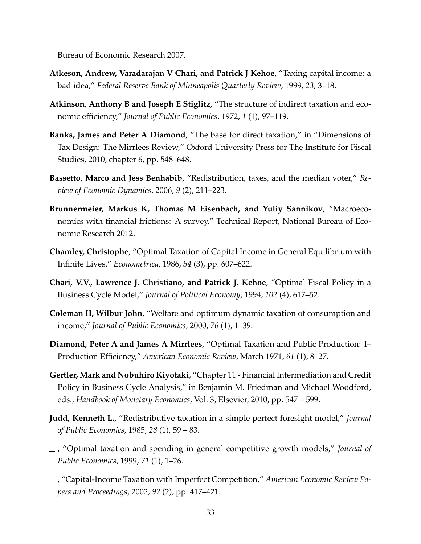Bureau of Economic Research 2007.

- <span id="page-34-4"></span>**Atkeson, Andrew, Varadarajan V Chari, and Patrick J Kehoe**, "Taxing capital income: a bad idea," *Federal Reserve Bank of Minneapolis Quarterly Review*, 1999, *23*, 3–18.
- <span id="page-34-11"></span>**Atkinson, Anthony B and Joseph E Stiglitz**, "The structure of indirect taxation and economic efficiency," *Journal of Public Economics*, 1972, *1* (1), 97–119.
- <span id="page-34-2"></span>**Banks, James and Peter A Diamond**, "The base for direct taxation," in "Dimensions of Tax Design: The Mirrlees Review," Oxford University Press for The Institute for Fiscal Studies, 2010, chapter 6, pp. 548–648.
- <span id="page-34-12"></span>**Bassetto, Marco and Jess Benhabib**, "Redistribution, taxes, and the median voter," *Review of Economic Dynamics*, 2006, *9* (2), 211–223.
- <span id="page-34-7"></span>**Brunnermeier, Markus K, Thomas M Eisenbach, and Yuliy Sannikov**, "Macroeconomics with financial frictions: A survey," Technical Report, National Bureau of Economic Research 2012.
- <span id="page-34-1"></span>**Chamley, Christophe**, "Optimal Taxation of Capital Income in General Equilibrium with Infinite Lives," *Econometrica*, 1986, *54* (3), pp. 607–622.
- <span id="page-34-10"></span>**Chari, V.V., Lawrence J. Christiano, and Patrick J. Kehoe**, "Optimal Fiscal Policy in a Business Cycle Model," *Journal of Political Economy*, 1994, *102* (4), 617–52.
- <span id="page-34-5"></span>**Coleman II, Wilbur John**, "Welfare and optimum dynamic taxation of consumption and income," *Journal of Public Economics*, 2000, *76* (1), 1–39.
- <span id="page-34-6"></span>**Diamond, Peter A and James A Mirrlees**, "Optimal Taxation and Public Production: I– Production Efficiency," *American Economic Review*, March 1971, *61* (1), 8–27.
- <span id="page-34-8"></span>**Gertler, Mark and Nobuhiro Kiyotaki**, "Chapter 11 - Financial Intermediation and Credit Policy in Business Cycle Analysis," in Benjamin M. Friedman and Michael Woodford, eds., *Handbook of Monetary Economics*, Vol. 3, Elsevier, 2010, pp. 547 – 599.
- <span id="page-34-0"></span>**Judd, Kenneth L.**, "Redistributive taxation in a simple perfect foresight model," *Journal of Public Economics*, 1985, *28* (1), 59 – 83.
- <span id="page-34-9"></span>, "Optimal taxation and spending in general competitive growth models," *Journal of Public Economics*, 1999, *71* (1), 1–26.
- <span id="page-34-3"></span>, "Capital-Income Taxation with Imperfect Competition," *American Economic Review Papers and Proceedings*, 2002, *92* (2), pp. 417–421.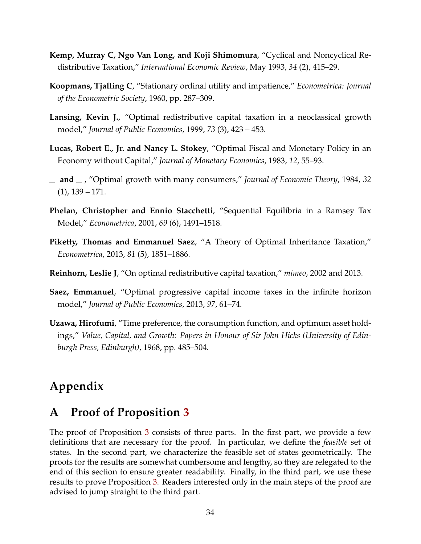- <span id="page-35-4"></span>**Kemp, Murray C, Ngo Van Long, and Koji Shimomura**, "Cyclical and Noncyclical Redistributive Taxation," *International Economic Review*, May 1993, *34* (2), 415–29.
- <span id="page-35-6"></span>**Koopmans, Tjalling C**, "Stationary ordinal utility and impatience," *Econometrica: Journal of the Econometric Society*, 1960, pp. 287–309.
- <span id="page-35-2"></span>Lansing, Kevin J., "Optimal redistributive capital taxation in a neoclassical growth model," *Journal of Public Economics*, 1999, *73* (3), 423 – 453.
- <span id="page-35-9"></span>**Lucas, Robert E., Jr. and Nancy L. Stokey**, "Optimal Fiscal and Monetary Policy in an Economy without Capital," *Journal of Monetary Economics*, 1983, *12*, 55–93.
- <span id="page-35-8"></span>**and** , "Optimal growth with many consumers," *Journal of Economic Theory*, 1984, *32* (1), 139 – 171.
- <span id="page-35-0"></span>**Phelan, Christopher and Ennio Stacchetti**, "Sequential Equilibria in a Ramsey Tax Model," *Econometrica*, 2001, *69* (6), 1491–1518.
- <span id="page-35-5"></span>**Piketty, Thomas and Emmanuel Saez**, "A Theory of Optimal Inheritance Taxation," *Econometrica*, 2013, *81* (5), 1851–1886.
- <span id="page-35-3"></span>**Reinhorn, Leslie J**, "On optimal redistributive capital taxation," *mimeo*, 2002 and 2013.
- <span id="page-35-1"></span>**Saez, Emmanuel**, "Optimal progressive capital income taxes in the infinite horizon model," *Journal of Public Economics*, 2013, *97*, 61–74.
- <span id="page-35-7"></span>**Uzawa, Hirofumi**, "Time preference, the consumption function, and optimum asset holdings," *Value, Capital, and Growth: Papers in Honour of Sir John Hicks (University of Edinburgh Press, Edinburgh)*, 1968, pp. 485–504.

# **Appendix**

### **A Proof of Proposition [3](#page-12-0)**

The proof of Proposition [3](#page-12-0) consists of three parts. In the first part, we provide a few definitions that are necessary for the proof. In particular, we define the *feasible* set of states. In the second part, we characterize the feasible set of states geometrically. The proofs for the results are somewhat cumbersome and lengthy, so they are relegated to the end of this section to ensure greater readability. Finally, in the third part, we use these results to prove Proposition [3.](#page-12-0) Readers interested only in the main steps of the proof are advised to jump straight to the third part.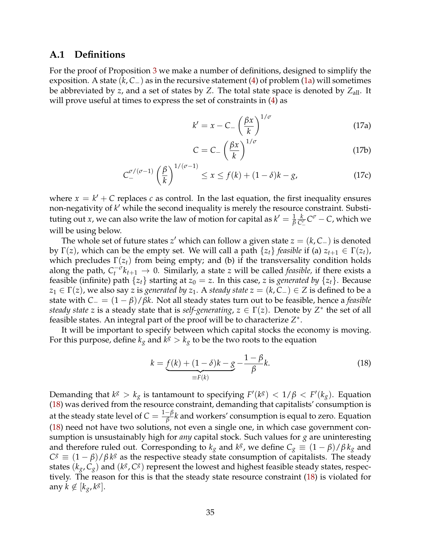#### **A.1 Definitions**

For the proof of Proposition [3](#page-12-0) we make a number of definitions, designed to simplify the exposition. A state (*k*, *C*−) as in the recursive statement [\(4\)](#page-13-1) of problem [\(1a\)](#page-7-3) will sometimes be abbreviated by *z*, and a set of states by *Z*. The total state space is denoted by *Z*all. It will prove useful at times to express the set of constraints in [\(4\)](#page-13-1) as

<span id="page-36-1"></span>
$$
k' = x - C_{-} \left(\frac{\beta x}{k}\right)^{1/\sigma}
$$
 (17a)

<span id="page-36-3"></span><span id="page-36-2"></span>
$$
C = C_{-} \left(\frac{\beta x}{k}\right)^{1/\sigma} \tag{17b}
$$

$$
C_{-}^{\sigma/(\sigma-1)}\left(\frac{\beta}{k}\right)^{1/(\sigma-1)} \leq x \leq f(k) + (1-\delta)k - g,\tag{17c}
$$

where  $x = k' + C$  replaces *c* as control. In the last equation, the first inequality ensures non-negativity of k' while the second inequality is merely the resource constraint. Substituting out *x*, we can also write the law of motion for capital as  $k' = \frac{1}{\beta}$  $\frac{k}{C_{-}^{\sigma}} C^{\sigma} - C$ , which we will be using below.

The whole set of future states  $z'$  which can follow a given state  $z = (k, C_{-})$  is denoted by  $\Gamma(z)$ , which can be the empty set. We will call a path  $\{z_t\}$  *feasible* if (a)  $z_{t+1} \in \Gamma(z_t)$ , which precludes  $\Gamma(z_t)$  from being empty; and (b) if the transversality condition holds along the path,  $C_t^{-\sigma} k_{t+1} \to 0$ . Similarly, a state *z* will be called *feasible*, if there exists a feasible (infinite) path  $\{z_t\}$  starting at  $z_0 = z$ . In this case, *z* is *generated by*  $\{z_t\}$ . Because *z*<sub>1</sub> ∈  $\Gamma(z)$ , we also say *z* is *generated by z*<sub>1</sub>. A *steady state z* = (*k*, *C*−) ∈ *Z* is defined to be a state with *C*<sup>−</sup> = (1 − *β*)/*βk*. Not all steady states turn out to be feasible, hence a *feasible steady state z* is a steady state that is *self-generating*,  $z \in \Gamma(z)$ . Denote by  $Z^*$  the set of all feasible states. An integral part of the proof will be to characterize *Z*∗.

It will be important to specify between which capital stocks the economy is moving. For this purpose, define  $k_g$  and  $k^g > k_g$  to be the two roots to the equation

<span id="page-36-0"></span>
$$
k = \underbrace{f(k) + (1 - \delta)k - g}_{\equiv F(k)} - \frac{1 - \beta}{\beta}k.
$$
 (18)

Demanding that  $k^g > k_g$  is tantamount to specifying  $F'(k^g) < 1/\beta < F'(k_g)$ . Equation [\(18\)](#page-36-0) was derived from the resource constraint, demanding that capitalists' consumption is at the steady state level of  $C = \frac{1-\beta}{\beta}k$  and workers' consumption is equal to zero. Equation [\(18\)](#page-36-0) need not have two solutions, not even a single one, in which case government consumption is unsustainably high for *any* capital stock. Such values for *g* are uninteresting and therefore ruled out. Corresponding to  $k_g$  and  $k^g$ , we define  $C_g \equiv (1 - \beta)/\beta k_g$  and  $C^g \equiv (1 - \beta)/\beta k^g$  as the respective steady state consumption of capitalists. The steady states ( $k_g$ ,  $C_g$ ) and ( $k^g$ ,  $C_g$ ) represent the lowest and highest feasible steady states, respectively. The reason for this is that the steady state resource constraint [\(18\)](#page-36-0) is violated for any  $k \notin [k_g, k^g]$ .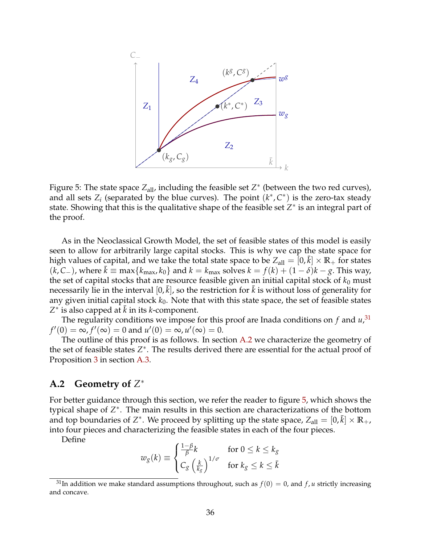

<span id="page-37-2"></span>Figure 5: The state space  $Z_{all}$ , including the feasible set  $Z^*$  (between the two red curves), and all sets  $Z_i$  (separated by the blue curves). The point  $(k^*, C^*)$  is the zero-tax steady state. Showing that this is the qualitative shape of the feasible set *Z*∗ is an integral part of the proof.

As in the Neoclassical Growth Model, the set of feasible states of this model is easily seen to allow for arbitrarily large capital stocks. This is why we cap the state space for high values of capital, and we take the total state space to be  $Z_{all} = [0, \bar{k}] \times \mathbb{R}_{+}$  for states  $(k, C<sub>−</sub>)$ , where  $\bar{k}$  ≡ max{ $k_{\text{max}}$ ,  $k_0$ } and  $k = k_{\text{max}}$  solves  $k = f(k) + (1 - \delta)k - g$ . This way, the set of capital stocks that are resource feasible given an initial capital stock of  $k_0$  must necessarily lie in the interval  $[0,\bar{k}]$ , so the restriction for  $\bar{k}$  is without loss of generality for any given initial capital stock  $k_0$ . Note that with this state space, the set of feasible states  $Z^*$  is also capped at  $\bar{k}$  in its *k*-component.

The regularity conditions we impose for this proof are Inada conditions on *f* and *u*, [31](#page-37-0)  $f'(0)=\infty$ ,  $f'(\infty)=0$  and  $u'(0)=\infty$ ,  $u'(\infty)=0$ .

The outline of this proof is as follows. In section [A.2](#page-37-1) we characterize the geometry of the set of feasible states *Z*∗. The results derived there are essential for the actual proof of Proposition [3](#page-12-0) in section [A.3.](#page-39-0)

### <span id="page-37-1"></span>**A.2 Geometry of** *Z*∗

For better guidance through this section, we refer the reader to figure [5,](#page-37-2) which shows the typical shape of *Z*∗. The main results in this section are characterizations of the bottom and top boundaries of  $Z^*$ . We proceed by splitting up the state space,  $Z_{all} = [0, \bar{k}] \times \mathbb{R}_+$ , into four pieces and characterizing the feasible states in each of the four pieces.

Define

$$
w_g(k) \equiv \begin{cases} \frac{1-\beta}{\beta}k & \text{for } 0 \le k \le k_g\\ C_g \left(\frac{k}{k_g}\right)^{1/\sigma} & \text{for } k_g \le k \le \bar{k} \end{cases}
$$

<span id="page-37-0"></span><sup>&</sup>lt;sup>31</sup>In addition we make standard assumptions throughout, such as  $f(0) = 0$ , and  $f$ , *u* strictly increasing and concave.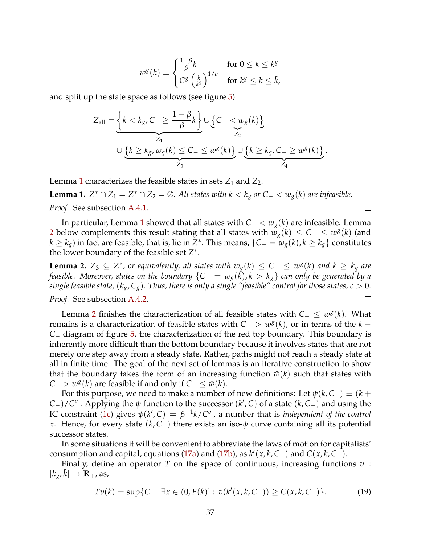$$
w^{g}(k) \equiv \begin{cases} \frac{1-\beta}{\beta}k & \text{for } 0 \leq k \leq k^{g} \\ C^{g}\left(\frac{k}{k^{g}}\right)^{1/\sigma} & \text{for } k^{g} \leq k \leq \bar{k}, \end{cases}
$$

and split up the state space as follows (see figure [5\)](#page-37-2)

$$
Z_{\text{all}} = \underbrace{\left\{k < k_g, C_{-} \geq \frac{1-\beta}{\beta}k\right\}}_{Z_1} \cup \underbrace{\left\{C_{-} < w_g(k)\right\}}_{Z_2}
$$
\n
$$
\cup \underbrace{\left\{k \geq k_g, w_g(k) \leq C_{-} \leq w^g(k)\right\}}_{Z_3} \cup \underbrace{\left\{k \geq k_g, C_{-} \geq w^g(k)\right\}}_{Z_4}.
$$

Lemma [1](#page-38-0) characterizes the feasible states in sets  $Z_1$  and  $Z_2$ .

<span id="page-38-0"></span>**Lemma 1.**  $Z^* ∩ Z_1 = Z^* ∩ Z_2 = ∅$ . All states with  $k < k_g$  or  $C − < w_g(k)$  are infeasible. *Proof.* See subsection [A.4.1.](#page-42-0)

In particular, Lemma [1](#page-38-0) showed that all states with *C*<sup>−</sup> < *wg*(*k*) are infeasible. Lemma [2](#page-38-1) below complements this result stating that all states with  $w_g(k) \leq C_-\leq w^g(k)$  (and *k* ≥ *kg*) in fact are feasible, that is, lie in *Z*∗. This means, {*C*<sup>−</sup> = *wg*(*k*), *k* ≥ *kg*} constitutes the lower boundary of the feasible set *Z*∗.

 $\Box$ 

<span id="page-38-1"></span>**Lemma 2.**  $Z_3 \subseteq Z^*$ , or equivalently, all states with  $w_g(k) \leq C_− ≤ w_g(k)$  and  $k ≥ k_g$  are *feasible. Moreover, states on the boundary* {*C*<sup>−</sup> = *wg*(*k*), *k* > *kg*} *can only be generated by a single feasible state,*  $(k_g, C_g)$ *. Thus, there is only a single "feasible" control for those states,*  $c > 0$ *. Proof.* See subsection [A.4.2.](#page-43-0)

Lemma [2](#page-38-1) finishes the characterization of all feasible states with *<sup>C</sup>*<sup>−</sup> <sup>≤</sup> *<sup>w</sup>g*(*k*). What remains is a characterization of feasible states with  $C_$  >  $w^g(k)$ , or in terms of the  $k$  − *C*<sup>−</sup> diagram of figure [5,](#page-37-2) the characterization of the red top boundary. This boundary is inherently more difficult than the bottom boundary because it involves states that are not merely one step away from a steady state. Rather, paths might not reach a steady state at all in finite time. The goal of the next set of lemmas is an iterative construction to show that the boundary takes the form of an increasing function  $\bar{w}(k)$  such that states with  $C_{-}$  > *w<sup>g</sup>*(*k*) are feasible if and only if  $C_{-} \leq w(k)$ .

For this purpose, we need to make a number of new definitions: Let  $\psi(k, C_{-}) \equiv (k +$ *C*−)/*C<sup>* $\sigma$ *</sup>*. Applying the  $\psi$  function to the successor ( $k'$ , *C*) of a state ( $k$ , *C*−) and using the IC constraint [\(1c\)](#page-8-1) gives  $\psi(k', C) = \beta^{-1}k/C_{-}^{\sigma}$ , a number that is *independent of the control x*. Hence, for every state (*k*, *C*−) there exists an iso-*ψ* curve containing all its potential successor states.

In some situations it will be convenient to abbreviate the laws of motion for capitalists' consumption and capital, equations [\(17a\)](#page-36-1) and [\(17b\)](#page-36-2), as  $k'(x, k, C_{-})$  and  $C(x, k, C_{-})$ .

Finally, define an operator *T* on the space of continuous, increasing functions *v* :  $[k_g, \bar{k}] \rightarrow \mathbb{R}_+$ , as,

<span id="page-38-2"></span>
$$
Tv(k) = \sup\{C_- \mid \exists x \in (0, F(k)] : v(k'(x, k, C_-)) \ge C(x, k, C_-)\}.
$$
 (19)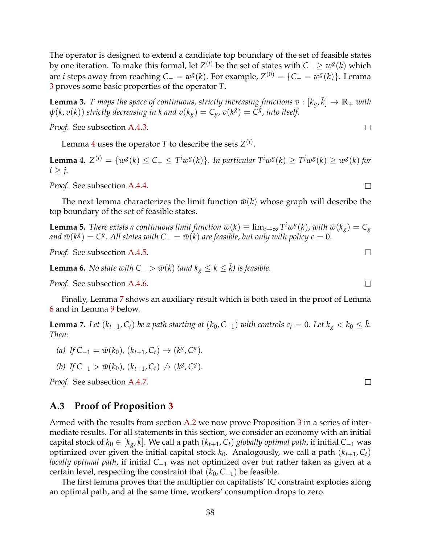The operator is designed to extend a candidate top boundary of the set of feasible states by one iteration. To make this formal, let  $Z^{(i)}$  be the set of states with  $C_-\geq w^g(k)$  which are *i* steps away from reaching  $C_ - = w^g(k)$ . For example,  $Z^{(0)} = \{C_- = w^g(k)\}\.$  Lemma [3](#page-39-1) proves some basic properties of the operator *T*.

<span id="page-39-1"></span>**Lemma 3.** *T* maps the space of continuous, strictly increasing functions  $v : [k_g, \bar{k}] \to \mathbb{R}_+$  with  $\psi(k, v(k))$  *strictly decreasing in k and*  $v(k_g) = C_g$ *,*  $v(k^g) = C^g$ *, into itself.* 

*Proof.* See subsection [A.4.3.](#page-44-0)

Lemma [4](#page-39-2) uses the operator *T* to describe the sets  $Z^{(i)}$ .

<span id="page-39-2"></span>**Lemma 4.**  $Z^{(i)} = \{w^g(k) \le C_- \le T^i w^g(k)\}\$ . In particular  $T^i w^g(k) \ge T^j w^g(k) \ge w^g(k)$  for  $i \geq j$ .

*Proof.* See subsection [A.4.4.](#page-46-0)

The next lemma characterizes the limit function  $\bar{w}(k)$  whose graph will describe the top boundary of the set of feasible states.

<span id="page-39-5"></span>**Lemma 5.** *There exists a continuous limit function*  $\bar{w}(k) \equiv \lim_{i \to \infty} T^i w^g(k)$ *, with*  $\bar{w}(k_g) = C_g$ *and*  $\bar{w}(k^g) = C^g$ . All states with  $C_ − = \bar{w}(k)$  are feasible, but only with policy  $c = 0$ .

*Proof.* See subsection [A.4.5.](#page-46-1)

<span id="page-39-4"></span>**Lemma 6.** *No state with*  $C_−$   $>$   $\bar{w}(k)$  *(and*  $k_g \leq k \leq \bar{k}$ ) *is feasible.* 

*Proof.* See subsection [A.4.6.](#page-47-0)

Finally, Lemma [7](#page-39-3) shows an auxiliary result which is both used in the proof of Lemma [6](#page-39-4) and in Lemma [9](#page-40-0) below.

<span id="page-39-3"></span>**Lemma 7.** Let  $(k_{t+1}, C_t)$  be a path starting at  $(k_0, C_{-1})$  with controls  $c_t = 0$ . Let  $k_g < k_0 \leq \bar{k}$ . *Then:*

- *(a) If*  $C_{-1} = \bar{w}(k_0)$ ,  $(k_{t+1}, C_t)$  →  $(k^g, C^g)$ .
- *(b) If*  $C_{-1} > \bar{w}(k_0)$ ,  $(k_{t+1}, C_t) \not\rightarrow (k^g, C^g)$ .

*Proof.* See subsection [A.4.7.](#page-48-0)

### <span id="page-39-0"></span>**A.3 Proof of Proposition [3](#page-12-0)**

Armed with the results from section [A.2](#page-37-1) we now prove Proposition [3](#page-12-0) in a series of intermediate results. For all statements in this section, we consider an economy with an initial capital stock of  $k_0 \in [k_g, \bar{k}]$ . We call a path  $(k_{t+1}, C_t)$  *globally optimal path*, if initial  $C_{-1}$  was optimized over given the initial capital stock  $k_0$ . Analogously, we call a path  $(k_{t+1}, C_t)$ *locally optimal path*, if initial *C*−<sup>1</sup> was not optimized over but rather taken as given at a certain level, respecting the constraint that  $(k_0, C_{-1})$  be feasible.

The first lemma proves that the multiplier on capitalists' IC constraint explodes along an optimal path, and at the same time, workers' consumption drops to zero.

 $\Box$ 

 $\Box$ 

 $\Box$ 

 $\Box$ 

 $\Box$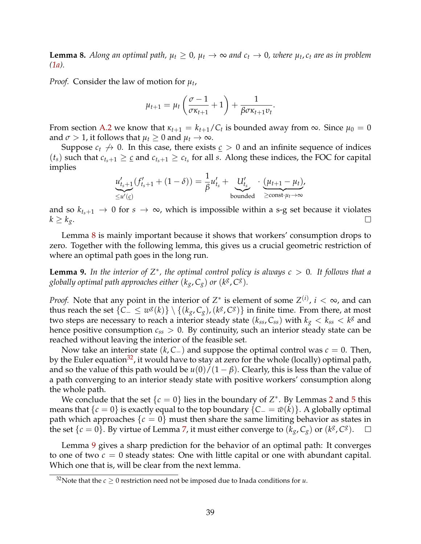<span id="page-40-1"></span>**Lemma 8.** Along an optimal path,  $\mu_t \geq 0$ ,  $\mu_t \to \infty$  and  $c_t \to 0$ , where  $\mu_t$ ,  $c_t$  are as in problem *[\(1a\)](#page-7-3).*

*Proof.* Consider the law of motion for *µt*,

$$
\mu_{t+1} = \mu_t \left( \frac{\sigma - 1}{\sigma \kappa_{t+1}} + 1 \right) + \frac{1}{\beta \sigma \kappa_{t+1} v_t}.
$$

From section [A.2](#page-37-1) we know that  $\kappa_{t+1} = k_{t+1}/C_t$  is bounded away from  $\infty$ . Since  $\mu_0 = 0$ and  $\sigma > 1$ , it follows that  $\mu_t \geq 0$  and  $\mu_t \to \infty$ .

Suppose  $c_t \nrightarrow 0$ . In this case, there exists  $c > 0$  and an infinite sequence of indices  $(t_s)$  such that  $c_{t_s+1} \geq c$  and  $c_{t_s+1} \geq c_{t_s}$  for all *s*. Along these indices, the FOC for capital implies

$$
\underbrace{u'_{t_s+1}}_{\leq u'(\underline{c})}(f'_{t_s+1}+(1-\delta))=\frac{1}{\beta}u'_{t_s}+\underbrace{U'_{t_s}}_{\text{bounded}}\cdot\underbrace{(u_{t+1}-\mu_t)}_{\geq \text{const}\cdot\mu_t\to\infty},
$$

and so  $k_{t_s+1} \to 0$  for  $s \to \infty$ , which is impossible within a s-g set because it violates  $k > k_o$ .  $k \geq k_g$ .

Lemma [8](#page-40-1) is mainly important because it shows that workers' consumption drops to zero. Together with the following lemma, this gives us a crucial geometric restriction of where an optimal path goes in the long run.

<span id="page-40-0"></span>**Lemma 9.** In the interior of  $Z^*$ , the optimal control policy is always  $c > 0$ . It follows that a *globally optimal path approaches either*  $(k_g, C_g)$  *or*  $(k^g, C^g)$ *.* 

*Proof.* Note that any point in the interior of  $Z^*$  is element of some  $Z^{(i)}$ ,  $i < \infty$ , and can thus reach the set  $\{C_-\leq w^g(k)\}\setminus\{(k_g,C_g),(k^g,C^g)\}\$ in finite time. From there, at most two steps are necessary to reach a interior steady state  $(k_{ss}, C_{ss})$  with  $k_g < k_{ss} < k^g$  and hence positive consumption  $c_{ss} > 0$ . By continuity, such an interior steady state can be reached without leaving the interior of the feasible set.

Now take an interior state (*k*, *C*−) and suppose the optimal control was *c* = 0. Then, by the Euler equation<sup>32</sup>, it would have to stay at zero for the whole (locally) optimal path, and so the value of this path would be  $u(0)/(1 - \beta)$ . Clearly, this is less than the value of a path converging to an interior steady state with positive workers' consumption along the whole path.

We conclude that the set  $\{c = 0\}$  lies in the boundary of  $Z^*$ . By Lemmas [2](#page-38-1) and [5](#page-39-5) this means that  ${c = 0}$  is exactly equal to the top boundary  ${C_ - = \bar{w}(k)}$ . A globally optimal path which approaches  $\{c = 0\}$  must then share the same limiting behavior as states in the set  $\{c = 0\}$ . By virtue of Lemma 7, it must either converge to  $(k_{\alpha}, C_{\alpha})$  or  $(k^g, C^g)$ . the set  $\{c = 0\}$ . By virtue of Lemma [7,](#page-39-3) it must either converge to  $(k_g, C_g)$  or  $(k^g, C^g)$ .

Lemma [9](#page-40-0) gives a sharp prediction for the behavior of an optimal path: It converges to one of two  $c = 0$  steady states: One with little capital or one with abundant capital. Which one that is, will be clear from the next lemma.

<span id="page-40-2"></span><sup>&</sup>lt;sup>32</sup>Note that the  $c \ge 0$  restriction need not be imposed due to Inada conditions for *u*.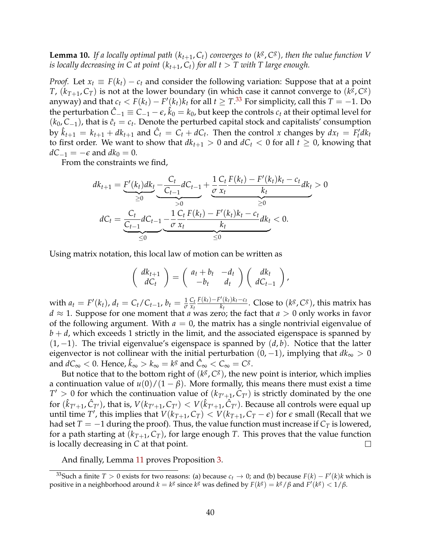<span id="page-41-1"></span>**Lemma 10.** *If a locally optimal path*  $(k_{t+1}, C_t)$  *converges to*  $(k^g, C^g)$ *, then the value function V is locally decreasing in C at point*  $(k_{t+1}, C_t)$  *for all t* > *T with T large enough.* 

*Proof.* Let  $x_t \equiv F(k_t) - c_t$  and consider the following variation: Suppose that at a point *T*,  $(k_{T+1}, C_T)$  is not at the lower boundary (in which case it cannot converge to  $(k^g, C^g)$ ) anyway) and that  $c_t < F(k_t) - F'(k_t)k_t$  for all  $t \geq T$ .<sup>[33](#page-41-0)</sup> For simplicity, call this  $T = -1$ . Do the perturbation  $\hat{C}_{-1} \equiv C_{-1} - \epsilon$ ,  $\hat{k}_0 = k_0$ , but keep the controls  $c_t$  at their optimal level for  $(k_0, C_{-1})$ , that is  $\hat{c}_t = c_t$ . Denote the perturbed capital stock and capitalists' consumption by  $\hat{k}_{t+1} = k_{t+1} + dk_{t+1}$  and  $\hat{C}_t = C_t + dC_t$ . Then the control *x* changes by  $dx_t = F_t'dk_t$ to first order. We want to show that  $dk_{t+1} > 0$  and  $dC_t < 0$  for all  $t \ge 0$ , knowing that  $dC_{-1} = -\epsilon$  and  $dk_0 = 0$ .

From the constraints we find,

$$
dk_{t+1} = \underbrace{F'(k_t)dk_t}_{\geq 0} - \underbrace{\frac{C_t}{C_{t-1}}dC_{t-1}}_{>0} + \underbrace{\frac{1}{\sigma}\frac{C_t}{x_t}\frac{F(k_t) - F'(k_t)k_t - c_t}{k_t}dk_t}_{\geq 0} > 0
$$
  

$$
dC_t = \underbrace{\frac{C_t}{C_{t-1}}dC_{t-1}}_{\leq 0} - \underbrace{\frac{1}{\sigma}\frac{C_t}{x_t}\frac{F(k_t) - F'(k_t)k_t - c_t}{k_t}dk_t}_{\leq 0} < 0.
$$

Using matrix notation, this local law of motion can be written as

$$
\left(\begin{array}{c} dk_{t+1} \\ dC_t \end{array}\right) = \left(\begin{array}{cc} a_t + b_t & -d_t \\ -b_t & d_t \end{array}\right) \left(\begin{array}{c} dk_t \\ dC_{t-1} \end{array}\right),
$$

with  $a_t = F'(k_t)$ ,  $d_t = C_t/C_{t-1}$ ,  $b_t = \frac{1}{\sigma}$ *Ct xt F*( $k_t$ )−*F*'( $k_t$ ) $k_t$ − $c_t$  $\frac{K(k+1)K_k-C_t}{K_k}$ . Close to  $(k^g,C^g)$ , this matrix has  $d \approx 1$ . Suppose for one moment that *a* was zero; the fact that  $a > 0$  only works in favor of the following argument. With  $a = 0$ , the matrix has a single nontrivial eigenvalue of  $b + d$ , which exceeds 1 strictly in the limit, and the associated eigenspace is spanned by (1, −1). The trivial eigenvalue's eigenspace is spanned by (*d*, *b*). Notice that the latter eigenvector is not collinear with the initial perturbation  $(0, -1)$ , implying that  $dk_{\infty} > 0$ and  $dC_{\infty} < 0$ . Hence,  $\hat{k}_{\infty} > k_{\infty} = k^g$  and  $\hat{C}_{\infty} < C_{\infty} = C^g$ .

But notice that to the bottom right of  $(k^g, C^g)$ , the new point is interior, which implies a continuation value of  $u(0)/(1 - \beta)$ . More formally, this means there must exist a time  $T' > 0$  for which the continuation value of  $(k_{T'+1}, C_{T'})$  is strictly dominated by the one for  $(\hat k_{T'+1},\hat C_{T'})$ , that is,  $V(k_{T'+1},C_{T'}) < V(\hat k_{T'+1},\hat C_{T'})$ . Because all controls were equal up until time *T'*, this implies that  $V(k_{T+1}, C_T) < V(k_{T+1}, C_T - \epsilon)$  for  $\epsilon$  small (Recall that we had set  $T = -1$  during the proof). Thus, the value function must increase if  $C_T$  is lowered, for a path starting at  $(k_{T+1}, C_T)$ , for large enough *T*. This proves that the value function is locally decreasing in *C* at that point.  $\Box$ 

And finally, Lemma [11](#page-42-1) proves Proposition [3.](#page-12-0)

<span id="page-41-0"></span><sup>33</sup>Such a finite *T* > 0 exists for two reasons: (a) because  $c_t$  → 0; and (b) because  $F(k) - F'(k)k$  which is positive in a neighborhood around  $k = k^g$  since  $k^g$  was defined by  $F(k^g) = k^g / \beta$  and  $F'(k^g) < 1/\beta$ .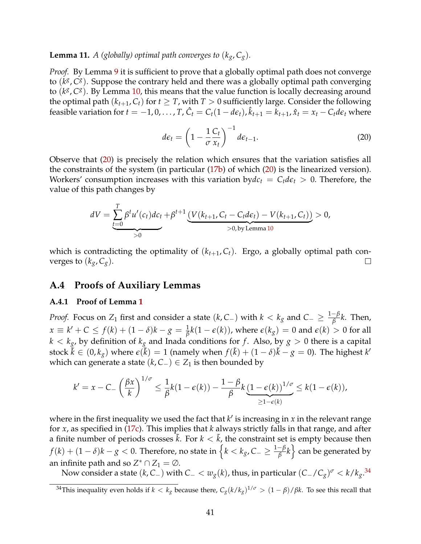<span id="page-42-1"></span>**Lemma 11.** *A* (globally) optimal path converges to  $(k_g, C_g)$ .

*Proof.* By Lemma [9](#page-40-0) it is sufficient to prove that a globally optimal path does not converge to (*kg*, *Cg*). Suppose the contrary held and there was a globally optimal path converging to (*kg*, *Cg*). By Lemma [10,](#page-41-1) this means that the value function is locally decreasing around the optimal path  $(k_{t+1}, C_t)$  for  $t \geq T$ , with  $T > 0$  sufficiently large. Consider the following feasible variation for  $t = -1, 0, \ldots, T$ ,  $\hat{C}_t = C_t(1 - d\epsilon_t)$ ,  $\hat{k}_{t+1} = \hat{k}_{t+1}$ ,  $\hat{x}_t = x_t - C_t d\epsilon_t$  where

<span id="page-42-2"></span>
$$
d\epsilon_t = \left(1 - \frac{1}{\sigma} \frac{C_t}{x_t}\right)^{-1} d\epsilon_{t-1}.
$$
 (20)

Observe that [\(20\)](#page-42-2) is precisely the relation which ensures that the variation satisfies all the constraints of the system (in particular [\(17b\)](#page-36-2) of which [\(20\)](#page-42-2) is the linearized version). Workers' consumption increases with this variation by $dc_t = C_t d\epsilon_t > 0$ . Therefore, the value of this path changes by

$$
dV = \underbrace{\sum_{t=0}^{T} \beta^{t} u'(c_{t}) dc_{t}}_{>0} + \beta^{t+1} \underbrace{(V(k_{t+1}, C_{t} - C_{t} d\epsilon_{t}) - V(k_{t+1}, C_{t}))}_{>0, \text{by Lemma 10}} > 0,
$$

which is contradicting the optimality of  $(k_{t+1}, C_t)$ . Ergo, a globally optimal path converges to  $(k_g, C_g)$ .  $\Box$ 

### **A.4 Proofs of Auxiliary Lemmas**

#### <span id="page-42-0"></span>**A.4.1 Proof of Lemma [1](#page-38-0)**

*Proof.* Focus on  $Z_1$  first and consider a state  $(k, C_-)$  with  $k < k_g$  and  $C_- \geq \frac{1-\beta}{\beta}k$ . Then,  $x \equiv k' + C \le f(k) + (1 - \delta)k - g = \frac{1}{\beta}k(1 - \epsilon(k))$ , where  $\epsilon(k_g) = 0$  and  $\epsilon(k) > 0$  for all  $k < k_g$ , by definition of  $k_g$  and Inada conditions for f. Also, by  $g > 0$  there is a capital stock  $\tilde{k} \in (0, k_g)$  where  $\epsilon(\tilde{k}) = 1$  (namely when  $f(\tilde{k}) + (1 - \delta)\tilde{k} - g = 0$ ). The highest  $k'$ which can generate a state  $(k, C_+)$  ∈  $Z_1$  is then bounded by

$$
k' = x - C_{-}\left(\frac{\beta x}{k}\right)^{1/\sigma} \leq \frac{1}{\beta}k(1-\epsilon(k)) - \frac{1-\beta}{\beta}k\underbrace{(1-\epsilon(k))}^{1/\sigma} \leq k(1-\epsilon(k)),
$$
  

$$
\geq 1-\epsilon(k)
$$

where in the first inequality we used the fact that  $k'$  is increasing in  $x$  in the relevant range for *x*, as specified in [\(17c\)](#page-36-3). This implies that *k* always strictly falls in that range, and after a finite number of periods crosses  $\tilde{k}$ . For  $k < \tilde{k}$ , the constraint set is empty because then *f*(*k*) + (1 − *δ*)*k* − *g* < 0. Therefore, no state in  $\left\{k < k_g, C_-\geq \frac{1-\beta}{\beta}k\right\}$  can be generated by an infinite path and so  $Z^* \cap Z_1 = \emptyset$ .

Now consider a state (*k*, *<sup>C</sup>*−) with *<sup>C</sup>*<sup>−</sup> <sup>&</sup>lt; *wg*(*k*), thus, in particular (*C*−/*Cg*)*<sup>σ</sup>* <sup>&</sup>lt; *<sup>k</sup>*/*kg*. [34](#page-42-3)

<span id="page-42-3"></span><sup>&</sup>lt;sup>34</sup>This inequality even holds if  $k < k_g$  because there,  $C_g(k/k_g)^{1/\sigma} > (1-\beta)/\beta k$ . To see this recall that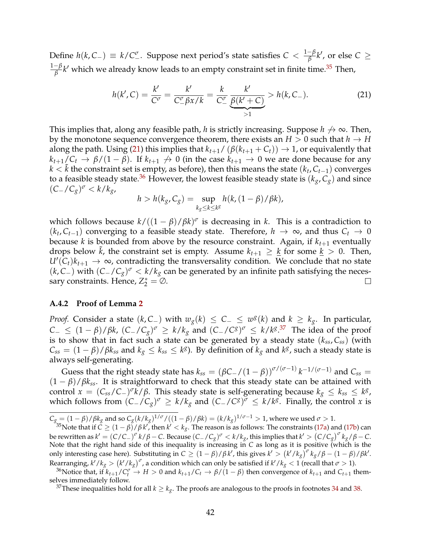Define  $h(k, C_{-}) \equiv k/C_{-}^{\sigma}$ . Suppose next period's state satisfies  $C < \frac{1-\beta}{\beta}k'$ , or else  $C \ge$  $\frac{1-\beta}{\beta}$ *k'* which we already know leads to an empty constraint set in finite time.<sup>35</sup> Then,

<span id="page-43-2"></span>
$$
h(k', C) = \frac{k'}{C^{\sigma}} = \frac{k'}{C^{\sigma}_{-} \beta x / k} = \frac{k}{C^{\sigma}_{-}} \underbrace{\frac{k'}{\beta(k' + C)}}_{>1} > h(k, C_{-}).
$$
 (21)

This implies that, along any feasible path, *h* is strictly increasing. Suppose  $h \nrightarrow \infty$ . Then, by the monotone sequence convergence theorem, there exists an  $H > 0$  such that  $h \to H$ along the path. Using [\(21\)](#page-43-2) this implies that  $k_{t+1}/(\beta(k_{t+1} + C_t)) \rightarrow 1$ , or equivalently that  $k_{t+1}/C_t \rightarrow \beta/(1-\beta)$ . If  $k_{t+1} \not\rightarrow 0$  (in the case  $k_{t+1} \rightarrow 0$  we are done because for any *k* <  $\tilde{k}$  the constraint set is empty, as before), then this means the state ( $k_t$ ,  $C_{t-1}$ ) converges to a feasible steady state.<sup>36</sup> However, the lowest feasible steady state is  $(k_g, C_g)$  and since (*C*−/*Cg*)*<sup>σ</sup>* <sup>&</sup>lt; *<sup>k</sup>*/*kg*,

$$
h > h(k_g, C_g) = \sup_{k_g \le k \le k^g} h(k, (1 - \beta) / \beta k),
$$

which follows because  $k/((1 - \beta)/\beta k)^{\sigma}$  is decreasing in *k*. This is a contradiction to (*kt*, *Ct*−1) converging to a feasible steady state. Therefore, *h* → ∞, and thus *Ct* → 0 because *k* is bounded from above by the resource constraint. Again, if  $k_{t+1}$  eventually drops below  $\tilde{k}$ , the constraint set is empty. Assume  $k_{t+1} \geq \underline{k}$  for some  $\underline{k} > 0$ . Then,  $U'(C_t)k_{t+1} \to \infty$ , contradicting the transversality condition. We conclude that no state (*k*, *C*−) with  $(C_$ -/ $C_g$ )<sup> $\sigma$ </sup> < *k*/*k<sub>g</sub>* can be generated by an infinite path satisfying the necessary constraints. Hence,  $Z_2^* = \emptyset$ . sary constraints. Hence,  $Z_2^* = \emptyset$ .

#### <span id="page-43-0"></span>**A.4.2 Proof of Lemma [2](#page-38-1)**

*Proof.* Consider a state  $(k, C_{-})$  with  $w_g(k) \leq C_{-} \leq w^g(k)$  and  $k \geq k_g$ . In particular, *<sup>C</sup>*<sup>−</sup> <sup>≤</sup> (<sup>1</sup> <sup>−</sup> *<sup>β</sup>*)/*βk*, (*C*−/*Cg*)*<sup>σ</sup>* <sup>≥</sup> *<sup>k</sup>*/*kg* and (*C*−/*Cg*)*<sup>σ</sup>* <sup>≤</sup> *<sup>k</sup>*/*kg*. [37](#page-43-4) The idea of the proof is to show that in fact such a state can be generated by a steady state  $(k_{ss}, C_{ss})$  (with  $C_{ss} = (1 - \beta)/\beta k_{ss}$  and  $k_g \leq k_{ss} \leq k^g$ ). By definition of  $k_g$  and  $k^g$ , such a steady state is always self-generating.

Guess that the right steady state has  $k_{ss} = (\beta C_-/(1-\beta))^{\sigma/(\sigma-1)} k^{-1/(\sigma-1)}$  and  $C_{ss} =$  $(1 - \beta)/\beta k_{ss}$ . It is straightforward to check that this steady state can be attained with control  $x = (C_{ss}/C_{-})^{\sigma}k/\beta$ . This steady state is self-generating because  $k_{g} \leq k_{ss} \leq k^g$ , which follows from  $(C_-/C_g)^\sigma \ge k/k_g$  and  $(C_-/C^g)^\sigma \le k/k^g$ . Finally, the control *x* is

<span id="page-43-3"></span> $^{36}$ Notice that, if  $k_{t+1}/C_t^{\sigma} \to H > 0$  and  $k_{t+1}/C_t \to \beta/(1-\beta)$  then convergence of  $k_{t+1}$  and  $C_{t+1}$  themselves immediately follow.

 $C_g = (1 - \beta)/\beta k_g$  and so  $C_g(k/k_g)^{1/\sigma}/((1 - \beta)/\beta k) = (k/k_g)^{1/\sigma - 1} > 1$ , where we used  $\sigma > 1$ .

<span id="page-43-1"></span> $^{35}$ Note that if  $\check{C} \ge (1-\beta)/\beta k'$ , then  $k' < k_g$ . The reason is as follows: The constraints [\(17a\)](#page-36-1) and [\(17b\)](#page-36-2) can be rewritten as  $k' = (C/C_{-})^{\sigma} k/\beta - C$ . Because  $(C_{-}/C_{g})^{\sigma} < k/k_{g}$ , this implies that  $k' > (C/C_{g})^{\sigma} k_{g}/\beta - C$ . Note that the right hand side of this inequality is increasing in *C* as long as it is positive (which is the only interesting case here). Substituting in  $C \ge (1 - \beta)/\beta k'$ , this gives  $k' > (k'/k_g)^{\sigma} k_g/\beta - (1 - \beta)/\beta k'$ . Rearranging,  $k'/k_g > (k'/k_g)^\sigma$ , a condition which can only be satisfied if  $k'/k_g < 1$  (recall that  $\sigma > 1$ ).

<span id="page-43-4"></span><sup>&</sup>lt;sup>37</sup>These inequalities hold for all  $k \geq k_g$ . The proofs are analogous to the proofs in footnotes [34](#page-42-3) and [38.](#page-44-1)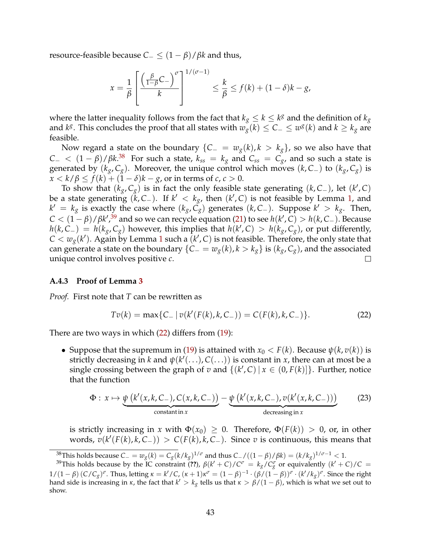resource-feasible because  $C_-\leq (1-\beta)/\beta k$  and thus,

$$
x = \frac{1}{\beta} \left[ \frac{\left(\frac{\beta}{1-\beta}C_{-}\right)^{\sigma}}{k} \right]^{1/(\sigma-1)} \leq \frac{k}{\beta} \leq f(k) + (1-\delta)k - g,
$$

where the latter inequality follows from the fact that  $k_g \leq k \leq k^g$  and the definition of  $k_g$ and *k<sup><i>g*</sup>. This concludes the proof that all states with  $w_g(k) \leq C_-\leq w^g(k)$  and  $k \geq k_g$  are feasible.

Now regard a state on the boundary  ${C_ - = w_g(k), k > k_g}$ , so we also have that  $C_$  <  $(1 - \beta)/\beta k$ .<sup>[38](#page-44-1)</sup> For such a state,  $k_{ss} = k_g$  and  $C_{ss} = C_g$ , and so such a state is generated by  $(k_g, C_g)$ . Moreover, the unique control which moves  $(k, C_+)$  to  $(k_g, C_g)$  is *x* < *k* /  $\beta$  ≤ *f*(*k*) + (1 − *δ*)*k* − *g*, or in terms of *c*, *c* > 0.

To show that  $(k_g, C_g)$  is in fact the only feasible state generating  $(k, C<sub>-</sub>)$ , let  $(k', C)$ be a state generating  $(k, C_{-})$ . If  $k' < k_g$ , then  $(k', C)$  is not feasible by Lemma [1,](#page-38-0) and *k*<sup> $′$ </sup> = *k<sub>g</sub>* is exactly the case where ( $k_g$ ,  $\tilde{C_g}$ ) generates ( $k$ ,  $C_$ ). Suppose  $k' > k_g$ . Then,  $C < (1 - \beta)/\beta k^{\prime}$ ,<sup>[39](#page-44-2)</sup> and so we can recycle equation [\(21\)](#page-43-2) to see  $h(k^{\prime}, C) > h(k, C_{-})$ . Because *h*(*k*, *C*<sub>−</sub>) = *h*(*k<sub>g</sub>*, *C<sub>g</sub>*) however, this implies that *h*(*k'*, *C*) > *h*(*k<sub>g</sub>*, *C<sub>g</sub>*), or put differently,  $C < w_g(k')$ . Again by Lemma [1](#page-38-0) such a  $(k', C)$  is not feasible. Therefore, the only state that can generate a state on the boundary {*C*− =  $w_g(k)$ ,  $k > k_g$ } is ( $k_g$ ,  $C_g$ ), and the associated unique control involves positive *c*. unique control involves positive *c*.

#### <span id="page-44-0"></span>**A.4.3 Proof of Lemma [3](#page-39-1)**

*Proof.* First note that *T* can be rewritten as

<span id="page-44-3"></span>
$$
Tv(k) = \max\{C_- | v(k'(F(k), k, C_-)) = C(F(k), k, C_-)\}.
$$
 (22)

There are two ways in which [\(22\)](#page-44-3) differs from [\(19\)](#page-38-2):

• Suppose that the supremum in [\(19\)](#page-38-2) is attained with  $x_0 < F(k)$ . Because  $\psi(k, v(k))$  is strictly decreasing in *k* and  $\psi(k'(\ldots),C(\ldots))$  is constant in *x*, there can at most be a single crossing between the graph of *v* and  $\{(k', C) | x \in (0, F(k)]\}$ . Further, notice that the function

<span id="page-44-4"></span>
$$
\Phi: x \mapsto \underbrace{\psi\left(k'(x,k,C_-),C(x,k,C_-)\right)}_{\text{constant in } x} - \underbrace{\psi\left(k'(x,k,C_-),v(k'(x,k,C_-))\right)}_{\text{decreasing in } x}
$$
(23)

is strictly increasing in *x* with  $\Phi(x_0) \geq 0$ . Therefore,  $\Phi(F(k)) > 0$ , or, in other  $j$  words,  $v(k'(F(k), k, C_{-})) > C(F(k), k, C_{-})$ . Since *v* is continuous, this means that

<span id="page-44-2"></span><span id="page-44-1"></span>38This holds because  $C_ - = w_g(k) = C_g(k/k_g)^{1/\sigma}$  and thus  $C_ - / ((1 - \beta)/\beta k) = (k/k_g)^{1/\sigma - 1} < 1$ .

 $^{39}$ This holds because by the IC constraint (??),  $β(k'+C)/C<sup>σ</sup> = k<sub>g</sub>/C<sup>σ</sup><sub>g</sub>$  or equivalently  $(k'+C)/C =$  $1/(1-\beta) (C/C_g)^\sigma$ . Thus, letting  $\kappa = k'/C$ ,  $(\kappa + 1)\kappa^\sigma = (1-\beta)^{-1} \cdot (\beta/(1-\beta))^\sigma \cdot (k'/k_g)^\sigma$ . Since the right hand side is increasing in  $\kappa$ , the fact that  $k' > k_g$  tells us that  $\kappa > \beta/(1-\beta)$ , which is what we set out to show.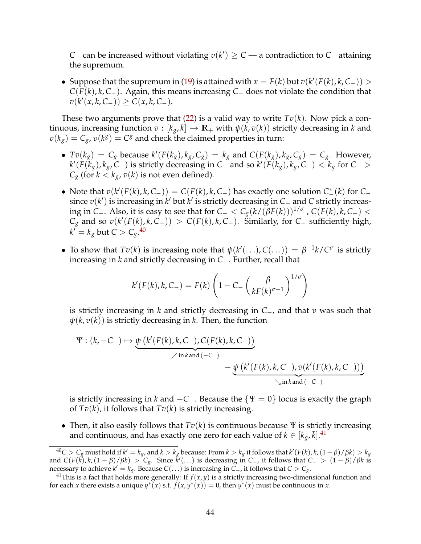*C* – can be increased without violating  $v(k') \ge C$  — a contradiction to *C* – attaining the supremum.

• Suppose that the supremum in [\(19\)](#page-38-2) is attained with  $x = F(k)$  but  $v(k'(F(k), k, C_{-})) >$ *C*(*F*(*k*), *k*, *C*−). Again, this means increasing *C*<sup>−</sup> does not violate the condition that  $v(k'(x, k, C_{-}))$  ≥  $C(x, k, C_{-})$ .

These two arguments prove that  $(22)$  is a valid way to write  $Tv(k)$ . Now pick a continuous, increasing function  $v : [k_g, \bar{k}] \to \mathbb{R}_+$  with  $\psi(k, v(k))$  strictly decreasing in *k* and  $v(k_g) = C_g$ ,  $v(k^g) = C^g$  and check the claimed properties in turn:

- $Tv(k_g) = C_g$  because  $k'(F(k_g), k_g, C_g) = k_g$  and  $C(F(k_g), k_g, C_g) = C_g$ . However,  $k'(F(k_g), k_g, C_{-})$  is strictly decreasing in  $C_{-}$  and so  $k'(F(k_g), k_g, C_{-}) < k_g$  for  $C_{-} >$  $C_g$  (for  $k < k_g$ ,  $v(k)$  is not even defined).
- Note that  $v(k'(F(k), k, C_{-})) = C(F(k), k, C_{-})$  has exactly one solution  $C^*(k)$  for  $C_{-}$ since *v*(*k*<sup> $\prime$ </sup>) is increasing in *k*<sup> $\prime$ </sup> but *k*<sup> $\prime$ </sup> is strictly decreasing in *C*− and *C* strictly increasing in *<sup>C</sup>*−. Also, it is easy to see that for *<sup>C</sup>*<sup>−</sup> <sup>&</sup>lt; *Cg*(*k*/(*βF*(*k*)))1/*<sup>σ</sup>* , *<sup>C</sup>*(*F*(*k*), *<sup>k</sup>*, *<sup>C</sup>*−) <sup>&</sup>lt;  $C_g$  and so  $v(k'(F(k), k, C_-)) > C(F(k), k, C_-)$ . Similarly, for  $C_-$  sufficiently high,  $k'=k_g$  but  $C>C_g$ .<sup>[40](#page-45-0)</sup>
- To show that  $Tv(k)$  is increasing note that  $\psi(k'(\ldots), C(\ldots)) = \beta^{-1}k/C^{\sigma}$  is strictly increasing in *k* and strictly decreasing in *C*−. Further, recall that

$$
k'(F(k),k,C_{-}) = F(k)\left(1 - C_{-}\left(\frac{\beta}{kF(k)^{\sigma-1}}\right)^{1/\sigma}\right)
$$

is strictly increasing in *k* and strictly decreasing in *C*−, and that *v* was such that  $\psi(k, v(k))$  is strictly decreasing in *k*. Then, the function

$$
\Psi : (k, -C_{-}) \mapsto \underbrace{\psi(k'(F(k), k, C_{-}), C(F(k), k, C_{-}))}_{\nearrow \text{in } k \text{ and } (-C_{-})} - \underbrace{\psi(k'(F(k), k, C_{-}), v(k'(F(k), k, C_{-})))}_{\searrow \text{in } k \text{ and } (-C_{-})}
$$

is strictly increasing in *k* and  $-C_$ . Because the  $\{\Psi = 0\}$  locus is exactly the graph of  $Tv(k)$ , it follows that  $Tv(k)$  is strictly increasing.

• Then, it also easily follows that  $Tv(k)$  is continuous because  $\Psi$  is strictly increasing and continuous, and has exactly one zero for each value of  $k \in [k_g, \bar{k}].^41$  $k \in [k_g, \bar{k}].^41$ 

<span id="page-45-0"></span> $^{40}C > C_g$  must hold if  $k' = k_g$ , and  $k > k_g$  because: From  $k > k_g$  it follows that  $k'(F(k), k, (1 − β)/βk) > k_g$ and  $C(F(k), k, (1 - \beta)/\beta k) > C_g$ . Since  $k'(\ldots)$  is decreasing in *C*−, it follows that  $C_>$   $(1 - \beta)/\beta k$  is necessary to achieve  $k' = k_g$ . Because  $C(\ldots)$  is increasing in  $C_{-}$ , it follows that  $C > C_g$ .<br><sup>41</sup>This is a fact that holds more generally: If  $f(x, y)$  is a strictly increasing two-dimensional function and

<span id="page-45-1"></span>for each *x* there exists a unique  $y^*(x)$  s.t.  $f(x, y^*(x)) = 0$ , then  $y^*(x)$  must be continuous in *x*.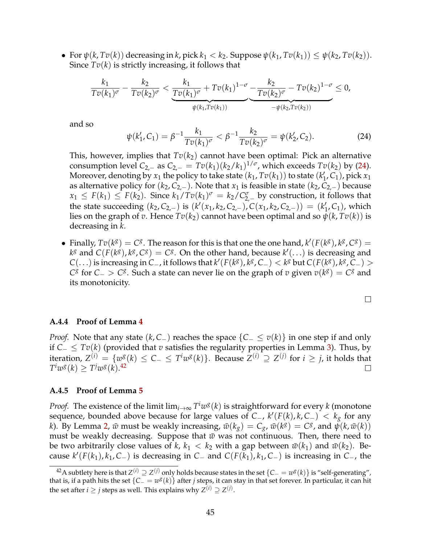• For  $\psi(k, Tv(k))$  decreasing in *k*, pick  $k_1 < k_2$ . Suppose  $\psi(k_1, Tv(k_1)) \leq \psi(k_2, Tv(k_2))$ . Since  $Tv(k)$  is strictly increasing, it follows that

$$
\frac{k_1}{Tv(k_1)^{\sigma}} - \frac{k_2}{Tv(k_2)^{\sigma}} < \underbrace{\frac{k_1}{Tv(k_1)^{\sigma}} + Tv(k_1)^{1-\sigma}}_{\psi(k_1, Tv(k_1))} - \underbrace{\frac{k_2}{Tv(k_2)^{\sigma}} - Tv(k_2)^{1-\sigma}}_{-\psi(k_2, Tv(k_2))} \leq 0,
$$

and so

<span id="page-46-2"></span>
$$
\psi(k'_1, C_1) = \beta^{-1} \frac{k_1}{T v(k_1)^{\sigma}} < \beta^{-1} \frac{k_2}{T v(k_2)^{\sigma}} = \psi(k'_2, C_2). \tag{24}
$$

This, however, implies that  $Tv(k_2)$  cannot have been optimal: Pick an alternative consumption level *C*<sub>2,−</sub> as *C*<sub>2,−</sub> =  $Tv(k_1)(k_2/k_1)^{1/\sigma}$ , which exceeds  $Tv(k_2)$  by [\(24\)](#page-46-2). Moreover, denoting by  $x_1$  the policy to take state  $(k_1, Tv(k_1))$  to state  $(k'_1, C_1)$ , pick  $x_1$ as alternative policy for  $(k_2, C_{2,-})$ . Note that  $x_1$  is feasible in state  $(k_2, C_{2,-})$  because  $x_1 \leq F(k_1) \leq F(k_2)$ . Since  $k_1/Tv(k_1)^\sigma = k_2/C_{2,-}^\sigma$  by construction, it follows that the state succeeding  $(k_2, C_{2,-})$  is  $(k'(x_1, k_2, C_{2,-})$ ,  $C(x_1, k_2, C_{2,-})) = (k'_1, C_1)$ , which lies on the graph of *v*. Hence  $Tv(k_2)$  cannot have been optimal and so  $\psi(k, Tv(k))$  is decreasing in *k*.

• Finally,  $Tv(k^g) = C^g$ . The reason for this is that one the one hand,  $k'(F(k^g), k^g, C^g) =$  $k^g$  and  $C(F(k^g), k^g, C^g) = C^g$ . On the other hand, because  $k'(\ldots)$  is decreasing and *C*(...) is increasing in *C*−, it follows that  $k'(F(k<sup>g</sup>), k<sup>g</sup>, C<sub>-</sub>) < k<sup>g</sup>$  but *C*(*F*( $k<sup>g</sup>$ ),  $k<sup>g</sup>, C<sub>-</sub>) >$ *C*<sup>*g*</sup> for *C*− > *C*<sup>*g*</sup>. Such a state can never lie on the graph of *v* given  $v(k^{g}) = C^{g}$  and its monotonicity.

#### <span id="page-46-0"></span>**A.4.4 Proof of Lemma [4](#page-39-2)**

*Proof.* Note that any state (*k*, *C*−) reaches the space {*C*− ≤ *v*(*k*)} in one step if and only if *C*<sup>−</sup> ≤ *Tv*(*k*) (provided that *v* satisfies the regularity properties in Lemma [3\)](#page-39-1). Thus, by iteration,  $Z^{(i)} = \{w^g(k) \leq C_− ≤ T^iw^g(k)\}$ . Because  $Z^{(i)} \supseteq Z^{(j)}$  for  $i ≥ j$ , it holds that  $T^{i}w^{g}(k) \geq T^{j}w^{g}(k).^{42}$  $T^{i}w^{g}(k) \geq T^{j}w^{g}(k).^{42}$  $T^{i}w^{g}(k) \geq T^{j}w^{g}(k).^{42}$ 

#### <span id="page-46-1"></span>**A.4.5 Proof of Lemma [5](#page-39-5)**

*Proof.* The existence of the limit  $\lim_{i\to\infty} T^i w^g(k)$  is straightforward for every *k* (monotone sequence, bounded above because for large values of *C*−,  $k'(F(k), k, C_{-}) < k_g$  for any *k*). By Lemma [2,](#page-38-1)  $\bar{w}$  must be weakly increasing,  $\bar{w}(k_g) = C_g$ ,  $\bar{w}(k^g) = C^g$ , and  $\psi(k, \bar{w}(k))$ must be weakly decreasing. Suppose that  $\bar{w}$  was not continuous. Then, there need to be two arbitrarily close values of *k*,  $k_1 < k_2$  with a gap between  $\bar{w}(k_1)$  and  $\bar{w}(k_2)$ . Be $k'(F(k_1), k_1, C_-)$  is decreasing in  $C_-\$  and  $C(F(k_1), k_1, C_-)$  is increasing in  $C_-\$ , the

<span id="page-46-3"></span><sup>&</sup>lt;sup>42</sup>A subtlety here is that  $Z^{(i)}$  ⊇  $Z^{(j)}$  only holds because states in the set  $\{C_ = w^g(k)\}\$ is "self-generating", that is, if a path hits the set  ${C_ = w_g(k)}$  after *j* steps, it can stay in that set forever. In particular, it can hit the set after *i*  $\geq$  *j* steps as well. This explains why  $Z^{(i)} \supseteq Z^{(j)}$ .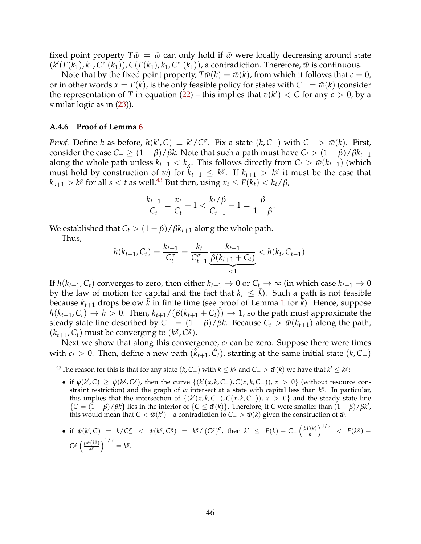fixed point property  $T\bar{w} = \bar{w}$  can only hold if  $\bar{w}$  were locally decreasing around state  $(k'(F(k_1), k_1, C^*(k_1)), C(F(k_1), k_1, C^*(k_1)),$  a contradiction. Therefore,  $\bar{w}$  is continuous.

Note that by the fixed point property,  $T\bar{w}(k) = \bar{w}(k)$ , from which it follows that  $c = 0$ , or in other words  $x = F(k)$ , is the only feasible policy for states with  $C_ = \bar{w}(k)$  (consider the representation of *T* in equation [\(22\)](#page-44-3) – this implies that  $v(k') < C$  for any  $c > 0$ , by a  $\Box$ similar logic as in [\(23\)](#page-44-4)).

#### <span id="page-47-0"></span>**A.4.6 Proof of Lemma [6](#page-39-4)**

*Proof.* Define *h* as before,  $h(k', C) \equiv k'/C^{\sigma}$ . Fix a state  $(k, C_{-})$  with  $C_{-} > \bar{w}(k)$ . First, consider the case  $C_-\geq (1-\beta)/\beta k$ . Note that such a path must have  $C_t>(1-\beta)/\beta k_{t+1}$ along the whole path unless  $k_{t+1} < k_g$ . This follows directly from  $C_t > \bar{w}(k_{t+1})$  (which must hold by construction of  $\bar{w}$ ) for  $k_{t+1} \leq k^g$ . If  $k_{t+1} > k^g$  it must be the case that  $k_{s+1} > k^g$  for all  $s < t$  as well.<sup>43</sup> But then, using  $x_t \leq F(k_t) < k_t/\beta$ ,

$$
\frac{k_{t+1}}{C_t} = \frac{x_t}{C_t} - 1 < \frac{k_t/\beta}{C_{t-1}} - 1 = \frac{\beta}{1-\beta}.
$$

We established that  $C_t > (1 - \beta)/\beta k_{t+1}$  along the whole path.

Thus,

$$
h(k_{t+1}, C_t) = \frac{k_{t+1}}{C_t^{\sigma}} = \frac{k_t}{C_{t-1}^{\sigma}} \underbrace{\frac{k_{t+1}}{\beta(k_{t+1} + C_t)}}_{< 1} < h(k_t, C_{t-1}).
$$

If  $h(k_{t+1}, C_t)$  converges to zero, then either  $k_{t+1} \to 0$  or  $C_t \to \infty$  (in which case  $k_{t+1} \to 0$ by the law of motion for capital and the fact that  $k_t \leq \bar{k}$ ). Such a path is not feasible because  $k_{t+1}$  $k_{t+1}$  $k_{t+1}$  drops below  $\tilde{k}$  in finite time (see proof of Lemma 1 for  $\tilde{k}$ ). Hence, suppose  $h(k_{t+1}, C_t) \rightarrow h > 0$ . Then,  $k_{t+1}/(\beta(k_{t+1} + C_t)) \rightarrow 1$ , so the path must approximate the steady state line described by  $C_ - = (1 - \beta)/\beta k$ . Because  $C_t > \bar{w}(k_{t+1})$  along the path,  $(k_{t+1}, C_t)$  must be converging to  $(k^g, C^g)$ .

Next we show that along this convergence,  $c_t$  can be zero. Suppose there were times with  $c_t > 0$ . Then, define a new path  $(\hat{k}_{t+1}, \hat{C}_t)$ , starting at the same initial state  $(k, C_-)$ 

- $\bullet$  if  $\psi(k', C) \geq \psi(k^g, C^g)$ , then the curve {(k'(*x*, *k*, *C*−), *C*(*x*, *k*, *C*−)), *x* > 0} (without resource constraint restriction) and the graph of  $\bar{w}$  intersect at a state with capital less than  $k^g$ . In particular, this implies that the intersection of  $\{(k'(x, k, C_{-}), C(x, k, C_{-})), x > 0\}$  and the steady state line  ${C = (1 - \beta)/\beta k}$  lies in the interior of  ${C \le \bar{w}(k)}$ . Therefore, if *C* were smaller than  $(1 - \beta)/\beta k^{\prime}$ , this would mean that  $C < \bar{w}(k')$  – a contradiction to  $C_{-} > \bar{w}(k)$  given the construction of  $\bar{w}$ .
- if  $\psi(k', C) = k/C_-^{\sigma} < \psi(k^g, C^g) = k^g/(C^g)^{\sigma}$ , then  $k' \leq F(k) C_- \left(\frac{\beta F(k)}{k}\right)$ *k*  $\int^{1/\sigma}$  <  $F(k^{g})$  –  $C^{g}$   $\left(\frac{\beta F(k^{g})}{k^{g}}\right)$ *kg*  $\bigg)^{1/\sigma} = k^g.$

<span id="page-47-1"></span><sup>&</sup>lt;sup>43</sup>The reason for this is that for any state (*k*, *C*−) with *k* ≤ *k<sup>g</sup>* and *C*− >  $\bar{w}(k)$  we have that  $k' \leq k^g$ :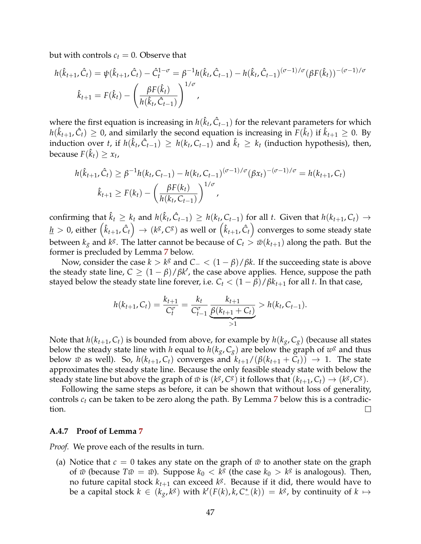but with controls  $c_t = 0$ . Observe that

$$
h(\hat{k}_{t+1}, \hat{C}_t) = \psi(\hat{k}_{t+1}, \hat{C}_t) - \hat{C}_t^{1-\sigma} = \beta^{-1} h(\hat{k}_t, \hat{C}_{t-1}) - h(\hat{k}_t, \hat{C}_{t-1})^{(\sigma-1)/\sigma} (\beta F(\hat{k}_t))^{-(\sigma-1)/\sigma}
$$

$$
\hat{k}_{t+1} = F(\hat{k}_t) - \left(\frac{\beta F(\hat{k}_t)}{h(\hat{k}_t, \hat{C}_{t-1})}\right)^{1/\sigma},
$$

where the first equation is increasing in  $h(\hat{k}_t, \hat{C}_{t-1})$  for the relevant parameters for which  $h(\hat{k}_{t+1}, \hat{C}_t) \geq 0$ , and similarly the second equation is increasing in  $F(\hat{k}_t)$  if  $\hat{k}_{t+1} \geq 0$ . By induction over *t*, if  $h(\hat{k}_t, \hat{C}_{t-1}) \geq h(k_t, C_{t-1})$  and  $\hat{k}_t \geq k_t$  (induction hypothesis), then, because  $F(\hat{k}_t) \geq x_t$ ,

$$
h(\hat{k}_{t+1}, \hat{C}_t) \ge \beta^{-1} h(k_t, C_{t-1}) - h(k_t, C_{t-1})^{(\sigma-1)/\sigma} (\beta x_t)^{-(\sigma-1)/\sigma} = h(k_{t+1}, C_t)
$$
  

$$
\hat{k}_{t+1} \ge F(k_t) - \left(\frac{\beta F(k_t)}{h(k_t, C_{t-1})}\right)^{1/\sigma},
$$

confirming that  $\hat{k}_t \geq k_t$  and  $h(\hat{k}_t, \hat{C}_{t-1}) \geq h(k_t, C_{t-1})$  for all  $t$ . Given that  $h(k_{t+1}, C_t) \rightarrow$  $\frac{h}{dt} > 0$ , either  $(\hat{k}_{t+1}, \hat{C}_t) \rightarrow (k^g, C^g)$  as well or  $(\hat{k}_{t+1}, \hat{C}_t)$  converges to some steady state between  $k_g$  and  $k^g$ . The latter cannot be because of  $C_t > \bar{w}(k_{t+1})$  along the path. But the former is precluded by Lemma [7](#page-39-3) below.

Now, consider the case *<sup>k</sup>* <sup>&</sup>gt; *<sup>k</sup><sup>g</sup>* and *<sup>C</sup>*<sup>−</sup> <sup>&</sup>lt; (<sup>1</sup> <sup>−</sup> *<sup>β</sup>*)/*βk*. If the succeeding state is above the steady state line,  $C \geq (1 - \beta)/\beta k'$ , the case above applies. Hence, suppose the path stayed below the steady state line forever, i.e.  $C_t < (1 - \beta)/\beta k_{t+1}$  for all *t*. In that case,

$$
h(k_{t+1}, C_t) = \frac{k_{t+1}}{C_t^{\sigma}} = \frac{k_t}{C_{t-1}^{\sigma}} \underbrace{\frac{k_{t+1}}{\beta(k_{t+1} + C_t)}}_{>1} > h(k_t, C_{t-1}).
$$

Note that  $h(k_{t+1}, C_t)$  is bounded from above, for example by  $h(k_g, C_g)$  (because all states below the steady state line with *h* equal to  $h(k_g, C_g)$  are below the graph of  $w^g$  and thus below  $\bar{w}$  as well). So,  $h(k_{t+1}, C_t)$  converges and  $k_{t+1}/(\beta(k_{t+1} + C_t)) \rightarrow 1$ . The state approximates the steady state line. Because the only feasible steady state with below the steady state line but above the graph of  $\bar{w}$  is ( $k^g$ ,  $C^g$ ) it follows that ( $k_{t+1}$ ,  $C_t$ )  $\rightarrow$  ( $k^g$ ,  $C^g$ ).

Following the same steps as before, it can be shown that without loss of generality, controls *ct* can be taken to be zero along the path. By Lemma [7](#page-39-3) below this is a contradiction.  $\Box$ 

#### <span id="page-48-0"></span>**A.4.7 Proof of Lemma [7](#page-39-3)**

*Proof.* We prove each of the results in turn.

(a) Notice that  $c = 0$  takes any state on the graph of  $\bar{w}$  to another state on the graph of  $\bar{w}$  (because  $T\bar{w} = \bar{w}$ ). Suppose  $k_0 < k^g$  (the case  $k_0 > k^g$  is analogous). Then, no future capital stock  $k_{t+1}$  can exceed  $k^g$ . Because if it did, there would have to be a capital stock  $k \in (k_g, k^g)$  with  $k'(F(k), k, C^*(k)) = k^g$ , by continuity of  $k \mapsto$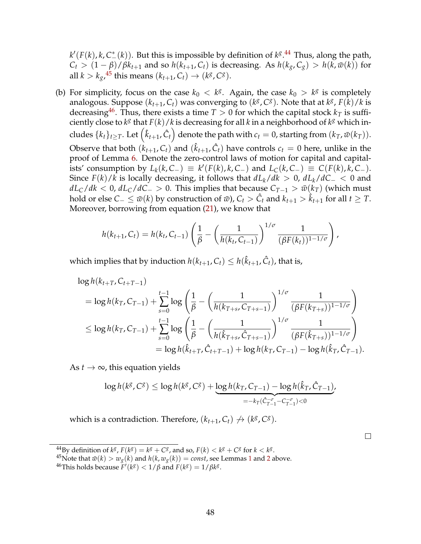$k'(F(k), k, C^*(k))$ . But this is impossible by definition of  $k^g$ .<sup>[44](#page-49-0)</sup> Thus, along the path,  $C_t$  >  $(1 - \beta)/\beta k_{t+1}$  and so  $h(k_{t+1}, C_t)$  is decreasing. As  $h(k_g, C_g)$  >  $h(k, \bar{w}(k))$  for all  $k > k_g$ , <sup>[45](#page-49-1)</sup> this means  $(k_{t+1}, C_t) \rightarrow (k^g, C^g)$ .

(b) For simplicity, focus on the case  $k_0 < k^g$ . Again, the case  $k_0 > k^g$  is completely analogous. Suppose  $(k_{t+1}, C_t)$  was converging to  $(k^g, C^g)$ . Note that at  $k^g$ ,  $F(k)/k$  is decreasing<sup>46</sup>. Thus, there exists a time  $T > 0$  for which the capital stock  $k<sub>T</sub>$  is sufficiently close to  $k^g$  that  $F(k)/k$  is decreasing for all  $k$  in a neighborhood of  $k^g$  which includes  $\{k_t\}_{t\geq T}$ . Let  $(\hat{k}_{t+1}, \hat{C}_t)$  denote the path with  $c_t = 0$ , starting from  $(k_T, \bar{w}(k_T))$ . Observe that both  $(k_{t+1}, C_t)$  and  $(\hat{k}_{t+1}, \hat{C}_t)$  have controls  $c_t = 0$  here, unlike in the proof of Lemma [6.](#page-39-4) Denote the zero-control laws of motion for capital and capitalists' consumption by  $L_k(k, C_-\) \equiv k'(F(k), k, C_-\)$  and  $L_C(k, C_-\) \equiv C(F(k), k, C_-\)$ . Since  $F(k)/k$  is locally decreasing, it follows that  $dL_k/dk > 0$ ,  $dL_k/dC − 0$  and  $dL_C/dk < 0$ ,  $dL_C/dC$  > 0. This implies that because  $C_{T-1} > \bar{w}(k_T)$  (which must hold or else *C*− ≤  $\bar{w}(k)$  by construction of  $\bar{w}$ ), *C<sub>t</sub>* >  $\hat{C}_t$  and  $k_{t+1} > \hat{k}_{t+1}$  for all  $t \geq T$ . Moreover, borrowing from equation [\(21\)](#page-43-2), we know that

$$
h(k_{t+1}, C_t) = h(k_t, C_{t-1}) \left( \frac{1}{\beta} - \left( \frac{1}{h(k_t, C_{t-1})} \right)^{1/\sigma} \frac{1}{(\beta F(k_t))^{1-1/\sigma}} \right),
$$

which implies that by induction  $h(k_{t+1}, C_t) \leq h(\hat{k}_{t+1}, \hat{C}_t)$ , that is,

$$
\log h(k_{t+T}, C_{t+T-1})
$$
\n
$$
= \log h(k_{T}, C_{T-1}) + \sum_{s=0}^{t-1} \log \left( \frac{1}{\beta} - \left( \frac{1}{h(k_{T+s}, C_{T+s-1})} \right)^{1/\sigma} \frac{1}{(\beta F(k_{T+s}))^{1-1/\sigma}} \right)
$$
\n
$$
\leq \log h(k_{T}, C_{T-1}) + \sum_{s=0}^{t-1} \log \left( \frac{1}{\beta} - \left( \frac{1}{h(\hat{k}_{T+s}, \hat{C}_{T+s-1})} \right)^{1/\sigma} \frac{1}{(\beta F(\hat{k}_{T+s}))^{1-1/\sigma}} \right)
$$
\n
$$
= \log h(\hat{k}_{t+T}, \hat{C}_{t+T-1}) + \log h(k_{T}, C_{T-1}) - \log h(\hat{k}_{T}, \hat{C}_{T-1}).
$$

As  $t \to \infty$ , this equation yields

$$
\log h(k^{g}, C^{g}) \leq \log h(k^{g}, C^{g}) + \underbrace{\log h(k_{T}, C_{T-1}) - \log h(\hat{k}_{T}, \hat{C}_{T-1})}_{=-k_{T}(\hat{C}_{T-1}^{-\sigma} - C_{T-1}^{-\sigma}) < 0}.
$$

which is a contradiction. Therefore,  $(k_{t+1}, C_t) \nrightarrow (k^g, C^g)$ .

 $\Box$ 

<span id="page-49-0"></span><sup>&</sup>lt;sup>44</sup>By definition of  $k^g$ ,  $F(k^g) = k^g + C^g$ , and so,  $F(k) < k^g + C^g$  for  $k < k^g$ .

<span id="page-49-1"></span><sup>&</sup>lt;sup>45</sup>Note that  $\bar{w}(k) > w_g(k)$  and  $h(k, w_g(k)) = const$ , see Lemmas [1](#page-38-0) and [2](#page-38-1) above.

<span id="page-49-2"></span> $^{46}$ This holds because  $\overline{F}'(k^g) < 1/\beta$  and  $F(k^g) = 1/\beta k^g$ .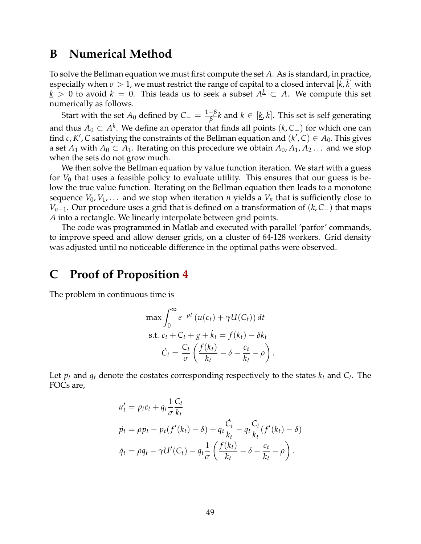# **B Numerical Method**

To solve the Bellman equation we must first compute the set *A*. As is standard, in practice, especially when  $\sigma > 1$ , we must restrict the range of capital to a closed interval  $[\underline{k}, \overline{k}]$  with *k* > 0 to avoid *k* = 0. This leads us to seek a subset  $A^{\underline{k}}$  ⊂ *A*. We compute this set numerically as follows.

Start with the set  $A_0$  defined by  $C_-=\frac{1-\beta}{\beta}k$  and  $k\in[\underline{k},\bar{k}].$  This set is self generating and thus  $A_0$  ⊂  $A^{\underline{k}}$ . We define an operator that finds all points ( $k$ ,  $C$ <sub>−</sub>) for which one can find *c*, *K'*, *C* satisfying the constraints of the Bellman equation and  $(k', C) \in A_0$ . This gives a set  $A_1$  with  $A_0 \subset A_1$ . Iterating on this procedure we obtain  $A_0, A_1, A_2 \ldots$  and we stop when the sets do not grow much.

We then solve the Bellman equation by value function iteration. We start with a guess for  $V_0$  that uses a feasible policy to evaluate utility. This ensures that our guess is below the true value function. Iterating on the Bellman equation then leads to a monotone sequence  $V_0, V_1, \ldots$  and we stop when iteration *n* yields a  $V_n$  that is sufficiently close to *Vn*−1. Our procedure uses a grid that is defined on a transformation of (*k*, *C*−) that maps *A* into a rectangle. We linearly interpolate between grid points.

The code was programmed in Matlab and executed with parallel 'parfor' commands, to improve speed and allow denser grids, on a cluster of 64-128 workers. Grid density was adjusted until no noticeable difference in the optimal paths were observed.

# **C Proof of Proposition [4](#page-17-3)**

The problem in continuous time is

$$
\max \int_0^\infty e^{-\rho t} \left( u(c_t) + \gamma U(C_t) \right) dt
$$
\n
$$
\text{s.t. } c_t + C_t + g + k_t = f(k_t) - \delta k_t
$$
\n
$$
\dot{C}_t = \frac{C_t}{\sigma} \left( \frac{f(k_t)}{k_t} - \delta - \frac{c_t}{k_t} - \rho \right).
$$

Let  $p_t$  and  $q_t$  denote the costates corresponding respectively to the states  $k_t$  and  $C_t$ . The FOCs are,

$$
u'_t = p_t c_t + q_t \frac{1}{\sigma} \frac{C_t}{k_t}
$$
  
\n
$$
\dot{p}_t = \rho p_t - p_t (f'(k_t) - \delta) + q_t \frac{\dot{C}_t}{k_t} - q_t \frac{C_t}{k_t} (f'(k_t) - \delta)
$$
  
\n
$$
\dot{q}_t = \rho q_t - \gamma U'(C_t) - q_t \frac{1}{\sigma} \left( \frac{f(k_t)}{k_t} - \delta - \frac{c_t}{k_t} - \rho \right).
$$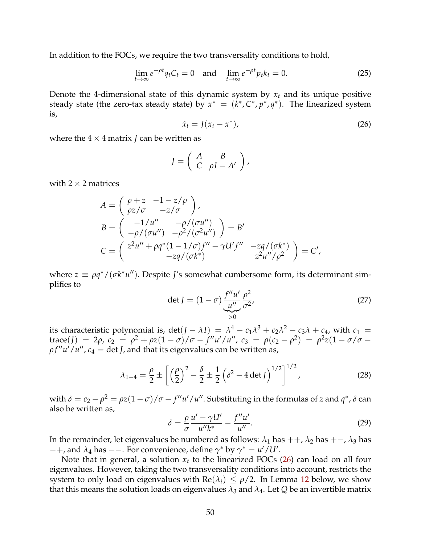In addition to the FOCs, we require the two transversality conditions to hold,

$$
\lim_{t \to \infty} e^{-\rho t} q_t C_t = 0 \quad \text{and} \quad \lim_{t \to \infty} e^{-\rho t} p_t k_t = 0. \tag{25}
$$

Denote the 4-dimensional state of this dynamic system by  $x_t$  and its unique positive steady state (the zero-tax steady state) by  $x^* = (k^*, C^*, p^*, q^*)$ . The linearized system is,

<span id="page-51-0"></span>
$$
\dot{x}_t = J(x_t - x^*),\tag{26}
$$

where the  $4 \times 4$  matrix *J* can be written as

$$
J = \left( \begin{array}{cc} A & B \\ C & \rho I - A' \end{array} \right),
$$

with  $2 \times 2$  matrices

$$
A = \begin{pmatrix} \rho + z & -1 - z/\rho \\ \rho z/\sigma & -z/\sigma \end{pmatrix},
$$
  
\n
$$
B = \begin{pmatrix} -1/u'' & -\rho/(\sigma u'') \\ -\rho/(\sigma u'') & -\rho^2/(\sigma^2 u'') \end{pmatrix} = B'
$$
  
\n
$$
C = \begin{pmatrix} z^2 u'' + \rho q^* (1 - 1/\sigma) f'' - \gamma U' f'' & -z q/(\sigma k^*) \\ -z q/(\sigma k^*) & z^2 u''/\rho^2 \end{pmatrix} = C',
$$

where  $z \equiv \rho q^*/(\sigma k^* u'')$ . Despite *J*'s somewhat cumbersome form, its determinant simplifies to

<span id="page-51-2"></span>
$$
\det J = (1 - \sigma) \underbrace{\frac{f''u'}{u''}}_{>0} \underbrace{\rho^2}_{\sigma^2'},
$$
 (27)

its characteristic polynomial is, det( $J - \lambda I$ ) =  $\lambda^4 - c_1 \lambda^3 + c_2 \lambda^2 - c_3 \lambda + c_4$ , with  $c_1$  =  ${\rm trace}(J) = 2\rho$ ,  $c_2 = \rho^2 + \rho z (1 - \sigma) / \sigma - f'' u' / u''$ ,  $c_3 = \rho (c_2 - \rho^2) = \rho^2 z (1 - \sigma) / \sigma - f'' u'' / u''$  $\rho f'' u'/u'', c_4 = \det J$ , and that its eigenvalues can be written as,

<span id="page-51-1"></span>
$$
\lambda_{1-4} = \frac{\rho}{2} \pm \left[ \left( \frac{\rho}{2} \right)^2 - \frac{\delta}{2} \pm \frac{1}{2} \left( \delta^2 - 4 \det J \right)^{1/2} \right]^{1/2},\tag{28}
$$

with  $\delta = c_2 - \rho^2 = \rho z (1 - \sigma) / \sigma - f'' u' / u''$ . Substituting in the formulas of *z* and  $q^*$ ,  $\delta$  can also be written as,

<span id="page-51-3"></span>
$$
\delta = \frac{\rho}{\sigma} \frac{u' - \gamma U'}{u''k^*} - \frac{f''u'}{u''}.
$$
\n(29)

In the remainder, let eigenvalues be numbered as follows:  $\lambda_1$  has  $++$ ,  $\lambda_2$  has  $+-$ ,  $\lambda_3$  has  $-+$ , and *λ*<sub>4</sub> has  $-$ . For convenience, define *γ*<sup>∗</sup> by *γ*<sup>∗</sup> = *u'* /*U'*.

Note that in general, a solution  $x_t$  to the linearized FOCs  $(26)$  can load on all four eigenvalues. However, taking the two transversality conditions into account, restricts the system to only load on eigenvalues with  $\text{Re}(\lambda_i) \leq \rho/2$ . In Lemma [12](#page-52-0) below, we show that this means the solution loads on eigenvalues  $\lambda_3$  and  $\lambda_4$ . Let Q be an invertible matrix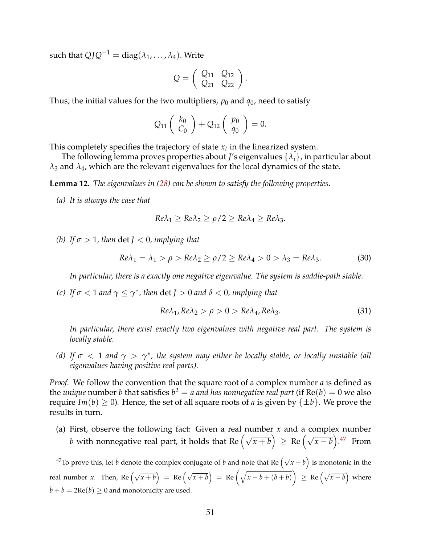such that  $QJQ^{-1} = \text{diag}(\lambda_1, \ldots, \lambda_4)$ . Write

$$
Q=\left(\begin{array}{cc}Q_{11}&Q_{12}\\Q_{21}&Q_{22}\end{array}\right).
$$

Thus, the initial values for the two multipliers,  $p_0$  and  $q_0$ , need to satisfy

$$
Q_{11}\left(\begin{array}{c}k_0\\C_0\end{array}\right)+Q_{12}\left(\begin{array}{c}p_0\\q_0\end{array}\right)=0.
$$

This completely specifies the trajectory of state  $x_t$  in the linearized system.

The following lemma proves properties about *J*'s eigenvalues {*λi*}, in particular about  $\lambda_3$  and  $\lambda_4$ , which are the relevant eigenvalues for the local dynamics of the state.

<span id="page-52-0"></span>**Lemma 12.** *The eigenvalues in [\(28\)](#page-51-1) can be shown to satisfy the following properties.*

*(a) It is always the case that*

$$
Re\lambda_1 \ge Re\lambda_2 \ge \rho/2 \ge Re\lambda_4 \ge Re\lambda_3.
$$

*(b) If*  $\sigma > 1$ *, then* det  $J < 0$ *, implying that* 

<span id="page-52-2"></span>
$$
Re\lambda_1 = \lambda_1 > \rho > Re\lambda_2 \ge \rho/2 \ge Re\lambda_4 > 0 > \lambda_3 = Re\lambda_3. \tag{30}
$$

*In particular, there is a exactly one negative eigenvalue. The system is saddle-path stable.*

*(c) If*  $\sigma$  < 1 *and*  $\gamma \leq \gamma^*$ *, then* det *J* > 0 *and*  $\delta$  < 0*, implying that* 

<span id="page-52-3"></span>
$$
Re\lambda_1, Re\lambda_2 > \rho > 0 > Re\lambda_4, Re\lambda_3. \tag{31}
$$

*In particular, there exist exactly two eigenvalues with negative real part. The system is locally stable.*

*(d)* If  $\sigma$  < 1 and  $\gamma$  >  $\gamma^*$ , the system may either be locally stable, or locally unstable (all *eigenvalues having positive real parts).*

*Proof.* We follow the convention that the square root of a complex number *a* is defined as the *unique* number *b* that satisfies  $b^2 = a$  and has nonnegative real part (if  $Re(b) = 0$  we also require  $Im(b) > 0$ ). Hence, the set of all square roots of *a* is given by  $\{\pm b\}$ . We prove the results in turn.

(a) First, observe the following fact: Given a real number *x* and a complex number *b* with nonnegative real part, it holds that Re  $(\sqrt{x+b}) \geq$  Re  $(\sqrt{x-b})$ .<sup>[47](#page-52-1)</sup> From

<span id="page-52-1"></span><sup>&</sup>lt;sup>47</sup>To prove this, let  $\bar{b}$  denote the complex conjugate of *b* and note that Re  $(\sqrt{x+b})$  is monotonic in the real number *x*. Then, Re  $(\sqrt{x+b})$  = Re  $(\sqrt{x+\overline{b}})$  = Re  $(\sqrt{x-b+(b+b)})$  $\left(\sqrt{x-b}\right)$  where  $\bar{b} + b = 2\text{Re}(b) \ge 0$  and monotonicity are used.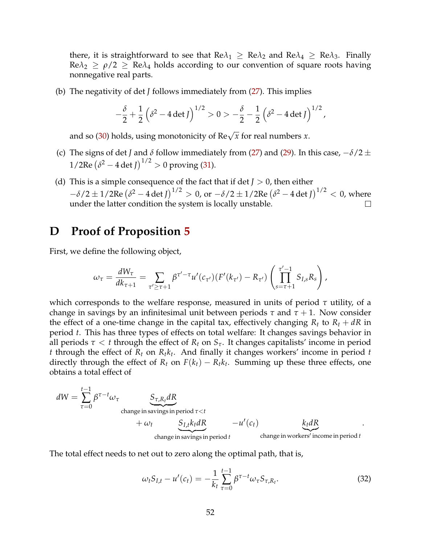there, it is straightforward to see that  $\text{Re}\lambda_1 \geq \text{Re}\lambda_2$  and  $\text{Re}\lambda_4 \geq \text{Re}\lambda_3$ . Finally  $\text{Re}\lambda_2 \geq \rho/2 \geq \text{Re}\lambda_4$  holds according to our convention of square roots having nonnegative real parts.

(b) The negativity of det *J* follows immediately from [\(27\)](#page-51-2). This implies

$$
-\frac{\delta}{2} + \frac{1}{2} (\delta^2 - 4 \det J)^{1/2} > 0 > -\frac{\delta}{2} - \frac{1}{2} (\delta^2 - 4 \det J)^{1/2},
$$

and so [\(30\)](#page-52-2) holds, using monotonicity of  $\text{Re}\sqrt{x}$  for real numbers *x*.

- (c) The signs of det *J* and *δ* follow immediately from [\(27\)](#page-51-2) and [\(29\)](#page-51-3). In this case,  $-\delta/2 \pm \delta/2$  $1/2$ Re  $(\delta^2 - 4 \det J)^{1/2} > 0$  proving [\(31\)](#page-52-3).
- (d) This is a simple consequence of the fact that if det  $J > 0$ , then either  $-\delta/2 \pm 1/2$ Re  $\left(\delta^2 - 4 \det J\right)^{1/2} > 0$ , or  $-\delta/2 \pm 1/2$ Re  $\left(\delta^2 - 4 \det J\right)^{1/2} < 0$ , where under the latter condition the system is locally unstable.  $\Box$

### **D Proof of Proposition [5](#page-19-0)**

First, we define the following object,

$$
\omega_{\tau} = \frac{dW_{\tau}}{dk_{\tau+1}} = \sum_{\tau' \geq \tau+1} \beta^{\tau'-\tau} u'(c_{\tau'})(F'(k_{\tau'}) - R_{\tau'}) \left( \prod_{s=\tau+1}^{\tau'-1} S_{I,s} R_s \right),
$$

which corresponds to the welfare response, measured in units of period *τ* utility, of a change in savings by an infinitesimal unit between periods  $\tau$  and  $\tau + 1$ . Now consider the effect of a one-time change in the capital tax, effectively changing  $R_t$  to  $R_t + dR$  in period *t*. This has three types of effects on total welfare: It changes savings behavior in all periods  $\tau < t$  through the effect of  $R_t$  on  $S_{\tau}$ . It changes capitalists' income in period *t* through the effect of  $R_t$  on  $R_t k_t$ . And finally it changes workers' income in period *t* directly through the effect of  $R_t$  on  $F(k_t) - R_t k_t$ . Summing up these three effects, one obtains a total effect of

$$
dW = \sum_{\tau=0}^{t-1} \beta^{\tau-t} \omega_{\tau}
$$
  
change in savings in period  $\tau < t$   

$$
+ \omega_t \underbrace{S_{\tau,R_t} dR}_{change in savings in period t} - u'(c_t) \underbrace{k_t dR}_{change in workers' income in period t}.
$$

The total effect needs to net out to zero along the optimal path, that is,

<span id="page-53-0"></span>
$$
\omega_t S_{I,t} - u'(c_t) = -\frac{1}{k_t} \sum_{\tau=0}^{t-1} \beta^{\tau-t} \omega_\tau S_{\tau,R_t}.
$$
 (32)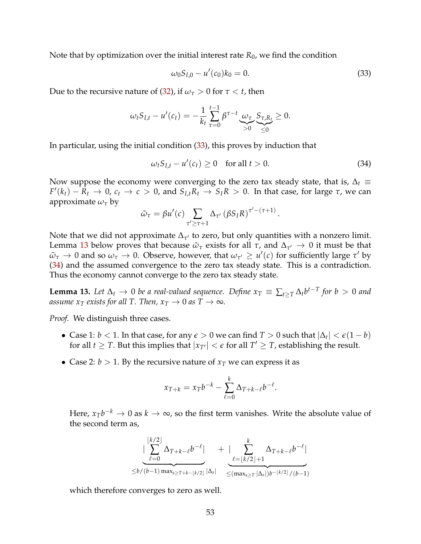Note that by optimization over the initial interest rate  $R_0$ , we find the condition

<span id="page-54-0"></span>
$$
\omega_0 S_{I,0} - u'(c_0) k_0 = 0. \tag{33}
$$

Due to the recursive nature of [\(32\)](#page-53-0), if  $\omega_{\tau} > 0$  for  $\tau < t$ , then

$$
\omega_t S_{I,t} - u'(c_t) = -\frac{1}{k_t} \sum_{\tau=0}^{t-1} \beta^{\tau-t} \underbrace{\omega_{\tau}}_{>0} \underbrace{S_{\tau,R_t}}_{\leq 0} \geq 0.
$$

In particular, using the initial condition [\(33\)](#page-54-0), this proves by induction that

<span id="page-54-2"></span>
$$
\omega_t S_{I,t} - u'(c_t) \ge 0 \quad \text{for all } t > 0. \tag{34}
$$

Now suppose the economy were converging to the zero tax steady state, that is,  $\Delta_t \equiv$  $F'(k_t) - R_t \to 0$ ,  $c_t \to c > 0$ , and  $S_{I,t}R_t \to S_I R > 0$ . In that case, for large  $\tau$ , we can approximate  $\omega_{\tau}$  by

$$
\tilde{\omega}_{\tau} = \beta u'(c) \sum_{\tau' \geq \tau+1} \Delta_{\tau'} (\beta S_I R)^{\tau' - (\tau+1)}.
$$

Note that we did not approximate  $\Delta_{\tau}$  to zero, but only quantities with a nonzero limit. Lemma [13](#page-54-1) below proves that because  $\tilde{\omega}_\tau$  exists for all  $\tau$ , and  $\Delta_{\tau'} \to 0$  it must be that  $\tilde{\omega}_{\tau} \to 0$  and so  $\omega_{\tau} \to 0$ . Observe, however, that  $\omega_{\tau'} \ge u'(c)$  for sufficiently large  $\tau'$  by [\(34\)](#page-54-2) and the assumed convergence to the zero tax steady state. This is a contradiction. Thus the economy cannot converge to the zero tax steady state.

<span id="page-54-1"></span>**Lemma 13.** Let  $\Delta_t \to 0$  be a real-valued sequence. Define  $x_T \equiv \sum_{t>T} \Delta_t b^{t-T}$  for  $b > 0$  and *assume*  $x_T$  *exists for all T. Then,*  $x_T \rightarrow 0$  *as*  $T \rightarrow \infty$ *.* 

*Proof.* We distinguish three cases.

- Case 1:  $b < 1$ . In that case, for any  $\epsilon > 0$  we can find  $T > 0$  such that  $|\Delta_t| < \epsilon(1 b)$ for all *t*  $\geq$  *T*. But this implies that  $|x_{T'}| < \epsilon$  for all *T'*  $\geq$  *T*, establishing the result.
- Case 2:  $b > 1$ . By the recursive nature of  $x_T$  we can express it as

$$
x_{T+k} = x_T b^{-k} - \sum_{\ell=0}^k \Delta_{T+k-\ell} b^{-\ell}.
$$

Here,  $x_Tb^{-k}$  → 0 as  $k \to \infty$ , so the first term vanishes. Write the absolute value of the second term as,

$$
\frac{\left|\sum_{\ell=0}^{[k/2]} \Delta_{T+k-\ell} b^{-\ell}\right|}{\leq b/(b-1)\max_{s\geq T+k-[k/2]}|\Delta_s|} + \frac{\left|\sum_{\ell= [k/2]+1}^{k} \Delta_{T+k-\ell} b^{-\ell}\right|}{\leq (\max_{s\geq T}|\Delta_s|) b^{-\lfloor k/2\rfloor}/(b-1)}
$$

which therefore converges to zero as well.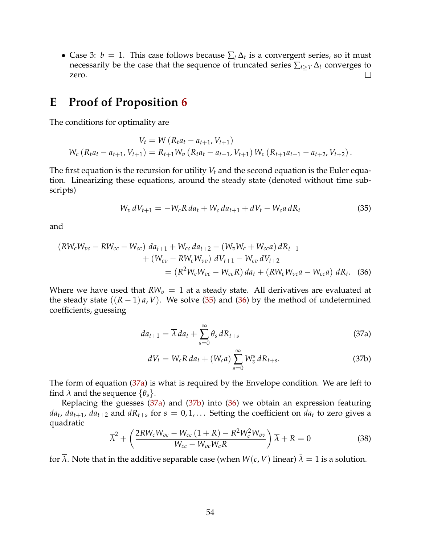• Case 3:  $b = 1$ . This case follows because  $\sum_t \Delta_t$  is a convergent series, so it must necessarily be the case that the sequence of truncated series  $\sum_{t\geq T} \Delta_t$  converges to zero. zero.

### **E Proof of Proposition [6](#page-20-1)**

The conditions for optimality are

$$
V_t = W (R_t a_t - a_{t+1}, V_{t+1})
$$
  
 
$$
W_c (R_t a_t - a_{t+1}, V_{t+1}) = R_{t+1} W_v (R_t a_t - a_{t+1}, V_{t+1}) W_c (R_{t+1} a_{t+1} - a_{t+2}, V_{t+2}).
$$

The first equation is the recursion for utility  $V_t$  and the second equation is the Euler equation. Linearizing these equations, around the steady state (denoted without time subscripts)

<span id="page-55-0"></span>
$$
W_v \, dV_{t+1} = -W_c R \, da_t + W_c \, da_{t+1} + dV_t - W_c a \, dR_t \tag{35}
$$

and

$$
(RW_cW_{vc} - RW_{cc} - W_{cc}) da_{t+1} + W_{cc} da_{t+2} - (W_vW_c + W_{cc}a) dR_{t+1} + (W_{cv} - RW_cW_{vv}) dV_{t+1} - W_{cv} dV_{t+2} = (R^2W_cW_{vc} - W_{cc}R) da_t + (RW_cW_{vc}a - W_{cc}a) dR_t.
$$
 (36)

Where we have used that  $RW_v = 1$  at a steady state. All derivatives are evaluated at the steady state  $((R - 1)a, V)$ . We solve [\(35\)](#page-55-0) and [\(36\)](#page-55-1) by the method of undetermined coefficients, guessing

<span id="page-55-1"></span>
$$
da_{t+1} = \overline{\lambda} da_t + \sum_{s=0}^{\infty} \theta_s dR_{t+s}
$$
 (37a)

<span id="page-55-3"></span><span id="page-55-2"></span>
$$
dV_t = W_c R \, da_t + (W_c a) \sum_{s=0}^{\infty} W_v^s \, dR_{t+s}.
$$
 (37b)

The form of equation [\(37a\)](#page-55-2) is what is required by the Envelope condition. We are left to find  $\lambda$  and the sequence  $\{\theta_s\}$ .

Replacing the guesses [\(37a\)](#page-55-2) and [\(37b\)](#page-55-3) into [\(36\)](#page-55-1) we obtain an expression featuring  $da_t$ ,  $da_{t+1}$ ,  $da_{t+2}$  and  $dR_{t+s}$  for  $s = 0, 1, \ldots$  Setting the coefficient on  $da_t$  to zero gives a quadratic

$$
\overline{\lambda}^2 + \left(\frac{2RW_cW_{vc} - W_{cc}(1+R) - R^2W_c^2W_{vv}}{W_{cc} - W_{vc}W_cR}\right)\overline{\lambda} + R = 0
$$
\n(38)

for  $\lambda$ . Note that in the additive separable case (when  $W(c, V)$  linear)  $\overline{\lambda} = 1$  is a solution.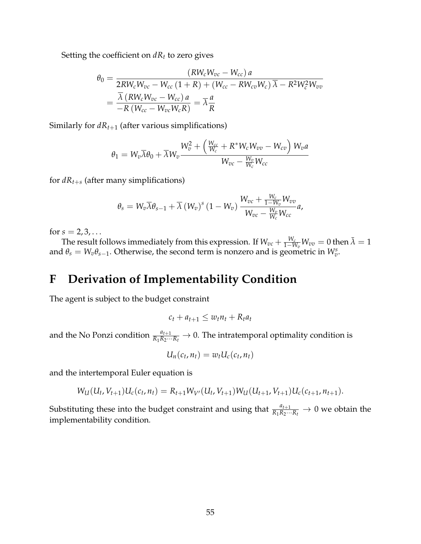Setting the coefficient on  $dR_t$  to zero gives

$$
\theta_0 = \frac{(RW_cW_{vc} - W_{cc})a}{2RW_cW_{vc} - W_{cc} (1 + R) + (W_{cc} - RW_{cv}W_c)\overline{\lambda} - R^2W_c^2W_{vv}} \\
= \frac{\overline{\lambda} (RW_cW_{vc} - W_{cc})a}{-R(W_{cc} - W_{vc}W_cR)} = \overline{\lambda}\frac{a}{R}
$$

Similarly for  $dR_{t+1}$  (after various simplifications)

$$
\theta_1 = W_v \overline{\lambda} \theta_0 + \overline{\lambda} W_v \frac{W_v^2 + \left(\frac{W_{cc}}{W_c} + R^* W_c W_{vv} - W_{cv}\right) W_{v} a}{W_{vc} - \frac{W_v}{W_c} W_{cc}}
$$

for  $dR_{t+s}$  (after many simplifications)

$$
\theta_s = W_v \overline{\lambda} \theta_{s-1} + \overline{\lambda} \left( W_v \right)^s (1 - W_v) \frac{W_{vc} + \frac{W_c}{1 - W_v} W_{vv}}{W_{vc} - \frac{W_v}{W_c} W_{cc}} a,
$$

for  $s = 2, 3, ...$ 

The result follows immediately from this expression. If  $W_{vc} + \frac{W_c}{1-W_v}W_{vv} = 0$  then  $\bar{\lambda} = 1$ and  $\theta_s = W_v \theta_{s-1}$ . Otherwise, the second term is nonzero and is geometric in  $W_v^s$ .

## **F Derivation of Implementability Condition**

The agent is subject to the budget constraint

$$
c_t + a_{t+1} \leq w_t n_t + R_t a_t
$$

and the No Ponzi condition  $\frac{a_{t+1}}{R_1R_2\cdots R_t}\to 0$ . The intratemporal optimality condition is

$$
U_n(c_t,n_t)=w_tU_c(c_t,n_t)
$$

and the intertemporal Euler equation is

$$
W_{U}(U_{t}, V_{t+1})U_{c}(c_{t}, n_{t}) = R_{t+1}W_{V}(U_{t}, V_{t+1})W_{U}(U_{t+1}, V_{t+1})U_{c}(c_{t+1}, n_{t+1}).
$$

Substituting these into the budget constraint and using that  $\frac{a_{t+1}}{R_1R_2\cdots R_t} \to 0$  we obtain the implementability condition*.*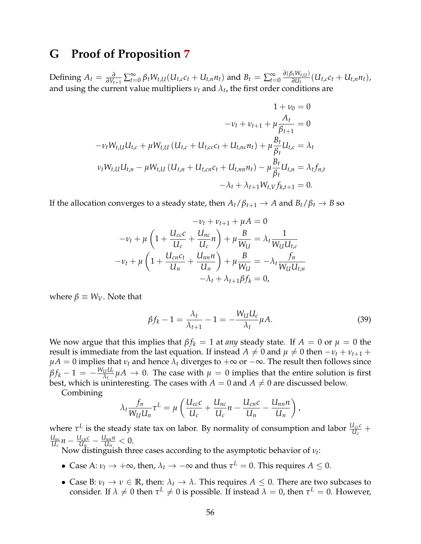### **G Proof of Proposition [7](#page-23-3)**

Defining  $A_t = \frac{\partial}{\partial V_{t+1}} \sum_{t=0}^{\infty} \beta_t W_{t, U} (U_{t, c} c_t + U_{t, n} n_t)$  and  $B_t = \sum_{t=0}^{\infty}$  $\frac{\partial (\beta_t W_{t, U})}{\partial U_t}(U_{t, c}c_t + U_{t, n}n_t)$ , and using the current value multipliers  $v_t$  and  $\lambda_t$ , the first order conditions are

$$
1 + \nu_0 = 0
$$
  
\n
$$
-\nu_t + \nu_{t+1} + \mu \frac{A_t}{\beta_{t+1}} = 0
$$
  
\n
$$
-\nu_t W_{t,U} U_{t,c} + \mu W_{t,U} (U_{t,c} + U_{t,cc}c_t + U_{t,nc}n_t) + \mu \frac{B_t}{\beta_t} U_{t,c} = \lambda_t
$$
  
\n
$$
\nu_t W_{t,U} U_{t,n} - \mu W_{t,U} (U_{t,n} + U_{t,cn}c_t + U_{t,nn}n_t) - \mu \frac{B_t}{\beta_t} U_{t,n} = \lambda_t f_{n,t}
$$
  
\n
$$
-\lambda_t + \lambda_{t+1} W_{t,V} f_{k,t+1} = 0.
$$

If the allocation converges to a steady state, then  $A_t/\beta_{t+1} \rightarrow A$  and  $B_t/\beta_t \rightarrow B$  so

$$
-v_t + \nu_{t+1} + \mu A = 0
$$
  

$$
-\nu_t + \mu \left( 1 + \frac{U_{cc}c}{U_c} + \frac{U_{nc}}{U_c}n \right) + \mu \frac{B}{W_U} = \lambda_t \frac{1}{W_U U_{tc}}
$$
  

$$
-\nu_t + \mu \left( 1 + \frac{U_{cn}c_t}{U_n} + \frac{U_{nn}n}{U_n} \right) + \mu \frac{B}{W_U} = -\lambda_t \frac{f_n}{W_U U_{t,n}}
$$
  

$$
-\lambda_t + \lambda_{t+1} \beta f_k = 0,
$$

where  $\beta \equiv W_V$ . Note that

$$
\beta f_k - 1 = \frac{\lambda_t}{\lambda_{t+1}} - 1 = -\frac{W_U U_c}{\lambda_t} \mu A. \tag{39}
$$

We now argue that this implies that  $\beta f_k = 1$  at *any* steady state. If  $A = 0$  or  $\mu = 0$  the result is immediate from the last equation. If instead  $A \neq 0$  and  $\mu \neq 0$  then  $-\nu_t + \nu_{t+1} +$  $\mu A = 0$  implies that  $\nu_t$  and hence  $\lambda_t$  diverges to  $+\infty$  or  $-\infty$ . The result then follows since  $\beta f_k - 1 = -\frac{W_U U_c}{\lambda t} \mu A \rightarrow 0$ . The case with  $\mu = 0$  implies that the entire solution is first best, which is uninteresting. The cases with  $A = 0$  and  $A \neq 0$  are discussed below.

Combining

$$
\lambda_t \frac{f_n}{W_U U_n} \tau^L = \mu \left( \frac{U_{cc} c}{U_c} + \frac{U_{nc}}{U_c} n - \frac{U_{cn} c}{U_n} - \frac{U_{nn} n}{U_n} \right),
$$

where  $\tau^L$  is the steady state tax on labor. By normality of consumption and labor  $\frac{U_{cc}c}{U_c}$  +  $\frac{U_{nc}}{U_c}n - \frac{U_{cn}c}{U_n} - \frac{U_{nn}n}{U_n} < 0.$ 

Now distinguish three cases according to the asymptotic behavior of *νt*:

- Case A:  $\nu_t \to +\infty$ , then,  $\lambda_t \to -\infty$  and thus  $\tau^L = 0$ . This requires  $A \leq 0$ .
- Case B:  $\nu_t \to \nu \in \mathbb{R}$ , then:  $\lambda_t \to \lambda$ . This requires  $A \leq 0$ . There are two subcases to consider. If  $\lambda \neq 0$  then  $\tau^L \neq 0$  is possible. If instead  $\lambda = 0$ , then  $\tau^L = 0$ . However,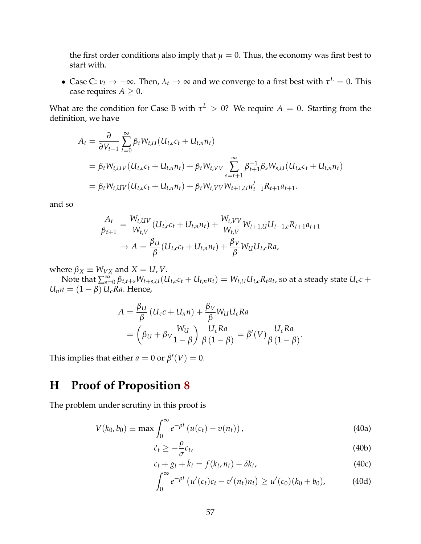the first order conditions also imply that  $\mu = 0$ . Thus, the economy was first best to start with.

• Case C:  $\nu_t \to -\infty$ . Then,  $\lambda_t \to \infty$  and we converge to a first best with  $\tau^L = 0$ . This case requires  $A \geq 0$ .

What are the condition for Case B with  $\tau^L > 0$ ? We require  $A = 0$ . Starting from the definition, we have

$$
A_t = \frac{\partial}{\partial V_{t+1}} \sum_{t=0}^{\infty} \beta_t W_{t,UI}(U_{t,c}c_t + U_{t,n}n_t)
$$
  
=  $\beta_t W_{t,UV}(U_{t,c}c_t + U_{t,n}n_t) + \beta_t W_{t,VV} \sum_{s=t+1}^{\infty} \beta_{t+1}^{-1} \beta_s W_{s,UI}(U_{t,c}c_t + U_{t,n}n_t)$   
=  $\beta_t W_{t,UV}(U_{t,c}c_t + U_{t,n}n_t) + \beta_t W_{t,VV}W_{t+1,UI}u'_{t+1}R_{t+1}a_{t+1}.$ 

and so

$$
\frac{A_t}{\beta_{t+1}} = \frac{W_{t,UV}}{W_{t,V}} (U_{t,c}c_t + U_{t,n}n_t) + \frac{W_{t,VV}}{W_{t,V}} W_{t+1,U} U_{t+1,c} R_{t+1} a_{t+1} \n\to A = \frac{\beta_{U}}{\beta} (U_{t,c}c_t + U_{t,n}n_t) + \frac{\beta_{V}}{\beta} W_{U} U_{t,c} R a,
$$

where  $\beta_X \equiv W_{VX}$  and  $X = U, V$ .

Note that  $\sum_{s=0}^{\infty}\beta_{t,t+s}W_{t+s,U}(U_{t,c}c_t+U_{t,n}n_t)=W_{t,U}U_{t,c}R_t a_t$ , so at a steady state  $U_c c$  +  $U_n n = (1 - \beta) U_c R a$ . Hence,

$$
A = \frac{\beta_{U}}{\beta} (U_{c}c + U_{n}n) + \frac{\beta_{V}}{\beta} W_{U}U_{c}Ra
$$
  
= 
$$
\left(\beta_{U} + \beta_{V}\frac{W_{U}}{1-\beta}\right) \frac{U_{c}Ra}{\beta(1-\beta)} = \bar{\beta}'(V)\frac{U_{c}Ra}{\beta(1-\beta)}.
$$

This implies that either  $a = 0$  or  $\bar{\beta}'(V) = 0$ .

# **H Proof of Proposition [8](#page-26-2)**

The problem under scrutiny in this proof is

$$
V(k_0, b_0) \equiv \max \int_0^\infty e^{-\rho t} \left( u(c_t) - v(n_t) \right), \tag{40a}
$$

<span id="page-58-3"></span><span id="page-58-0"></span>
$$
\dot{c}_t \ge -\frac{\rho}{\sigma}c_t,\tag{40b}
$$

<span id="page-58-2"></span><span id="page-58-1"></span>
$$
c_t + g_t + \dot{k}_t = f(k_t, n_t) - \delta k_t, \qquad (40c)
$$

$$
\int_0^{\infty} e^{-\rho t} \left( u'(c_t)c_t - v'(n_t)n_t \right) \geq u'(c_0)(k_0 + b_0), \tag{40d}
$$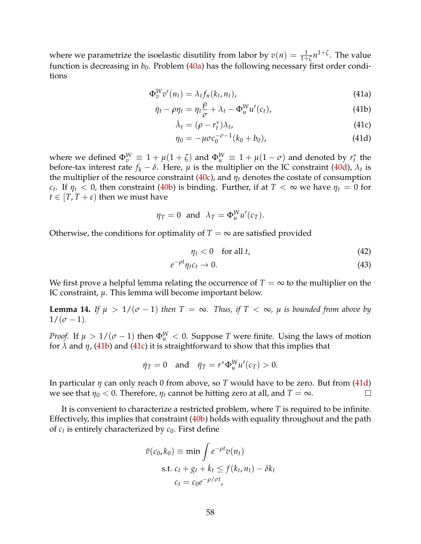where we parametrize the isoelastic disutility from labor by  $v(n) = \frac{1}{1+\zeta} n^{1+\zeta}$ . The value function is decreasing in  $b_0$ . Problem [\(40a\)](#page-58-0) has the following necessary first order conditions

$$
\Phi_v^W v'(n_t) = \lambda_t f_n(k_t, n_t), \qquad (41a)
$$

$$
\dot{\eta}_t - \rho \eta_t = \eta_t \frac{\rho}{\sigma} + \lambda_t - \Phi_u^W u'(c_t), \qquad (41b)
$$

<span id="page-59-3"></span><span id="page-59-2"></span><span id="page-59-1"></span><span id="page-59-0"></span>
$$
\dot{\lambda}_t = (\rho - r_t^*) \lambda_t, \tag{41c}
$$

$$
\eta_0 = -\mu \sigma c_0^{-\sigma - 1} (k_0 + b_0), \tag{41d}
$$

where we defined  $\Phi_v^W \equiv 1 + \mu(1+\zeta)$  and  $\Phi_u^W \equiv 1 + \mu(1-\sigma)$  and denoted by  $r_t^*$  the before-tax interest rate  $f_k - \delta$ . Here,  $\mu$  is the multiplier on the IC constraint [\(40d\)](#page-58-1),  $\lambda_t$  is the multiplier of the resource constraint [\(40c\)](#page-58-2), and  $\eta_t$  denotes the costate of consumption *c<sub>t</sub>*. If  $\eta_t < 0$ , then constraint [\(40b\)](#page-58-3) is binding. Further, if at  $T < \infty$  we have  $\eta_t = 0$  for  $t \in [T, T + \varepsilon)$  then we must have

$$
\eta_T = 0
$$
 and  $\lambda_T = \Phi_u^W u'(c_T)$ .

Otherwise, the conditions for optimality of  $T = \infty$  are satisfied provided

−*ρt*

$$
\eta_t < 0 \quad \text{for all } t,\tag{42}
$$

$$
e^{-\rho t}\eta_t c_t \to 0. \tag{43}
$$

We first prove a helpful lemma relating the occurrence of  $T = \infty$  to the multiplier on the IC constraint, *µ*. This lemma will become important below.

<span id="page-59-4"></span>**Lemma 14.** *If*  $\mu > 1/(\sigma - 1)$  *then*  $T = \infty$ *. Thus, if*  $T < \infty$ *,*  $\mu$  *is bounded from above by*  $1/(\sigma - 1)$ .

*Proof.* If  $\mu > 1/(\sigma - 1)$  then  $\Phi_{\mu}^{W} < 0$ . Suppose *T* were finite. Using the laws of motion for  $\lambda$  and  $\eta$ , [\(41b\)](#page-59-0) and [\(41c\)](#page-59-1) it is straightforward to show that this implies that

$$
\dot{\eta}_T = 0 \quad \text{and} \quad \ddot{\eta}_T = r^* \Phi_u^W u'(c_T) > 0.
$$

In particular *η* can only reach 0 from above, so *T* would have to be zero. But from [\(41d\)](#page-59-2) we see that  $\eta_0 < 0$ . Therefore,  $\eta_t$  cannot be hitting zero at all, and  $T = \infty$ .  $\Box$ 

It is convenient to characterize a restricted problem, where *T* is required to be infinite. Effectively, this implies that constraint [\(40b\)](#page-58-3) holds with equality throughout and the path of  $c_t$  is entirely characterized by  $c_0$ . First define

$$
\tilde{v}(c_0, k_0) \equiv \min \int e^{-\rho t} v(n_t)
$$
\n
$$
\text{s.t. } c_t + g_t + \dot{k}_t \le f(k_t, n_t) - \delta k_t
$$
\n
$$
c_t = c_0 e^{-\rho/\sigma t},
$$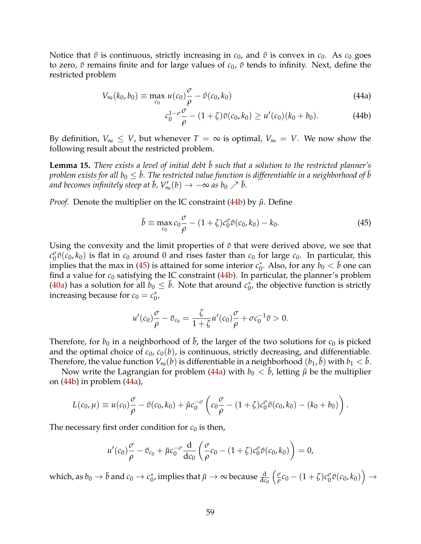Notice that  $\tilde{v}$  is continuous, strictly increasing in  $c_0$ , and  $\tilde{v}$  is convex in  $c_0$ . As  $c_0$  goes to zero,  $\tilde{v}$  remains finite and for large values of  $c_0$ ,  $\tilde{v}$  tends to infinity. Next, define the restricted problem

$$
V_{\infty}(k_0, b_0) \equiv \max_{c_0} u(c_0) \frac{\sigma}{\rho} - \tilde{v}(c_0, k_0)
$$
\n(44a)

<span id="page-60-2"></span><span id="page-60-0"></span>
$$
c_0^{1-\sigma} \frac{\sigma}{\rho} - (1+\zeta)\tilde{v}(c_0, k_0) \ge u'(c_0)(k_0 + b_0).
$$
 (44b)

By definition,  $V_{\infty} \leq V$ , but whenever  $T = \infty$  is optimal,  $V_{\infty} = V$ . We now show the following result about the restricted problem.

<span id="page-60-3"></span>Lemma 15. *There exists a level of initial debt*  $\bar{b}$  such that a solution to the restricted planner's *problem exists for all*  $b_0 \leq \bar{b}$ *. The restricted value function is differentiable in a neighborhood of*  $\bar{b}$ and becomes infinitely steep at  $\bar{b}$ ,  $V'_{\infty}(b) \rightarrow -\infty$  as  $b_0 \nearrow \bar{b}$ .

*Proof.* Denote the multiplier on the IC constraint [\(44b\)](#page-60-0) by  $\tilde{\mu}$ . Define

<span id="page-60-1"></span>
$$
\bar{b} \equiv \max_{c_0} c_0 \frac{\sigma}{\rho} - (1+\zeta)c_0^{\sigma} \tilde{v}(c_0, k_0) - k_0.
$$
\n(45)

Using the convexity and the limit properties of  $\tilde{v}$  that were derived above, we see that  $c_0^{\sigma} \tilde{v}(c_0, k_0)$  is flat in  $c_0$  around 0 and rises faster than  $c_0$  for large  $c_0$ . In particular, this implies that the max in [\(45\)](#page-60-1) is attained for some interior  $c_0^*$ . Also, for any  $b_0 < \bar{b}$  one can find a value for  $c_0$  satisfying the IC constraint  $(44b)$ . In particular, the planner's problem [\(40a\)](#page-58-0) has a solution for all  $b_0 \leq \bar{b}$ . Note that around  $c_0^*$ , the objective function is strictly increasing because for  $c_0 = c_0^*$ ,

$$
u'(c_0)\frac{\sigma}{\rho}-\tilde{v}_{c_0}=\frac{\zeta}{1+\zeta}u'(c_0)\frac{\sigma}{\rho}+\sigma c_0^{-1}\tilde{v}>0.
$$

Therefore, for  $b_0$  in a neighborhood of  $\bar{b}$ , the larger of the two solutions for  $c_0$  is picked and the optimal choice of  $c_0$ ,  $c_0(b)$ , is continuous, strictly decreasing, and differentiable. Therefore, the value function  $V_\infty(b)$  is differentiable in a neighborhood  $(b_1,\bar{b})$  with  $b_1<\bar{b}$ .

Now write the Lagrangian for problem [\(44a\)](#page-60-2) with  $b_0 < \bar{b}$ , letting  $\tilde{\mu}$  be the multiplier on [\(44b\)](#page-60-0) in problem [\(44a\)](#page-60-2),

$$
L(c_0, \mu) \equiv u(c_0) \frac{\sigma}{\rho} - \tilde{v}(c_0, k_0) + \tilde{\mu} c_0^{-\sigma} \left( c_0 \frac{\sigma}{\rho} - (1 + \zeta) c_0^{\sigma} \tilde{v}(c_0, k_0) - (k_0 + b_0) \right).
$$

The necessary first order condition for  $c_0$  is then,

$$
u'(c_0)\frac{\sigma}{\rho} - \tilde{v}_{c_0} + \tilde{\mu}c_0^{-\sigma}\frac{d}{dc_0}\left(\frac{\sigma}{\rho}c_0 - (1+\zeta)c_0^{\sigma}\tilde{v}(c_0,k_0)\right) = 0,
$$

which, as  $b_0\to \bar b$  and  $c_0\to c_0^*$ , implies that  $\tilde\mu\to\infty$  because  $\frac{\rm d}{{\rm d}c_0}$  $\left(\frac{\sigma}{\rho}c_0 - (1+\zeta)c_0^{\sigma}\tilde{v}(c_0, k_0)\right)$  $\rightarrow$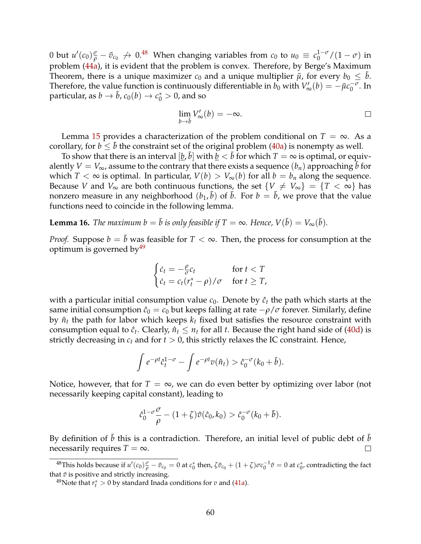0 but  $u'(c_0)\frac{\sigma}{\rho}-\tilde{v}_{c_0}\nrightarrow 0.^{48}$  $u'(c_0)\frac{\sigma}{\rho}-\tilde{v}_{c_0}\nrightarrow 0.^{48}$  $u'(c_0)\frac{\sigma}{\rho}-\tilde{v}_{c_0}\nrightarrow 0.^{48}$  When changing variables from  $c_0$  to  $u_0\equiv c_0^{1-\sigma}/(1-\sigma)$  in problem [\(44a\)](#page-60-2), it is evident that the problem is convex. Therefore, by Berge's Maximum Theorem, there is a unique maximizer  $c_0$  and a unique multiplier  $\tilde{\mu}$ , for every  $b_0 \leq \bar{b}$ . Therefore, the value function is continuously differentiable in  $b_0$  with  $V'_{\infty}(b) = -\tilde{\mu}c_0^{-\sigma}$ . In particular, as  $b \to \bar{b}$ ,  $c_0(b) \to c_0^* > 0$ , and so

$$
\lim_{b \to \bar{b}} V'_{\infty}(b) = -\infty. \qquad \qquad \Box
$$

Lemma [15](#page-60-3) provides a characterization of the problem conditional on  $T = \infty$ . As a corollary, for  $b \leq \bar{b}$  the constraint set of the original problem [\(40a\)](#page-58-0) is nonempty as well.

To show that there is an interval  $[\underline{b}, \bar{b}]$  with  $\underline{b} < \bar{b}$  for which  $T = \infty$  is optimal, or equivalently  $V = V_{\infty}$ , assume to the contrary that there exists a sequence  $(b_n)$  approaching  $\bar{b}$  for which  $T < \infty$  is optimal. In particular,  $V(b) > V_{\infty}(b)$  for all  $b = b_n$  along the sequence. Because *V* and  $V_{\infty}$  are both continuous functions, the set  $\{V \neq V_{\infty}\} = \{T < \infty\}$  has nonzero measure in any neighborhood  $(b_1, \bar{b})$  of  $\bar{b}$ . For  $b = \bar{b}$ , we prove that the value functions need to coincide in the following lemma.

<span id="page-61-2"></span>**Lemma 16.** *The maximum b* =  $\bar{b}$  *is only feasible if*  $T = \infty$ *. Hence,*  $V(\bar{b}) = V_{\infty}(\bar{b})$ *.* 

*Proof.* Suppose  $b = \bar{b}$  was feasible for  $T < \infty$ . Then, the process for consumption at the optimum is governed by  $49$ 

$$
\begin{cases} \n\dot{c}_t = -\frac{\rho}{\sigma} c_t & \text{for } t < T \\ \n\dot{c}_t = c_t (r_t^* - \rho) / \sigma & \text{for } t \geq T, \n\end{cases}
$$

with a particular initial consumption value  $c_0$ . Denote by  $\hat{c}_t$  the path which starts at the same initial consumption  $\hat{c}_0 = c_0$  but keeps falling at rate  $-\rho/\sigma$  forever. Similarly, define by  $\hat{n}_t$  the path for labor which keeps  $k_t$  fixed but satisfies the resource constraint with consumption equal to  $\hat{c}_t$ . Clearly,  $\hat{n}_t \leq n_t$  for all *t*. Because the right hand side of [\(40d\)](#page-58-1) is strictly decreasing in  $c_t$  and for  $t > 0$ , this strictly relaxes the IC constraint. Hence,

$$
\int e^{-\rho t} \hat{c}_t^{1-\sigma} - \int e^{-\rho t} v(\hat{n}_t) > \hat{c}_0^{-\sigma} (k_0 + \bar{b}).
$$

Notice, however, that for  $T = \infty$ , we can do even better by optimizing over labor (not necessarily keeping capital constant), leading to

$$
\hat{c}_0^{1-\sigma} \frac{\sigma}{\rho} - (1+\zeta)\tilde{v}(\hat{c}_0,k_0) > \hat{c}_0^{-\sigma}(k_0+\bar{b}).
$$

By definition of  $\bar{b}$  this is a contradiction. Therefore, an initial level of public debt of  $\bar{b}$ necessarily requires  $T = \infty$ .  $\Box$ 

<span id="page-61-0"></span> $^{48}$ This holds because if  $u'(c_0)\frac{\sigma}{\rho}-\tilde{v}_{c_0}=0$  at  $c_0^*$  then,  $\zeta\tilde{v}_{c_0}+(1+\zeta)\sigma c_0^{-1}\tilde{v}=0$  at  $c_0^*$ , contradicting the fact that  $\tilde{v}$  is positive and strictly increasing.

<span id="page-61-1"></span><sup>&</sup>lt;sup>49</sup>Note that  $r_t^* > 0$  by standard Inada conditions for *v* and [\(41a\)](#page-59-3).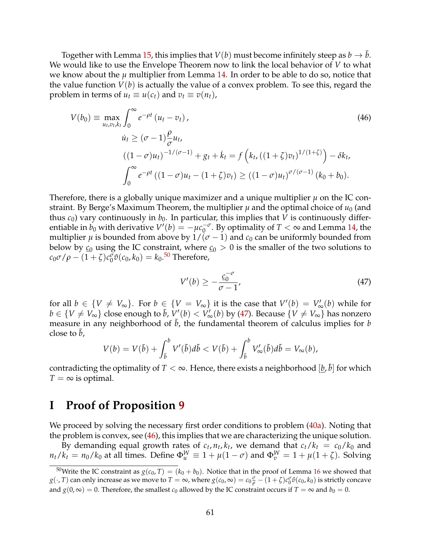Together with Lemma [15,](#page-60-3) this implies that  $V(b)$  must become infinitely steep as  $b \to \bar{b}$ . We would like to use the Envelope Theorem now to link the local behavior of *V* to what we know about the  $\mu$  multiplier from Lemma [14.](#page-59-4) In order to be able to do so, notice that the value function *V*(*b*) is actually the value of a convex problem. To see this, regard the problem in terms of  $u_t \equiv u(c_t)$  and  $v_t \equiv v(n_t)$ ,

$$
V(b_0) = \max_{u_t, v_t, k_t} \int_0^\infty e^{-\rho t} (u_t - v_t),
$$
  
\n
$$
\dot{u}_t \ge (\sigma - 1) \frac{\rho}{\sigma} u_t,
$$
  
\n
$$
((1 - \sigma)u_t)^{-1/(\sigma - 1)} + g_t + \dot{k}_t = f\left(k_t, ((1 + \zeta)v_t)^{1/(1 + \zeta)}\right) - \delta k_t,
$$
  
\n
$$
\int_0^\infty e^{-\rho t} ((1 - \sigma)u_t - (1 + \zeta)v_t) \ge ((1 - \sigma)u_t)^{\sigma/(\sigma - 1)} (k_0 + b_0).
$$
\n(46)

Therefore, there is a globally unique maximizer and a unique multiplier *µ* on the IC constraint. By Berge's Maximum Theorem, the multiplier  $\mu$  and the optimal choice of  $u_0$  (and thus  $c_0$ ) vary continuously in  $b_0$ . In particular, this implies that *V* is continuously differentiable in  $b_0$  with derivative  $V'(b) = -\mu c_0^{-\sigma}$ . By optimality of  $T < \infty$  and Lemma [14,](#page-59-4) the multiplier  $\mu$  is bounded from above by  $1/(\sigma - 1)$  and  $c_0$  can be uniformly bounded from below by  $\mathfrak{c}_0$  using the IC constraint, where  $\mathfrak{c}_0 > 0$  is the smaller of the two solutions to  $c_0 \sigma / \rho - (1 + \zeta) c_0^{\sigma} \tilde{\sigma}(c_0, k_0) = k_0$ .<sup>[50](#page-62-0)</sup> Therefore,

<span id="page-62-2"></span><span id="page-62-1"></span>
$$
V'(b) \ge -\frac{c_0^{-\sigma}}{\sigma - 1'},\tag{47}
$$

for all  $b \in \{V \neq V_{\infty}\}$ . For  $b \in \{V = V_{\infty}\}$  it is the case that  $V'(b) = V'_{\infty}(b)$  while for *b* ∈ {*V*  $\neq$  *V*<sub>∞</sub>} close enough to *b*, *V*<sup>'</sup>(*b*) < *V*<sub>∞</sub><sup>'</sup>(*b*) by [\(47\)](#page-62-1). Because {*V*  $\neq$  *V*<sub>∞</sub>} has nonzero measure in any neighborhood of  $\bar{b}$ , the fundamental theorem of calculus implies for  $b$ close to  $\bar{b}$ ,

$$
V(b) = V(\bar{b}) + \int_{\bar{b}}^{b} V'(\tilde{b}) d\tilde{b} < V(\bar{b}) + \int_{\bar{b}}^{b} V'_{\infty}(\tilde{b}) d\tilde{b} = V_{\infty}(b),
$$

contradicting the optimality of  $T < \infty$ . Hence, there exists a neighborhood  $[\underline{b}, \bar{b}]$  for which  $T = \infty$  is optimal.

### **I Proof of Proposition [9](#page-27-2)**

We proceed by solving the necessary first order conditions to problem [\(40a\)](#page-58-0). Noting that the problem is convex, see [\(46\)](#page-62-2), this implies that we are characterizing the unique solution.

By demanding equal growth rates of  $c_t$ ,  $n_t$ ,  $k_t$ , we demand that  $c_t/k_t = c_0/k_0$  and  $n_t/k_t = n_0/k_0$  at all times. Define  $\Phi_u^W \equiv 1 + \mu(1 - \sigma)$  and  $\Phi_v^W = 1 + \mu(1 + \zeta)$ . Solving

<span id="page-62-0"></span><sup>&</sup>lt;sup>50</sup>Write the IC constraint as  $g(c_0, T) = (k_0 + b_0)$ . Notice that in the proof of Lemma [16](#page-61-2) we showed that  $g(\cdot,T)$  can only increase as we move to  $T=\infty$ , where  $g(c_0,\infty)=c_0\frac{\sigma}{\rho}-(1+\zeta)c_0^\sigma\tilde{v}(c_0,k_0)$  is strictly concave and *g*(0,  $\infty$ ) = 0. Therefore, the smallest *c*<sub>0</sub> allowed by the IC constraint occurs if *T* =  $\infty$  and *b*<sub>0</sub> = 0.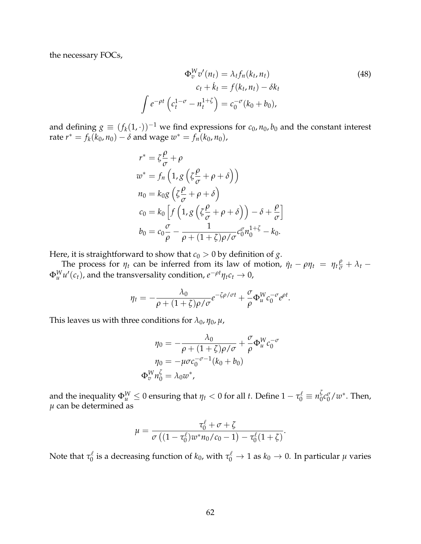the necessary FOCs,

$$
\Phi_v^W v'(n_t) = \lambda_t f_n(k_t, n_t)
$$
  
\n
$$
c_t + \dot{k}_t = f(k_t, n_t) - \delta k_t
$$
  
\n
$$
\int e^{-\rho t} \left( c_t^{1-\sigma} - n_t^{1+\zeta} \right) = c_0^{-\sigma} (k_0 + b_0),
$$
\n(48)

and defining  $g \equiv (f_k(1, \cdot))^{-1}$  we find expressions for  $c_0$ ,  $n_0$ ,  $b_0$  and the constant interest  $\text{rate } r^* = f_k(k_0, n_0) - δ \text{ and wage } w^* = f_n(k_0, n_0),$ 

$$
r^* = \zeta \frac{\rho}{\sigma} + \rho
$$
  
\n
$$
w^* = f_n \left( 1, g \left( \zeta \frac{\rho}{\sigma} + \rho + \delta \right) \right)
$$
  
\n
$$
n_0 = k_0 g \left( \zeta \frac{\rho}{\sigma} + \rho + \delta \right)
$$
  
\n
$$
c_0 = k_0 \left[ f \left( 1, g \left( \zeta \frac{\rho}{\sigma} + \rho + \delta \right) \right) - \delta + \frac{\rho}{\sigma} \right]
$$
  
\n
$$
b_0 = c_0 \frac{\sigma}{\rho} - \frac{1}{\rho + (1 + \zeta)\rho/\sigma} c_0^{\sigma} n_0^{1 + \zeta} - k_0.
$$

Here, it is straightforward to show that  $c_0 > 0$  by definition of *g*.

The process for  $\eta_t$  can be inferred from its law of motion,  $\dot{\eta}_t - \rho \eta_t = \eta_t \frac{\rho}{\sigma} + \lambda_t - \frac{\rho}{\sigma}$  $\Phi_u^W u'(c_t)$ , and the transversality condition,  $e^{-\rho t}\eta_t c_t \to 0$ ,

$$
\eta_t = -\frac{\lambda_0}{\rho + (1+\zeta)\rho/\sigma}e^{-\zeta\rho/\sigma t} + \frac{\sigma}{\rho}\Phi_u^W c_0^{-\sigma}e^{\rho t}.
$$

This leaves us with three conditions for  $\lambda_0$ ,  $\eta_0$ ,  $\mu$ ,

 $\int$ 

$$
\eta_0 = -\frac{\lambda_0}{\rho + (1+\zeta)\rho/\sigma} + \frac{\sigma}{\rho} \Phi_u^W c_0^{-\sigma}
$$

$$
\eta_0 = -\mu \sigma c_0^{-\sigma-1} (k_0 + b_0)
$$

$$
\Phi_v^W n_0^{\zeta} = \lambda_0 w^*,
$$

and the inequality  $\Phi_u^W \leq 0$  ensuring that  $\eta_t < 0$  for all *t*. Define  $1 - \tau_0^{\ell} \equiv n_0^{\zeta} c_0^{\sigma} / w^*$ . Then,  $\mu$  can be determined as

$$
\mu = \frac{\tau_0^{\ell} + \sigma + \zeta}{\sigma\left((1-\tau_0^{\ell})w^*n_0/c_0 - 1\right) - \tau_0^{\ell}(1+\zeta)}.
$$

Note that  $\tau_0^\ell$  is a decreasing function of  $k_0$ , with  $\tau_0^\ell\to 1$  as  $k_0\to 0$ . In particular  $\mu$  varies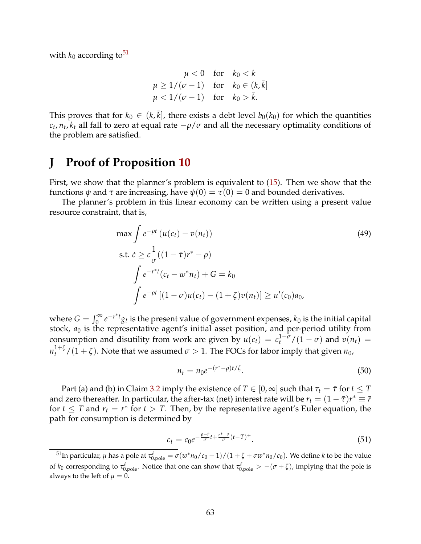with  $k_0$  according to<sup>51</sup>

$$
\mu < 0 \quad \text{for} \quad k_0 < \underline{k} \\
\mu \ge 1/(\sigma - 1) \quad \text{for} \quad k_0 \in (\underline{k}, \overline{k}] \\
\mu < 1/(\sigma - 1) \quad \text{for} \quad k_0 > \overline{k}.
$$

This proves that for  $k_0 \in (k, \bar{k}]$ , there exists a debt level  $b_0(k_0)$  for which the quantities  $c_t$ ,  $n_t$ ,  $k_t$  all fall to zero at equal rate  $-\rho/\sigma$  and all the necessary optimality conditions of the problem are satisfied.

# **J Proof of Proposition [10](#page-30-0)**

First, we show that the planner's problem is equivalent to [\(15\)](#page-30-1). Then we show that the functions  $\psi$  and  $\bar{\tau}$  are increasing, have  $\psi(0) = \tau(0) = 0$  and bounded derivatives.

The planner's problem in this linear economy can be written using a present value resource constraint, that is,

$$
\max \int e^{-\rho t} (u(c_t) - v(n_t))
$$
\n
$$
\text{s.t. } \dot{c} \geq c \frac{1}{\sigma} ((1 - \bar{\tau})r^* - \rho)
$$
\n
$$
\int e^{-r^*t} (c_t - w^* n_t) + G = k_0
$$
\n
$$
\int e^{-\rho t} [(1 - \sigma)u(c_t) - (1 + \zeta)v(n_t)] \geq u'(c_0) a_0,
$$
\n(49)

where  $G = \int_0^\infty e^{-r^*t} g_t$  is the present value of government expenses,  $k_0$  is the initial capital stock,  $a_0$  is the representative agent's initial asset position, and per-period utility from consumption and disutility from work are given by  $u(c_t) = c_t^{1-\sigma}/(1-\sigma)$  and  $v(n_t) =$  $n_t^{1+\zeta}/(1+\zeta)$ . Note that we assumed  $\sigma > 1$ . The FOCs for labor imply that given  $n_0$ ,

<span id="page-64-3"></span><span id="page-64-1"></span>
$$
n_t = n_0 e^{-(r^* - \rho)t/\zeta}.
$$
\n(50)

Part (a) and (b) in Claim [3.2](#page-25-9) imply the existence of  $T \in [0, \infty]$  such that  $\tau_t = \bar{\tau}$  for  $t \leq T$ and zero thereafter. In particular, the after-tax (net) interest rate will be  $r_t = (1 - \bar{\tau})r^* \equiv \bar{r}$ for  $t \leq T$  and  $r_t = r^*$  for  $t > T$ . Then, by the representative agent's Euler equation, the path for consumption is determined by

<span id="page-64-2"></span>
$$
c_t = c_0 e^{-\frac{\rho - \bar{r}}{\sigma} t + \frac{r^* - \bar{r}}{\sigma} (t - T)^+}.
$$
\n(51)

<span id="page-64-0"></span> $^{51}$ In particular, *μ* has a pole at  $\tau_{0,\text{pole}}^\ell=\sigma(w^*n_0/c_0-1)/(1+\zeta+\sigma w^*n_0/c_0).$  We define <u>k</u> to be the value of  $k_0$  corresponding to  $\tau_{0,\text{pole}}^{\ell}$ . Notice that one can show that  $\tau_{0,\text{pole}}^{\ell} > -(\sigma + \zeta)$ , implying that the pole is always to the left of  $\mu = 0$ .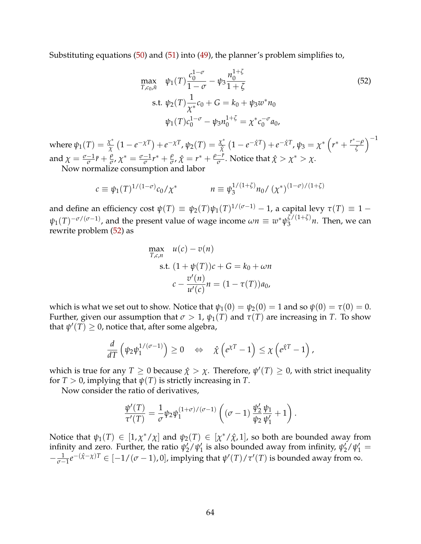Substituting equations [\(50\)](#page-64-1) and [\(51\)](#page-64-2) into [\(49\)](#page-64-3), the planner's problem simplifies to,

<span id="page-65-0"></span>
$$
\max_{T,c_0,\bar{n}} \psi_1(T) \frac{c_0^{1-\sigma}}{1-\sigma} - \psi_3 \frac{n_0^{1+\zeta}}{1+\zeta}
$$
\n
$$
\text{s.t. } \psi_2(T) \frac{1}{\chi^*} c_0 + G = k_0 + \psi_3 w^* n_0
$$
\n
$$
\psi_1(T) c_0^{1-\sigma} - \psi_3 n_0^{1+\zeta} = \chi^* c_0^{-\sigma} a_0,
$$
\n(52)

where  $\psi_1(T)=\frac{\chi^*}{\chi}\left(1-e^{-\chi T}\right)+e^{-\chi T}$ ,  $\psi_2(T)=\frac{\chi^*}{\hat{\chi}}\left(1-e^{-\hat{\chi}T}\right)+e^{-\hat{\chi}T}$ ,  $\psi_3=\chi^*\left(r^*+\frac{r^*-\rho}{\zeta}\right)$  $\setminus$ <sup>-1</sup> and  $\chi = \frac{\sigma - 1}{\sigma}\bar{r} + \frac{\rho}{\sigma}$ ,  $\chi^* = \frac{\sigma - 1}{\sigma}r^* + \frac{\rho}{\sigma}$ ,  $\hat{\chi} = r^* + \frac{\rho - \bar{r}}{\sigma}$ . Notice that  $\hat{\chi} > \chi^* > \chi$ .

Now normalize consumption and labor

$$
c \equiv \psi_1(T)^{1/(1-\sigma)} c_0 / \chi^* \qquad n \equiv \psi_3^{1/(1+\zeta)} n_0 / (\chi^*)^{(1-\sigma)/(1+\zeta)}
$$

and define an efficiency cost  $\psi(T) \equiv \psi_2(T)\psi_1(T)^{1/(\sigma-1)} - 1$ , a capital levy  $\tau(T) \equiv 1 \psi_1(T)^{-\sigma/(\sigma-1)}$ , and the present value of wage income  $\omega n \equiv w^* \psi_3^{\zeta/(1+\zeta)} n$ . Then, we can rewrite problem [\(52\)](#page-65-0) as

$$
\max_{T,c,n} u(c) - v(n)
$$
  
s.t. 
$$
(1 + \psi(T))c + G = k_0 + \omega n
$$

$$
c - \frac{v'(n)}{u'(c)}n = (1 - \tau(T))a_0,
$$

which is what we set out to show. Notice that  $\psi_1(0) = \psi_2(0) = 1$  and so  $\psi(0) = \tau(0) = 0$ . Further, given our assumption that  $\sigma > 1$ ,  $\psi_1(T)$  and  $\tau(T)$  are increasing in *T*. To show that  $\psi'(T) \geq 0$ , notice that, after some algebra,

$$
\frac{d}{dT}\left(\psi_2\psi_1^{1/(\sigma-1)}\right)\geq 0 \quad \Leftrightarrow \quad \hat{\chi}\left(e^{\chi T}-1\right)\leq \chi\left(e^{\hat{\chi}T}-1\right),
$$

which is true for any  $T \ge 0$  because  $\hat{\chi} > \chi$ . Therefore,  $\psi'(T) \ge 0$ , with strict inequality for  $T > 0$ , implying that  $\psi(T)$  is strictly increasing in *T*.

Now consider the ratio of derivatives,

$$
\frac{\psi'(T)}{\tau'(T)} = \frac{1}{\sigma}\psi_2\psi_1^{(1+\sigma)/(\sigma-1)}\left((\sigma-1)\,\frac{\psi_2'}{\psi_2}\frac{\psi_1}{\psi_1'}+1\right).
$$

Notice that  $\psi_1(T) \in [1, \chi^*/\chi]$  and  $\psi_2(T) \in [\chi^*/\hat{\chi}, 1]$ , so both are bounded away from infinity and zero. Further, the ratio  $\psi'_2/\psi'_1$  is also bounded away from infinity,  $\psi'_2/\psi'_1 =$  $-\frac{1}{\sigma-1}e^{-(\hat{X}-\chi)T}$  ∈ [−1/( $\sigma$  − 1), 0], implying that  $\psi'(T)/\tau'(T)$  is bounded away from ∞.